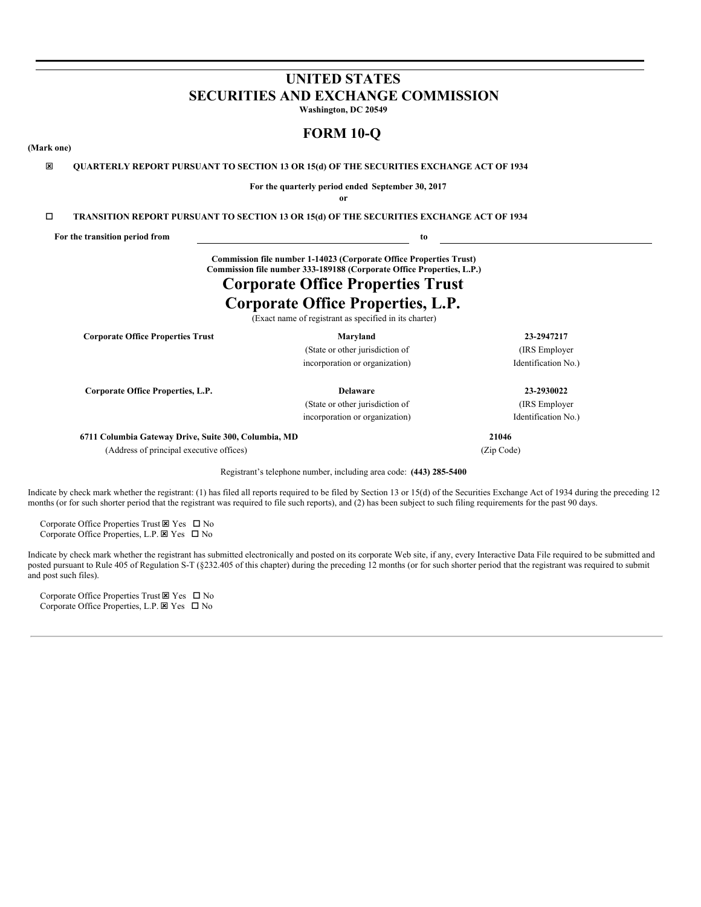# **UNITED STATES SECURITIES AND EXCHANGE COMMISSION Washington, DC 20549**

**FORM 10-Q**

## **(Mark one)**

ý **QUARTERLY REPORT PURSUANT TO SECTION 13 OR 15(d) OF THE SECURITIES EXCHANGE ACT OF 1934**

**For the quarterly period ended September 30, 2017 or**

o **TRANSITION REPORT PURSUANT TO SECTION 13 OR 15(d) OF THE SECURITIES EXCHANGE ACT OF 1934**

**For the transition period from to**

**Commission file number 1-14023 (Corporate Office Properties Trust) Commission file number 333-189188 (Corporate Office Properties, L.P.)**

# **Corporate Office Properties Trust**

# **Corporate Office Properties, L.P.**

(Exact name of registrant as specified in its charter)

**Corporate Office Properties Trust Maryland 23-2947217**

(State or other jurisdiction of (IRS Employer incorporation or organization) Identification No.

**Corporate Office Properties, L.P. Delaware 23-2930022**

(State or other jurisdiction of (IRS Employer incorporation or organization) Identification No.)

**6711 Columbia Gateway Drive, Suite 300, Columbia, MD 21046**

(Address of principal executive offices) (Zip Code)

Registrant's telephone number, including area code: **(443) 285-5400**

Indicate by check mark whether the registrant: (1) has filed all reports required to be filed by Section 13 or 15(d) of the Securities Exchange Act of 1934 during the preceding 12 months (or for such shorter period that the registrant was required to file such reports), and (2) has been subject to such filing requirements for the past 90 days.

Corporate Office Properties Trust  $\boxtimes$  Yes  $\Box$  No Corporate Office Properties, L.P.  $\boxtimes$  Yes  $\Box$  No

Indicate by check mark whether the registrant has submitted electronically and posted on its corporate Web site, if any, every Interactive Data File required to be submitted and posted pursuant to Rule 405 of Regulation S-T (§232.405 of this chapter) during the preceding 12 months (or for such shorter period that the registrant was required to submit and post such files).

Corporate Office Properties Trust  $\boxtimes$  Yes  $\Box$  No Corporate Office Properties, L.P.  $\boxtimes$  Yes  $\Box$  No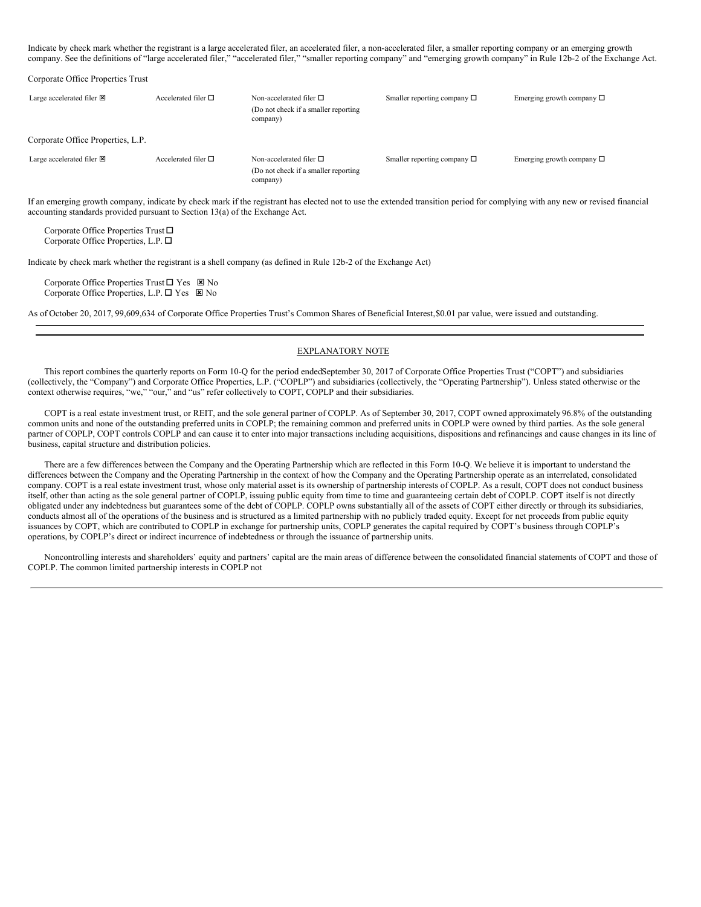Indicate by check mark whether the registrant is a large accelerated filer, an accelerated filer, a non-accelerated filer, a smaller reporting company or an emerging growth company. See the definitions of "large accelerated filer," "accelerated filer," "smaller reporting company" and "emerging growth company" in Rule 12b-2 of the Exchange Act.

| Corporate Office Properties Trust   |                             |                                                                                      |                                  |                                |
|-------------------------------------|-----------------------------|--------------------------------------------------------------------------------------|----------------------------------|--------------------------------|
| Large accelerated filer $\boxtimes$ | Accelerated filer $\square$ | Non-accelerated filer $\square$<br>(Do not check if a smaller reporting)<br>company) | Smaller reporting company $\Box$ | Emerging growth company $\Box$ |
| Corporate Office Properties, L.P.   |                             |                                                                                      |                                  |                                |
| Large accelerated filer $\boxtimes$ | Accelerated filer $\Box$    | Non-accelerated filer $\square$<br>(Do not check if a smaller reporting)<br>company) | Smaller reporting company $\Box$ | Emerging growth company $\Box$ |

If an emerging growth company, indicate by check mark if the registrant has elected not to use the extended transition period for complying with any new or revised financial accounting standards provided pursuant to Section 13(a) of the Exchange Act.

Corporate Office Properties Trust  $\square$ Corporate Office Properties, L.P.  $\Box$ 

Indicate by check mark whether the registrant is a shell company (as defined in Rule 12b-2 of the Exchange Act)

Corporate Office Properties Trust  $\Box$  Yes  $\boxtimes$  No Corporate Office Properties, L.P.  $\square$  Yes  $\square$  No

As of October 20, 2017, 99,609,634 of Corporate Office Properties Trust's Common Shares of Beneficial Interest,\$0.01 par value, were issued and outstanding.

## EXPLANATORY NOTE

This report combines the quarterly reports on Form 10-Q for the period endedSeptember 30, 2017 of Corporate Office Properties Trust ("COPT") and subsidiaries (collectively, the "Company") and Corporate Office Properties, L.P. ("COPLP") and subsidiaries (collectively, the "Operating Partnership"). Unless stated otherwise or the context otherwise requires, "we," "our," and "us" refer collectively to COPT, COPLP and their subsidiaries.

COPT is a real estate investment trust, or REIT, and the sole general partner of COPLP. As of September 30, 2017, COPT owned approximately 96.8% of the outstanding common units and none of the outstanding preferred units in COPLP; the remaining common and preferred units in COPLP were owned by third parties. As the sole general partner of COPLP, COPT controls COPLP and can cause it to enter into major transactions including acquisitions, dispositions and refinancings and cause changes in its line of business, capital structure and distribution policies.

There are a few differences between the Company and the Operating Partnership which are reflected in this Form 10-Q. We believe it is important to understand the differences between the Company and the Operating Partnership in the context of how the Company and the Operating Partnership operate as an interrelated, consolidated company. COPT is a real estate investment trust, whose only material asset is its ownership of partnership interests of COPLP. As a result, COPT does not conduct business itself, other than acting as the sole general partner of COPLP, issuing public equity from time to time and guaranteeing certain debt of COPLP. COPT itself is not directly obligated under any indebtedness but guarantees some of the debt of COPLP. COPLP owns substantially all of the assets of COPT either directly or through its subsidiaries, conducts almost all of the operations of the business and is structured as a limited partnership with no publicly traded equity. Except for net proceeds from public equity issuances by COPT, which are contributed to COPLP in exchange for partnership units, COPLP generates the capital required by COPT's business through COPLP's operations, by COPLP's direct or indirect incurrence of indebtedness or through the issuance of partnership units.

Noncontrolling interests and shareholders' equity and partners' capital are the main areas of difference between the consolidated financial statements of COPT and those of COPLP. The common limited partnership interests in COPLP not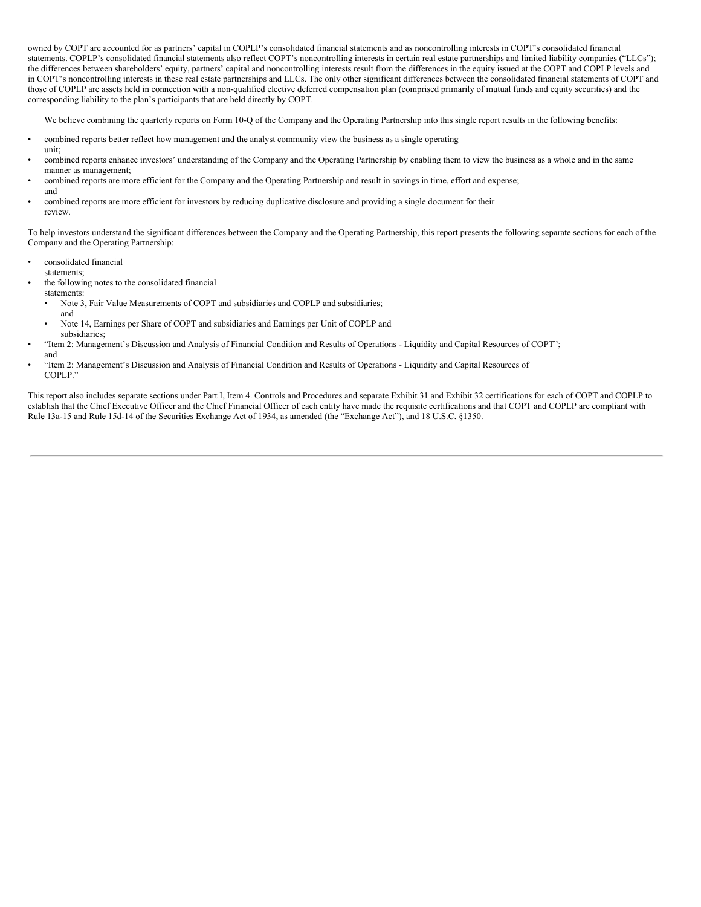owned by COPT are accounted for as partners' capital in COPLP's consolidated financial statements and as noncontrolling interests in COPT's consolidated financial statements. COPLP's consolidated financial statements also reflect COPT's noncontrolling interests in certain real estate partnerships and limited liability companies ("LLCs"); the differences between shareholders' equity, partners' capital and noncontrolling interests result from the differences in the equity issued at the COPT and COPLP levels and in COPT's noncontrolling interests in these real estate partnerships and LLCs. The only other significant differences between the consolidated financial statements of COPT and those of COPLP are assets held in connection with a non-qualified elective deferred compensation plan (comprised primarily of mutual funds and equity securities) and the corresponding liability to the plan's participants that are held directly by COPT.

We believe combining the quarterly reports on Form 10-Q of the Company and the Operating Partnership into this single report results in the following benefits:

- combined reports better reflect how management and the analyst community view the business as a single operating
- combined reports enhance investors' understanding of the Company and the Operating Partnership by enabling them to view the business as a whole and in the same manner as management;
- combined reports are more efficient for the Company and the Operating Partnership and result in savings in time, effort and expense; and
- combined reports are more efficient for investors by reducing duplicative disclosure and providing a single document for their review.

To help investors understand the significant differences between the Company and the Operating Partnership, this report presents the following separate sections for each of the Company and the Operating Partnership:

- consolidated financial
- statements;

unit;

- the following notes to the consolidated financial statements:
	- Note 3, Fair Value Measurements of COPT and subsidiaries and COPLP and subsidiaries;
		- and

and

- Note 14, Earnings per Share of COPT and subsidiaries and Earnings per Unit of COPLP and subsidiaries;
- "Item 2: Management's Discussion and Analysis of Financial Condition and Results of Operations Liquidity and Capital Resources of COPT";
- "Item 2: Management's Discussion and Analysis of Financial Condition and Results of Operations Liquidity and Capital Resources of COPLP."

This report also includes separate sections under Part I, Item 4. Controls and Procedures and separate Exhibit 31 and Exhibit 32 certifications for each of COPT and COPLP to establish that the Chief Executive Officer and the Chief Financial Officer of each entity have made the requisite certifications and that COPT and COPLP are compliant with Rule 13a-15 and Rule 15d-14 of the Securities Exchange Act of 1934, as amended (the "Exchange Act"), and 18 U.S.C. §1350.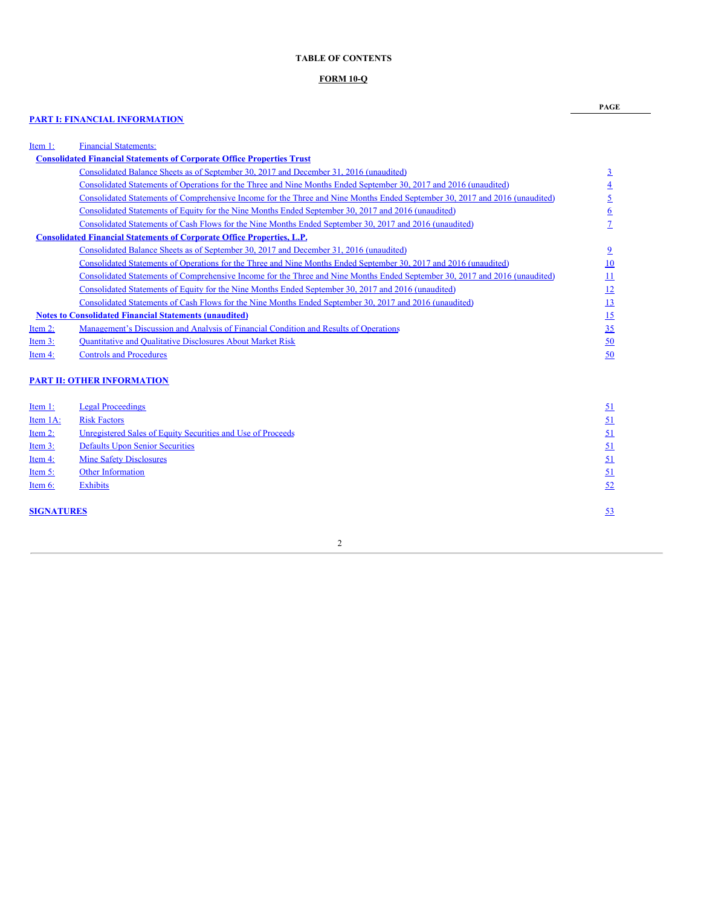## **TABLE OF CONTENTS**

## **FORM 10-Q**

## **PART I: FINANCIAL [INFORMATION](#page-4-0)**

**PAGE**

| Item 1:    | <b>Financial Statements:</b>                                                                                                |                  |
|------------|-----------------------------------------------------------------------------------------------------------------------------|------------------|
|            | <b>Consolidated Financial Statements of Corporate Office Properties Trust</b>                                               |                  |
|            | Consolidated Balance Sheets as of September 30, 2017 and December 31, 2016 (unaudited)                                      | $\overline{3}$   |
|            | Consolidated Statements of Operations for the Three and Nine Months Ended September 30, 2017 and 2016 (unaudited)           | $\overline{4}$   |
|            | Consolidated Statements of Comprehensive Income for the Three and Nine Months Ended September 30, 2017 and 2016 (unaudited) | <u>5</u>         |
|            | Consolidated Statements of Equity for the Nine Months Ended September 30, 2017 and 2016 (unaudited)                         | $\underline{6}$  |
|            | Consolidated Statements of Cash Flows for the Nine Months Ended September 30, 2017 and 2016 (unaudited)                     | $\mathcal{I}$    |
|            | <b>Consolidated Financial Statements of Corporate Office Properties, L.P.</b>                                               |                  |
|            | Consolidated Balance Sheets as of September 30, 2017 and December 31, 2016 (unaudited)                                      | $\overline{2}$   |
|            | Consolidated Statements of Operations for the Three and Nine Months Ended September 30, 2017 and 2016 (unaudited)           | 10               |
|            | Consolidated Statements of Comprehensive Income for the Three and Nine Months Ended September 30, 2017 and 2016 (unaudited) | $\overline{11}$  |
|            | Consolidated Statements of Equity for the Nine Months Ended September 30, 2017 and 2016 (unaudited)                         | $\underline{12}$ |
|            | Consolidated Statements of Cash Flows for the Nine Months Ended September 30, 2017 and 2016 (unaudited)                     | <u>13</u>        |
|            | <b>Notes to Consolidated Financial Statements (unaudited)</b>                                                               | $\overline{15}$  |
| Item $2$ : | Management's Discussion and Analysis of Financial Condition and Results of Operations                                       | 35               |
| Item $3$ : | <b>Quantitative and Qualitative Disclosures About Market Risk</b>                                                           | $\underline{50}$ |
| Item 4:    | <b>Controls and Procedures</b>                                                                                              | 50               |
|            |                                                                                                                             |                  |
|            | <b>PART II: OTHER INFORMATION</b>                                                                                           |                  |
| Item 1:    | <b>Legal Proceedings</b>                                                                                                    | <u>51</u>        |
| Item 1A:   | <b>Risk Factors</b>                                                                                                         | 51               |

| Item $2$ :        | Unregistered Sales of Equity Securities and Use of Proceeds | <u>51</u> |
|-------------------|-------------------------------------------------------------|-----------|
| Item $3:$         | <b>Defaults Upon Senior Securities</b>                      | <u>51</u> |
| Item 4:           | <b>Mine Safety Disclosures</b>                              | 51        |
| Item $5$ :        | <b>Other Information</b>                                    | <u>51</u> |
| Item $6$ :        | <b>Exhibits</b>                                             | 52        |
| <b>SIGNATURES</b> |                                                             | 53        |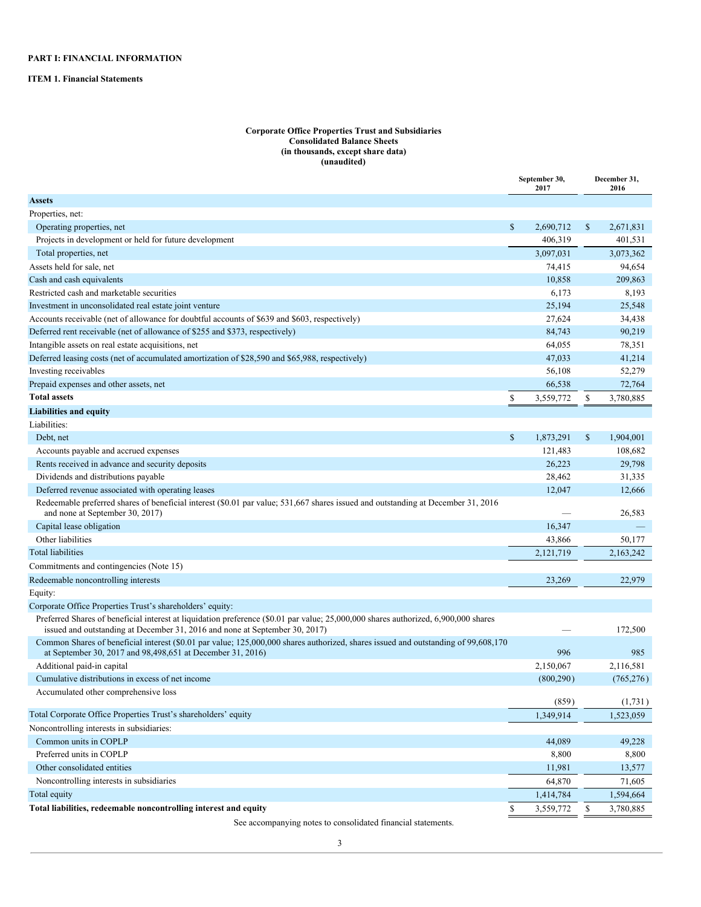<span id="page-4-3"></span><span id="page-4-2"></span><span id="page-4-1"></span><span id="page-4-0"></span>**ITEM 1. Financial Statements**

#### **Corporate Office Properties Trust and Subsidiaries Consolidated Balance Sheets (in thousands, except share data) (unaudited)**

|                                                                                                                                                                                                                    | September 30,<br>2017 |    | December 31,<br>2016 |
|--------------------------------------------------------------------------------------------------------------------------------------------------------------------------------------------------------------------|-----------------------|----|----------------------|
| <b>Assets</b>                                                                                                                                                                                                      |                       |    |                      |
| Properties, net:                                                                                                                                                                                                   |                       |    |                      |
| Operating properties, net                                                                                                                                                                                          | \$<br>2,690,712       | \$ | 2,671,831            |
| Projects in development or held for future development                                                                                                                                                             | 406.319               |    | 401,531              |
| Total properties, net                                                                                                                                                                                              | 3.097.031             |    | 3,073,362            |
| Assets held for sale, net                                                                                                                                                                                          | 74,415                |    | 94,654               |
| Cash and cash equivalents                                                                                                                                                                                          | 10,858                |    | 209,863              |
| Restricted cash and marketable securities                                                                                                                                                                          | 6,173                 |    | 8,193                |
| Investment in unconsolidated real estate joint venture                                                                                                                                                             | 25,194                |    | 25,548               |
| Accounts receivable (net of allowance for doubtful accounts of \$639 and \$603, respectively)                                                                                                                      | 27,624                |    | 34,438               |
| Deferred rent receivable (net of allowance of \$255 and \$373, respectively)                                                                                                                                       | 84,743                |    | 90,219               |
| Intangible assets on real estate acquisitions, net                                                                                                                                                                 | 64,055                |    | 78,351               |
| Deferred leasing costs (net of accumulated amortization of \$28,590 and \$65,988, respectively)                                                                                                                    | 47,033                |    | 41,214               |
| Investing receivables                                                                                                                                                                                              | 56,108                |    | 52,279               |
| Prepaid expenses and other assets, net                                                                                                                                                                             | 66,538                |    | 72,764               |
| <b>Total assets</b>                                                                                                                                                                                                | \$<br>3,559,772       | \$ | 3,780,885            |
| <b>Liabilities and equity</b>                                                                                                                                                                                      |                       |    |                      |
| Liabilities:                                                                                                                                                                                                       |                       |    |                      |
| Debt, net                                                                                                                                                                                                          | \$<br>1,873,291       | \$ | 1,904,001            |
| Accounts payable and accrued expenses                                                                                                                                                                              | 121,483               |    | 108,682              |
| Rents received in advance and security deposits                                                                                                                                                                    | 26,223                |    | 29,798               |
| Dividends and distributions payable                                                                                                                                                                                | 28,462                |    | 31,335               |
| Deferred revenue associated with operating leases                                                                                                                                                                  | 12,047                |    | 12,666               |
| Redeemable preferred shares of beneficial interest (\$0.01 par value; 531,667 shares issued and outstanding at December 31, 2016<br>and none at September 30, 2017)                                                |                       |    | 26,583               |
| Capital lease obligation                                                                                                                                                                                           | 16,347                |    |                      |
| Other liabilities                                                                                                                                                                                                  | 43,866                |    | 50,177               |
| <b>Total liabilities</b>                                                                                                                                                                                           | 2,121,719             |    | 2,163,242            |
| Commitments and contingencies (Note 15)                                                                                                                                                                            |                       |    |                      |
| Redeemable noncontrolling interests                                                                                                                                                                                | 23,269                |    | 22,979               |
| Equity:                                                                                                                                                                                                            |                       |    |                      |
| Corporate Office Properties Trust's shareholders' equity:                                                                                                                                                          |                       |    |                      |
| Preferred Shares of beneficial interest at liquidation preference (\$0.01 par value; 25,000,000 shares authorized, 6,900,000 shares<br>issued and outstanding at December 31, 2016 and none at September 30, 2017) |                       |    | 172,500              |
| Common Shares of beneficial interest (\$0.01 par value; 125,000,000 shares authorized, shares issued and outstanding of 99,608,170<br>at September 30, 2017 and 98,498,651 at December 31, 2016)                   | 996                   |    | 985                  |
| Additional paid-in capital                                                                                                                                                                                         | 2,150,067             |    | 2,116,581            |
| Cumulative distributions in excess of net income                                                                                                                                                                   | (800, 290)            |    | (765, 276)           |
| Accumulated other comprehensive loss                                                                                                                                                                               |                       |    |                      |
| Total Corporate Office Properties Trust's shareholders' equity                                                                                                                                                     | (859)                 |    | (1,731)              |
| Noncontrolling interests in subsidiaries:                                                                                                                                                                          | 1,349,914             |    | 1,523,059            |
|                                                                                                                                                                                                                    |                       |    |                      |
| Common units in COPLP<br>Preferred units in COPLP                                                                                                                                                                  | 44,089                |    | 49,228               |
|                                                                                                                                                                                                                    | 8,800                 |    | 8,800                |
| Other consolidated entities                                                                                                                                                                                        | 11,981                |    | 13,577               |
| Noncontrolling interests in subsidiaries                                                                                                                                                                           | 64,870                |    | 71,605               |
| Total equity                                                                                                                                                                                                       | 1,414,784             |    | 1,594,664            |
| Total liabilities, redeemable noncontrolling interest and equity                                                                                                                                                   | \$<br>3,559,772       | S  | 3,780,885            |

See accompanying notes to consolidated financial statements.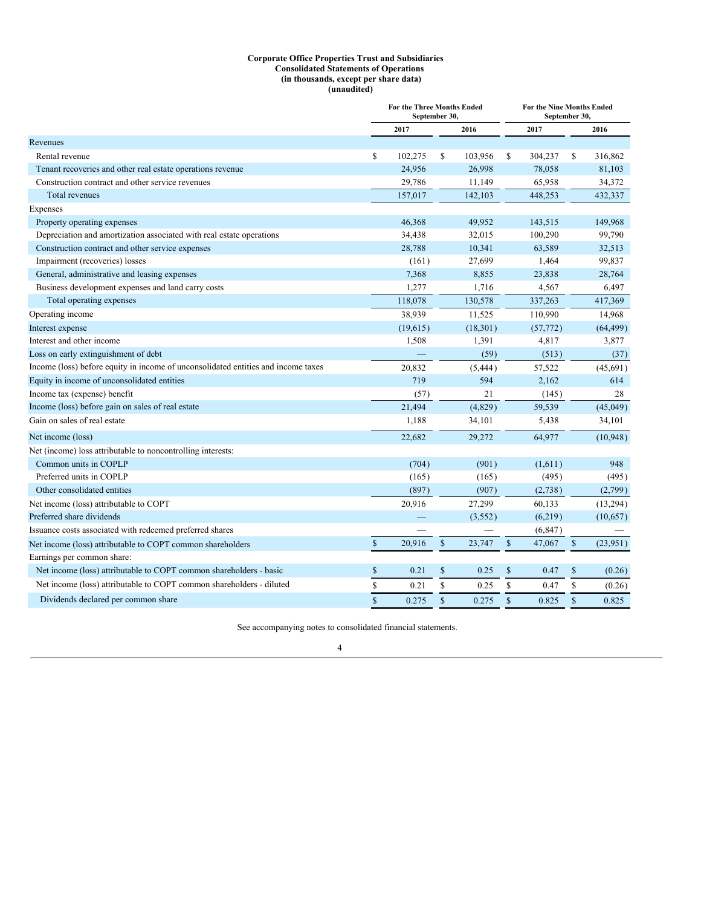#### **Corporate Office Properties Trust and Subsidiaries Consolidated Statements of Operations (in thousands, except per share data) (unaudited)**

<span id="page-5-0"></span>

|                                                                                   | <b>For the Three Months Ended</b><br>September 30, |          |              | For the Nine Months Ended<br>September 30, |              |           |              |           |
|-----------------------------------------------------------------------------------|----------------------------------------------------|----------|--------------|--------------------------------------------|--------------|-----------|--------------|-----------|
|                                                                                   |                                                    | 2017     |              | 2016                                       |              | 2017      |              | 2016      |
| Revenues                                                                          |                                                    |          |              |                                            |              |           |              |           |
| Rental revenue                                                                    | \$                                                 | 102,275  | \$           | 103,956                                    | S            | 304,237   | S            | 316,862   |
| Tenant recoveries and other real estate operations revenue                        |                                                    | 24,956   |              | 26,998                                     |              | 78,058    |              | 81,103    |
| Construction contract and other service revenues                                  |                                                    | 29,786   |              | 11,149                                     |              | 65,958    |              | 34,372    |
| Total revenues                                                                    |                                                    | 157,017  |              | 142,103                                    |              | 448,253   |              | 432,337   |
| Expenses                                                                          |                                                    |          |              |                                            |              |           |              |           |
| Property operating expenses                                                       |                                                    | 46,368   |              | 49,952                                     |              | 143,515   |              | 149,968   |
| Depreciation and amortization associated with real estate operations              |                                                    | 34,438   |              | 32,015                                     |              | 100,290   |              | 99,790    |
| Construction contract and other service expenses                                  |                                                    | 28,788   |              | 10,341                                     |              | 63,589    |              | 32,513    |
| Impairment (recoveries) losses                                                    |                                                    | (161)    |              | 27,699                                     |              | 1,464     |              | 99,837    |
| General, administrative and leasing expenses                                      |                                                    | 7,368    |              | 8,855                                      |              | 23,838    |              | 28,764    |
| Business development expenses and land carry costs                                |                                                    | 1,277    |              | 1,716                                      |              | 4,567     |              | 6,497     |
| Total operating expenses                                                          |                                                    | 118,078  |              | 130,578                                    |              | 337,263   |              | 417,369   |
| Operating income                                                                  |                                                    | 38,939   |              | 11,525                                     |              | 110,990   |              | 14,968    |
| Interest expense                                                                  |                                                    | (19,615) |              | (18, 301)                                  |              | (57, 772) |              | (64, 499) |
| Interest and other income                                                         |                                                    | 1,508    |              | 1,391                                      |              | 4,817     |              | 3,877     |
| Loss on early extinguishment of debt                                              |                                                    |          |              | (59)                                       |              | (513)     |              | (37)      |
| Income (loss) before equity in income of unconsolidated entities and income taxes |                                                    | 20,832   |              | (5, 444)                                   |              | 57,522    |              | (45, 691) |
| Equity in income of unconsolidated entities                                       |                                                    | 719      |              | 594                                        |              | 2,162     |              | 614       |
| Income tax (expense) benefit                                                      |                                                    | (57)     |              | 21                                         |              | (145)     |              | 28        |
| Income (loss) before gain on sales of real estate                                 |                                                    | 21,494   |              | (4,829)                                    |              | 59,539    |              | (45,049)  |
| Gain on sales of real estate                                                      |                                                    | 1,188    |              | 34,101                                     |              | 5,438     |              | 34,101    |
| Net income (loss)                                                                 |                                                    | 22,682   |              | 29,272                                     |              | 64,977    |              | (10, 948) |
| Net (income) loss attributable to noncontrolling interests:                       |                                                    |          |              |                                            |              |           |              |           |
| Common units in COPLP                                                             |                                                    | (704)    |              | (901)                                      |              | (1,611)   |              | 948       |
| Preferred units in COPLP                                                          |                                                    | (165)    |              | (165)                                      |              | (495)     |              | (495)     |
| Other consolidated entities                                                       |                                                    | (897)    |              | (907)                                      |              | (2,738)   |              | (2,799)   |
| Net income (loss) attributable to COPT                                            |                                                    | 20,916   |              | 27,299                                     |              | 60,133    |              | (13,294)  |
| Preferred share dividends                                                         |                                                    |          |              | (3,552)                                    |              | (6,219)   |              | (10,657)  |
| Issuance costs associated with redeemed preferred shares                          |                                                    |          |              |                                            |              | (6, 847)  |              |           |
| Net income (loss) attributable to COPT common shareholders                        | $\mathbb S$                                        | 20,916   | $\$$         | 23,747                                     | $\mathbb{S}$ | 47,067    | $\mathbb{S}$ | (23,951)  |
| Earnings per common share:                                                        |                                                    |          |              |                                            |              |           |              |           |
| Net income (loss) attributable to COPT common shareholders - basic                | \$                                                 | 0.21     | \$           | 0.25                                       | \$           | 0.47      | \$           | (0.26)    |
| Net income (loss) attributable to COPT common shareholders - diluted              | \$                                                 | 0.21     | \$           | 0.25                                       | \$           | 0.47      | S            | (0.26)    |
| Dividends declared per common share                                               | $\mathbb{S}$                                       | 0.275    | $\mathbb{S}$ | 0.275                                      | $\mathbb{S}$ | 0.825     | $\mathbb S$  | 0.825     |

See accompanying notes to consolidated financial statements.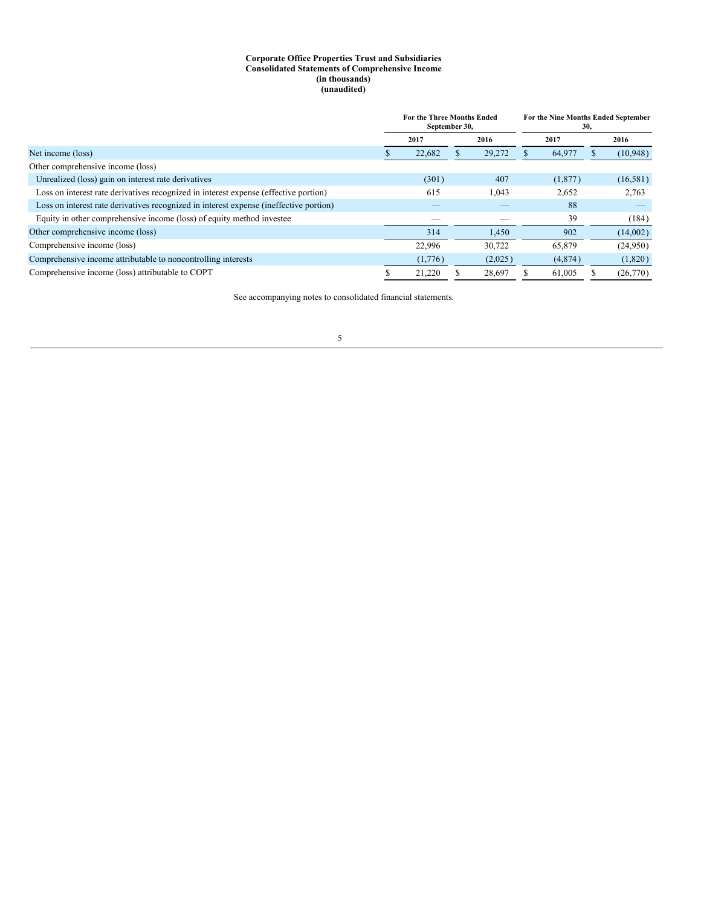#### **Corporate Office Properties Trust and Subsidiaries Consolidated Statements of Comprehensive Income (in thousands) (unaudited)**

<span id="page-6-0"></span>

|                                                                                        | <b>For the Three Months Ended</b><br>September 30, |  |         |  | For the Nine Months Ended September<br>30, |  |           |  |
|----------------------------------------------------------------------------------------|----------------------------------------------------|--|---------|--|--------------------------------------------|--|-----------|--|
|                                                                                        | 2017                                               |  | 2016    |  | 2017                                       |  | 2016      |  |
| Net income (loss)                                                                      | 22,682                                             |  | 29,272  |  | 64,977                                     |  | (10, 948) |  |
| Other comprehensive income (loss)                                                      |                                                    |  |         |  |                                            |  |           |  |
| Unrealized (loss) gain on interest rate derivatives                                    | (301)                                              |  | 407     |  | (1,877)                                    |  | (16, 581) |  |
| Loss on interest rate derivatives recognized in interest expense (effective portion)   | 615                                                |  | 1,043   |  | 2,652                                      |  | 2,763     |  |
| Loss on interest rate derivatives recognized in interest expense (ineffective portion) |                                                    |  |         |  | 88                                         |  |           |  |
| Equity in other comprehensive income (loss) of equity method investee                  |                                                    |  |         |  | 39                                         |  | (184)     |  |
| Other comprehensive income (loss)                                                      | 314                                                |  | 1,450   |  | 902                                        |  | (14,002)  |  |
| Comprehensive income (loss)                                                            | 22,996                                             |  | 30.722  |  | 65,879                                     |  | (24,950)  |  |
| Comprehensive income attributable to noncontrolling interests                          | (1,776)                                            |  | (2,025) |  | (4,874)                                    |  | (1,820)   |  |
| Comprehensive income (loss) attributable to COPT                                       | 21.220                                             |  | 28.697  |  | 61.005                                     |  | (26,770)  |  |

See accompanying notes to consolidated financial statements.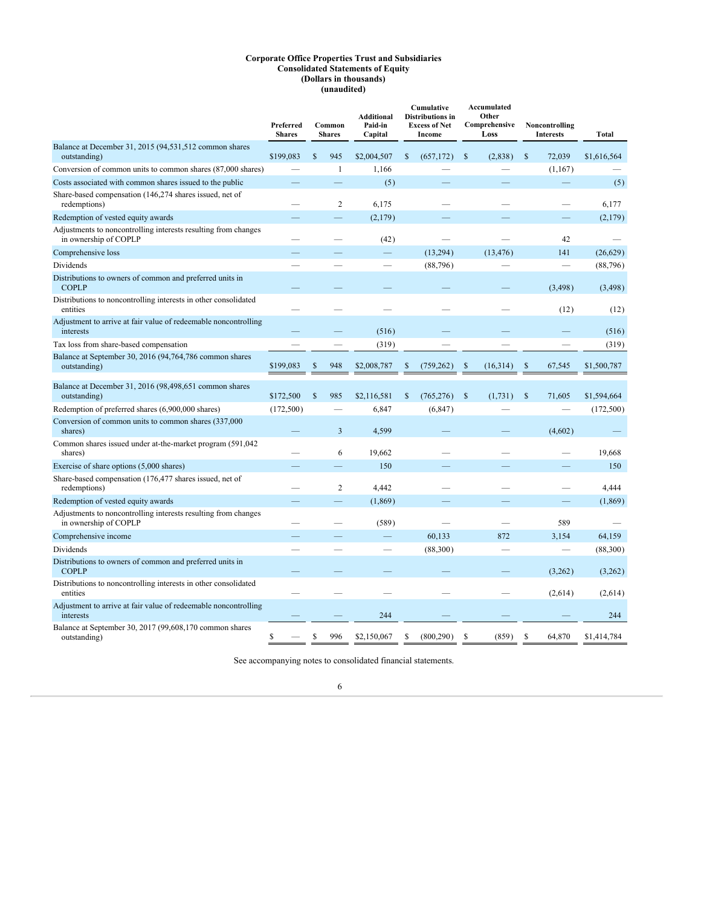#### **Corporate Office Properties Trust and Subsidiaries Consolidated Statements of Equity (Dollars in thousands) (unaudited)**

<span id="page-7-0"></span>

|                                                                                         | Preferred<br><b>Shares</b> |    | Common<br><b>Shares</b> | <b>Additional</b><br>Paid-in<br>Capital | Cumulative<br><b>Distributions</b> in<br><b>Excess of Net</b><br>Income |               | Accumulated<br>Other<br>Comprehensive<br>Loss |               | Noncontrolling<br><b>Interests</b> | Total       |
|-----------------------------------------------------------------------------------------|----------------------------|----|-------------------------|-----------------------------------------|-------------------------------------------------------------------------|---------------|-----------------------------------------------|---------------|------------------------------------|-------------|
| Balance at December 31, 2015 (94,531,512 common shares<br>outstanding)                  | \$199,083                  | \$ | 945                     | \$2,004,507                             | \$<br>(657, 172)                                                        | $\mathbb{S}$  | (2,838)                                       | \$            | 72,039                             | \$1,616,564 |
| Conversion of common units to common shares (87,000 shares)                             |                            |    | $\mathbf{1}$            | 1,166                                   |                                                                         |               |                                               |               | (1,167)                            |             |
| Costs associated with common shares issued to the public                                |                            |    |                         | (5)                                     |                                                                         |               |                                               |               |                                    | (5)         |
| Share-based compensation (146,274 shares issued, net of<br>redemptions)                 |                            |    | $\overline{c}$          | 6,175                                   |                                                                         |               |                                               |               |                                    | 6,177       |
| Redemption of vested equity awards                                                      |                            |    |                         | (2,179)                                 |                                                                         |               |                                               |               |                                    | (2,179)     |
| Adjustments to noncontrolling interests resulting from changes<br>in ownership of COPLP |                            |    |                         | (42)                                    |                                                                         |               |                                               |               | 42                                 |             |
| Comprehensive loss                                                                      |                            |    |                         |                                         | (13,294)                                                                |               | (13, 476)                                     |               | 141                                | (26, 629)   |
| Dividends                                                                               |                            |    |                         |                                         | (88, 796)                                                               |               |                                               |               |                                    | (88, 796)   |
| Distributions to owners of common and preferred units in<br><b>COPLP</b>                |                            |    |                         |                                         |                                                                         |               |                                               |               | (3, 498)                           | (3, 498)    |
| Distributions to noncontrolling interests in other consolidated<br>entities             |                            |    |                         |                                         |                                                                         |               |                                               |               | (12)                               | (12)        |
| Adjustment to arrive at fair value of redeemable noncontrolling<br>interests            |                            |    |                         | (516)                                   |                                                                         |               |                                               |               |                                    | (516)       |
| Tax loss from share-based compensation                                                  |                            |    |                         | (319)                                   |                                                                         |               |                                               |               |                                    | (319)       |
| Balance at September 30, 2016 (94,764,786 common shares<br>outstanding)                 | \$199,083                  | S  | 948                     | \$2,008,787                             | \$<br>(759, 262)                                                        | <sup>\$</sup> | (16,314)                                      | \$            | 67,545                             | \$1,500,787 |
| Balance at December 31, 2016 (98,498,651 common shares<br>outstanding)                  | \$172,500                  | \$ | 985                     | \$2,116,581                             | \$<br>(765, 276)                                                        | $\mathcal{S}$ | (1,731)                                       | $\mathcal{S}$ | 71,605                             | \$1,594,664 |
| Redemption of preferred shares (6,900,000 shares)                                       | (172,500)                  |    |                         | 6,847                                   | (6, 847)                                                                |               |                                               |               |                                    | (172,500)   |
| Conversion of common units to common shares (337,000)<br>shares)                        |                            |    | $\overline{3}$          | 4,599                                   |                                                                         |               |                                               |               | (4,602)                            |             |
| Common shares issued under at-the-market program (591,042)<br>shares)                   |                            |    | 6                       | 19,662                                  |                                                                         |               |                                               |               |                                    | 19,668      |
| Exercise of share options (5,000 shares)                                                |                            |    |                         | 150                                     |                                                                         |               |                                               |               |                                    | 150         |
| Share-based compensation (176,477 shares issued, net of<br>redemptions)                 |                            |    | $\overline{c}$          | 4,442                                   |                                                                         |               |                                               |               |                                    | 4,444       |
| Redemption of vested equity awards                                                      |                            |    |                         | (1, 869)                                |                                                                         |               |                                               |               |                                    | (1,869)     |
| Adjustments to noncontrolling interests resulting from changes<br>in ownership of COPLP |                            |    |                         | (589)                                   |                                                                         |               |                                               |               | 589                                |             |
| Comprehensive income                                                                    |                            |    |                         |                                         | 60,133                                                                  |               | 872                                           |               | 3,154                              | 64,159      |
| Dividends                                                                               |                            |    |                         |                                         | (88,300)                                                                |               |                                               |               |                                    | (88,300)    |
| Distributions to owners of common and preferred units in<br><b>COPLP</b>                |                            |    |                         |                                         |                                                                         |               |                                               |               | (3,262)                            | (3,262)     |
| Distributions to noncontrolling interests in other consolidated<br>entities             |                            |    |                         |                                         |                                                                         |               |                                               |               | (2,614)                            | (2,614)     |
| Adjustment to arrive at fair value of redeemable noncontrolling<br>interests            |                            |    |                         | 244                                     |                                                                         |               |                                               |               |                                    | 244         |
| Balance at September 30, 2017 (99,608,170 common shares<br>outstanding)                 | \$                         | \$ | 996                     | \$2,150,067                             | \$<br>(800, 290)                                                        | \$            | (859)                                         | S             | 64,870                             | \$1,414,784 |

See accompanying notes to consolidated financial statements.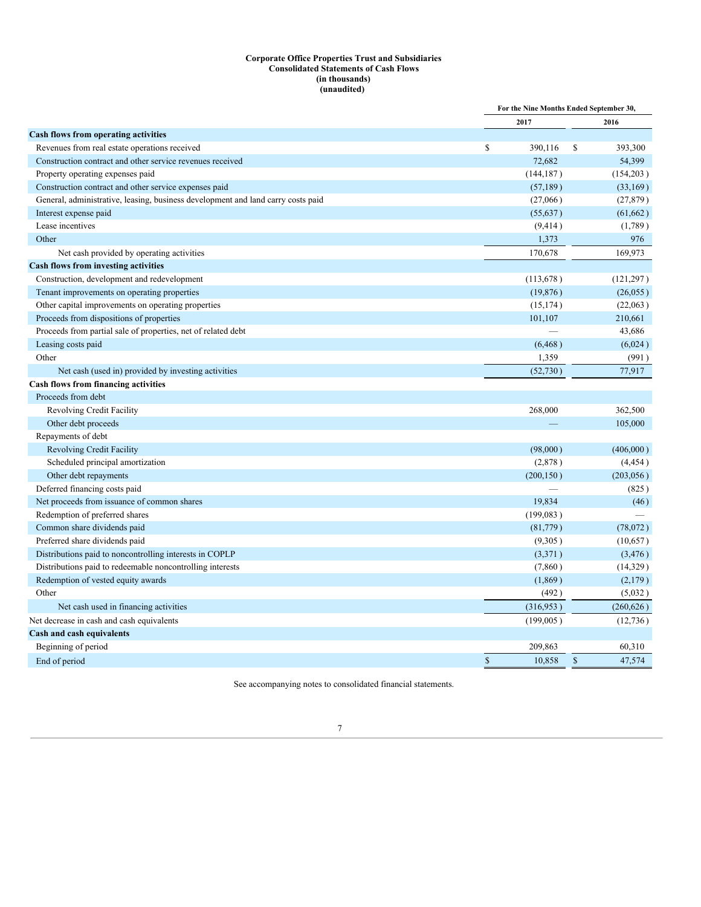#### **Corporate Office Properties Trust and Subsidiaries Consolidated Statements of Cash Flows (in thousands) (unaudited)**

<span id="page-8-0"></span>

|                                                                                  |                       | For the Nine Months Ended September 30, |
|----------------------------------------------------------------------------------|-----------------------|-----------------------------------------|
|                                                                                  | 2017                  | 2016                                    |
| Cash flows from operating activities                                             |                       |                                         |
| Revenues from real estate operations received                                    | \$<br>390,116         | S<br>393,300                            |
| Construction contract and other service revenues received                        | 72.682                | 54,399                                  |
| Property operating expenses paid                                                 | (144, 187)            | (154,203)                               |
| Construction contract and other service expenses paid                            | (57, 189)             | (33,169)                                |
| General, administrative, leasing, business development and land carry costs paid | (27,066)              | (27, 879)                               |
| Interest expense paid                                                            | (55, 637)             | (61, 662)                               |
| Lease incentives                                                                 | (9, 414)              | (1,789)                                 |
| Other                                                                            | 1,373                 | 976                                     |
| Net cash provided by operating activities                                        | 170,678               | 169,973                                 |
| <b>Cash flows from investing activities</b>                                      |                       |                                         |
| Construction, development and redevelopment                                      | (113, 678)            | (121, 297)                              |
| Tenant improvements on operating properties                                      | (19, 876)             | (26, 055)                               |
| Other capital improvements on operating properties                               | (15, 174)             | (22,063)                                |
| Proceeds from dispositions of properties                                         | 101,107               | 210,661                                 |
| Proceeds from partial sale of properties, net of related debt                    |                       | 43,686                                  |
| Leasing costs paid                                                               | (6, 468)              | (6,024)                                 |
| Other                                                                            | 1,359                 | (991)                                   |
| Net cash (used in) provided by investing activities                              | (52,730)              | 77,917                                  |
| Cash flows from financing activities                                             |                       |                                         |
| Proceeds from debt                                                               |                       |                                         |
| Revolving Credit Facility                                                        | 268,000               | 362,500                                 |
| Other debt proceeds                                                              |                       | 105,000                                 |
| Repayments of debt                                                               |                       |                                         |
| <b>Revolving Credit Facility</b>                                                 | (98,000)              | (406,000)                               |
| Scheduled principal amortization                                                 | (2,878)               | (4, 454)                                |
| Other debt repayments                                                            | (200, 150)            | (203, 056)                              |
| Deferred financing costs paid                                                    |                       | (825)                                   |
| Net proceeds from issuance of common shares                                      | 19,834                | (46)                                    |
| Redemption of preferred shares                                                   | (199,083)             |                                         |
| Common share dividends paid                                                      | (81,779)              | (78,072)                                |
| Preferred share dividends paid                                                   | (9,305)               | (10,657)                                |
| Distributions paid to noncontrolling interests in COPLP                          | (3,371)               | (3, 476)                                |
| Distributions paid to redeemable noncontrolling interests                        | (7, 860)              | (14,329)                                |
| Redemption of vested equity awards                                               | (1, 869)              | (2,179)                                 |
| Other                                                                            | (492)                 | (5,032)                                 |
| Net cash used in financing activities                                            | (316,953)             | (260, 626)                              |
| Net decrease in cash and cash equivalents                                        | (199,005)             | (12,736)                                |
| Cash and cash equivalents                                                        |                       |                                         |
| Beginning of period                                                              | 209,863               | 60,310                                  |
| End of period                                                                    | $\sqrt{\ }$<br>10,858 | $\mathbb{S}$<br>47,574                  |
|                                                                                  |                       |                                         |

See accompanying notes to consolidated financial statements.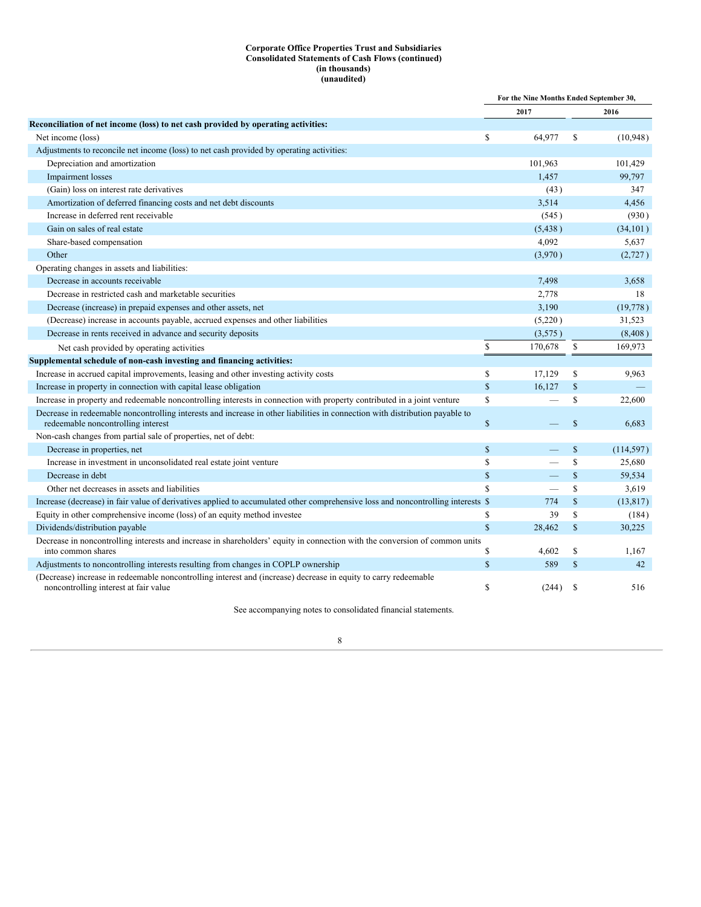### **Corporate Office Properties Trust and Subsidiaries Consolidated Statements of Cash Flows (continued) (in thousands) (unaudited)**

|                                                                                                                                                                    |               | For the Nine Months Ended September 30, |               |            |
|--------------------------------------------------------------------------------------------------------------------------------------------------------------------|---------------|-----------------------------------------|---------------|------------|
|                                                                                                                                                                    |               | 2017                                    |               | 2016       |
| Reconciliation of net income (loss) to net cash provided by operating activities:                                                                                  |               |                                         |               |            |
| Net income (loss)                                                                                                                                                  | \$            | 64,977                                  | S             | (10, 948)  |
| Adjustments to reconcile net income (loss) to net cash provided by operating activities:                                                                           |               |                                         |               |            |
| Depreciation and amortization                                                                                                                                      |               | 101,963                                 |               | 101,429    |
| Impairment losses                                                                                                                                                  |               | 1,457                                   |               | 99,797     |
| (Gain) loss on interest rate derivatives                                                                                                                           |               | (43)                                    |               | 347        |
| Amortization of deferred financing costs and net debt discounts                                                                                                    |               | 3,514                                   |               | 4,456      |
| Increase in deferred rent receivable                                                                                                                               |               | (545)                                   |               | (930)      |
| Gain on sales of real estate                                                                                                                                       |               | (5, 438)                                |               | (34, 101)  |
| Share-based compensation                                                                                                                                           |               | 4,092                                   |               | 5,637      |
| Other                                                                                                                                                              |               | (3,970)                                 |               | (2, 727)   |
| Operating changes in assets and liabilities:                                                                                                                       |               |                                         |               |            |
| Decrease in accounts receivable                                                                                                                                    |               | 7,498                                   |               | 3,658      |
| Decrease in restricted cash and marketable securities                                                                                                              |               | 2,778                                   |               | 18         |
| Decrease (increase) in prepaid expenses and other assets, net                                                                                                      |               | 3,190                                   |               | (19,778)   |
| (Decrease) increase in accounts payable, accrued expenses and other liabilities                                                                                    |               | (5,220)                                 |               | 31,523     |
| Decrease in rents received in advance and security deposits                                                                                                        |               | (3,575)                                 |               | (8,408)    |
| Net cash provided by operating activities                                                                                                                          | ${\mathbb S}$ | 170,678                                 | \$            | 169,973    |
| Supplemental schedule of non-cash investing and financing activities:                                                                                              |               |                                         |               |            |
| Increase in accrued capital improvements, leasing and other investing activity costs                                                                               | \$            | 17,129                                  | S             | 9,963      |
| Increase in property in connection with capital lease obligation                                                                                                   | $\mathsf{\$}$ | 16,127                                  | $\mathbb{S}$  |            |
| Increase in property and redeemable noncontrolling interests in connection with property contributed in a joint venture                                            | <sup>\$</sup> |                                         | S             | 22,600     |
| Decrease in redeemable noncontrolling interests and increase in other liabilities in connection with distribution payable to<br>redeemable noncontrolling interest | $\mathsf{\$}$ |                                         | $\mathbb{S}$  | 6.683      |
| Non-cash changes from partial sale of properties, net of debt:                                                                                                     |               |                                         |               |            |
| Decrease in properties, net                                                                                                                                        | $\mathsf{\$}$ |                                         | $\mathbb{S}$  | (114, 597) |
| Increase in investment in unconsolidated real estate joint venture                                                                                                 | <sup>\$</sup> |                                         | S             | 25,680     |
| Decrease in debt                                                                                                                                                   | $\mathbb S$   |                                         | $\mathbb{S}$  | 59,534     |
| Other net decreases in assets and liabilities                                                                                                                      | <sup>\$</sup> |                                         | S             | 3,619      |
| Increase (decrease) in fair value of derivatives applied to accumulated other comprehensive loss and noncontrolling interests \$                                   |               | 774                                     | $\mathbb{S}$  | (13, 817)  |
| Equity in other comprehensive income (loss) of an equity method investee                                                                                           | \$            | 39                                      | $\mathbb{S}$  | (184)      |
| Dividends/distribution payable                                                                                                                                     | $\mathbf S$   | 28,462                                  | $\mathbb{S}$  | 30,225     |
| Decrease in noncontrolling interests and increase in shareholders' equity in connection with the conversion of common units<br>into common shares                  | \$            | 4,602                                   | S             | 1,167      |
| Adjustments to noncontrolling interests resulting from changes in COPLP ownership                                                                                  | $\mathsf{\$}$ | 589                                     | $\mathbb{S}$  | 42         |
| (Decrease) increase in redeemable noncontrolling interest and (increase) decrease in equity to carry redeemable<br>noncontrolling interest at fair value           | \$            | (244)                                   | <sup>\$</sup> | 516        |

See accompanying notes to consolidated financial statements.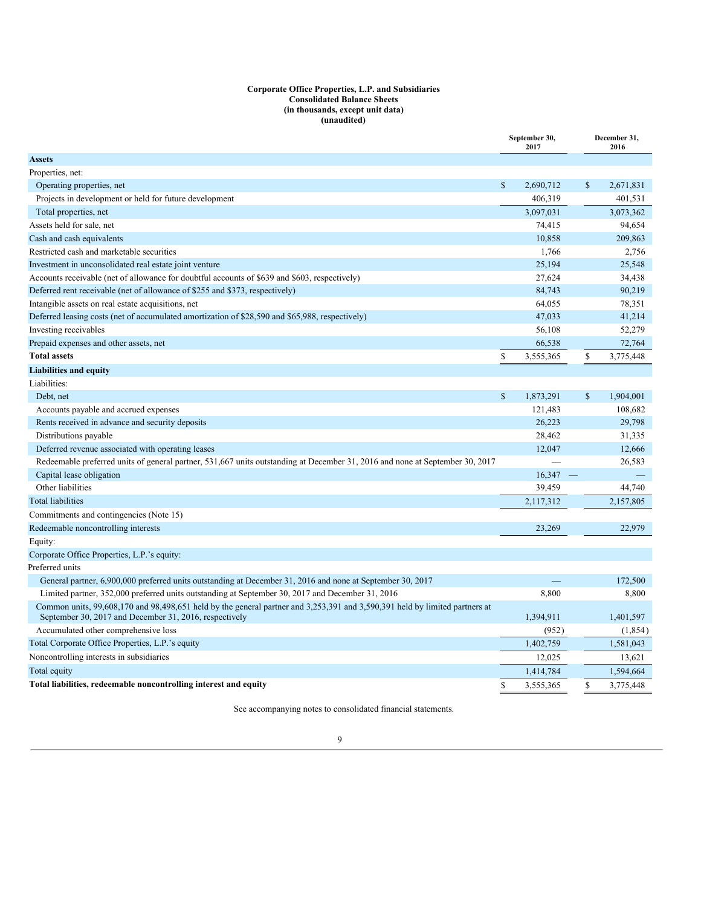#### **Corporate Office Properties, L.P. and Subsidiaries Consolidated Balance Sheets (in thousands, except unit data) (unaudited)**

<span id="page-10-1"></span><span id="page-10-0"></span>

| Operating properties, net<br>$\mathbb{S}$<br>S<br>2,690,712<br>2,671,831<br>Projects in development or held for future development<br>406,319<br>401,531<br>Total properties, net<br>3,097,031<br>3,073,362<br>Assets held for sale, net<br>74,415<br>94,654<br>209,863<br>10.858<br>1,766<br>2,756<br>25,194<br>25,548<br>27,624<br>34,438<br>84,743<br>90,219<br>64,055<br>78,351<br>47,033<br>41,214<br>52,279<br>56,108<br>72,764<br>66,538<br>\$<br>\$<br>3,775,448<br>3,555,365<br>Liabilities:<br>$\mathbb{S}$<br>$\mathbb{S}$<br>1,904,001<br>Debt, net<br>1,873,291<br>108.682<br>Accounts payable and accrued expenses<br>121,483<br>26,223<br>Rents received in advance and security deposits<br>29,798<br>28,462<br>31,335<br>Distributions payable<br>Deferred revenue associated with operating leases<br>12,047<br>12,666<br>Redeemable preferred units of general partner, 531,667 units outstanding at December 31, 2016 and none at September 30, 2017<br>26,583<br>16,347<br>Capital lease obligation<br>$\overline{\phantom{a}}$<br>Other liabilities<br>39,459<br>44,740<br>2,117,312<br>2,157,805<br>22.979<br>Redeemable noncontrolling interests<br>23,269<br>General partner, 6,900,000 preferred units outstanding at December 31, 2016 and none at September 30, 2017<br>172,500<br>Limited partner, 352,000 preferred units outstanding at September 30, 2017 and December 31, 2016<br>8,800<br>8,800<br>Common units, 99,608,170 and 98,498,651 held by the general partner and 3,253,391 and 3,590,391 held by limited partners at<br>September 30, 2017 and December 31, 2016, respectively<br>1,394,911<br>1,401,597<br>Accumulated other comprehensive loss<br>(952)<br>(1, 854)<br>Total Corporate Office Properties, L.P.'s equity<br>1,402,759<br>1,581,043<br>Noncontrolling interests in subsidiaries<br>12.025<br>13.621<br>1,414,784<br>1,594,664<br>S.<br>S<br>3,775,448<br>Total liabilities, redeemable noncontrolling interest and equity<br>3,555,365 |                                                                                                 | September 30,<br>2017 | December 31,<br>2016 |
|----------------------------------------------------------------------------------------------------------------------------------------------------------------------------------------------------------------------------------------------------------------------------------------------------------------------------------------------------------------------------------------------------------------------------------------------------------------------------------------------------------------------------------------------------------------------------------------------------------------------------------------------------------------------------------------------------------------------------------------------------------------------------------------------------------------------------------------------------------------------------------------------------------------------------------------------------------------------------------------------------------------------------------------------------------------------------------------------------------------------------------------------------------------------------------------------------------------------------------------------------------------------------------------------------------------------------------------------------------------------------------------------------------------------------------------------------------------------------------------------------------------------------------------------------------------------------------------------------------------------------------------------------------------------------------------------------------------------------------------------------------------------------------------------------------------------------------------------------------------------------------------------------------------------------------------------------------------------------------------------------|-------------------------------------------------------------------------------------------------|-----------------------|----------------------|
|                                                                                                                                                                                                                                                                                                                                                                                                                                                                                                                                                                                                                                                                                                                                                                                                                                                                                                                                                                                                                                                                                                                                                                                                                                                                                                                                                                                                                                                                                                                                                                                                                                                                                                                                                                                                                                                                                                                                                                                                    | <b>Assets</b>                                                                                   |                       |                      |
|                                                                                                                                                                                                                                                                                                                                                                                                                                                                                                                                                                                                                                                                                                                                                                                                                                                                                                                                                                                                                                                                                                                                                                                                                                                                                                                                                                                                                                                                                                                                                                                                                                                                                                                                                                                                                                                                                                                                                                                                    | Properties, net:                                                                                |                       |                      |
|                                                                                                                                                                                                                                                                                                                                                                                                                                                                                                                                                                                                                                                                                                                                                                                                                                                                                                                                                                                                                                                                                                                                                                                                                                                                                                                                                                                                                                                                                                                                                                                                                                                                                                                                                                                                                                                                                                                                                                                                    |                                                                                                 |                       |                      |
|                                                                                                                                                                                                                                                                                                                                                                                                                                                                                                                                                                                                                                                                                                                                                                                                                                                                                                                                                                                                                                                                                                                                                                                                                                                                                                                                                                                                                                                                                                                                                                                                                                                                                                                                                                                                                                                                                                                                                                                                    |                                                                                                 |                       |                      |
|                                                                                                                                                                                                                                                                                                                                                                                                                                                                                                                                                                                                                                                                                                                                                                                                                                                                                                                                                                                                                                                                                                                                                                                                                                                                                                                                                                                                                                                                                                                                                                                                                                                                                                                                                                                                                                                                                                                                                                                                    |                                                                                                 |                       |                      |
|                                                                                                                                                                                                                                                                                                                                                                                                                                                                                                                                                                                                                                                                                                                                                                                                                                                                                                                                                                                                                                                                                                                                                                                                                                                                                                                                                                                                                                                                                                                                                                                                                                                                                                                                                                                                                                                                                                                                                                                                    |                                                                                                 |                       |                      |
|                                                                                                                                                                                                                                                                                                                                                                                                                                                                                                                                                                                                                                                                                                                                                                                                                                                                                                                                                                                                                                                                                                                                                                                                                                                                                                                                                                                                                                                                                                                                                                                                                                                                                                                                                                                                                                                                                                                                                                                                    | Cash and cash equivalents                                                                       |                       |                      |
|                                                                                                                                                                                                                                                                                                                                                                                                                                                                                                                                                                                                                                                                                                                                                                                                                                                                                                                                                                                                                                                                                                                                                                                                                                                                                                                                                                                                                                                                                                                                                                                                                                                                                                                                                                                                                                                                                                                                                                                                    | Restricted cash and marketable securities                                                       |                       |                      |
|                                                                                                                                                                                                                                                                                                                                                                                                                                                                                                                                                                                                                                                                                                                                                                                                                                                                                                                                                                                                                                                                                                                                                                                                                                                                                                                                                                                                                                                                                                                                                                                                                                                                                                                                                                                                                                                                                                                                                                                                    | Investment in unconsolidated real estate joint venture                                          |                       |                      |
|                                                                                                                                                                                                                                                                                                                                                                                                                                                                                                                                                                                                                                                                                                                                                                                                                                                                                                                                                                                                                                                                                                                                                                                                                                                                                                                                                                                                                                                                                                                                                                                                                                                                                                                                                                                                                                                                                                                                                                                                    | Accounts receivable (net of allowance for doubtful accounts of \$639 and \$603, respectively)   |                       |                      |
|                                                                                                                                                                                                                                                                                                                                                                                                                                                                                                                                                                                                                                                                                                                                                                                                                                                                                                                                                                                                                                                                                                                                                                                                                                                                                                                                                                                                                                                                                                                                                                                                                                                                                                                                                                                                                                                                                                                                                                                                    | Deferred rent receivable (net of allowance of \$255 and \$373, respectively)                    |                       |                      |
|                                                                                                                                                                                                                                                                                                                                                                                                                                                                                                                                                                                                                                                                                                                                                                                                                                                                                                                                                                                                                                                                                                                                                                                                                                                                                                                                                                                                                                                                                                                                                                                                                                                                                                                                                                                                                                                                                                                                                                                                    | Intangible assets on real estate acquisitions, net                                              |                       |                      |
|                                                                                                                                                                                                                                                                                                                                                                                                                                                                                                                                                                                                                                                                                                                                                                                                                                                                                                                                                                                                                                                                                                                                                                                                                                                                                                                                                                                                                                                                                                                                                                                                                                                                                                                                                                                                                                                                                                                                                                                                    | Deferred leasing costs (net of accumulated amortization of \$28,590 and \$65,988, respectively) |                       |                      |
|                                                                                                                                                                                                                                                                                                                                                                                                                                                                                                                                                                                                                                                                                                                                                                                                                                                                                                                                                                                                                                                                                                                                                                                                                                                                                                                                                                                                                                                                                                                                                                                                                                                                                                                                                                                                                                                                                                                                                                                                    | Investing receivables                                                                           |                       |                      |
|                                                                                                                                                                                                                                                                                                                                                                                                                                                                                                                                                                                                                                                                                                                                                                                                                                                                                                                                                                                                                                                                                                                                                                                                                                                                                                                                                                                                                                                                                                                                                                                                                                                                                                                                                                                                                                                                                                                                                                                                    | Prepaid expenses and other assets, net                                                          |                       |                      |
|                                                                                                                                                                                                                                                                                                                                                                                                                                                                                                                                                                                                                                                                                                                                                                                                                                                                                                                                                                                                                                                                                                                                                                                                                                                                                                                                                                                                                                                                                                                                                                                                                                                                                                                                                                                                                                                                                                                                                                                                    | <b>Total assets</b>                                                                             |                       |                      |
|                                                                                                                                                                                                                                                                                                                                                                                                                                                                                                                                                                                                                                                                                                                                                                                                                                                                                                                                                                                                                                                                                                                                                                                                                                                                                                                                                                                                                                                                                                                                                                                                                                                                                                                                                                                                                                                                                                                                                                                                    | <b>Liabilities and equity</b>                                                                   |                       |                      |
|                                                                                                                                                                                                                                                                                                                                                                                                                                                                                                                                                                                                                                                                                                                                                                                                                                                                                                                                                                                                                                                                                                                                                                                                                                                                                                                                                                                                                                                                                                                                                                                                                                                                                                                                                                                                                                                                                                                                                                                                    |                                                                                                 |                       |                      |
|                                                                                                                                                                                                                                                                                                                                                                                                                                                                                                                                                                                                                                                                                                                                                                                                                                                                                                                                                                                                                                                                                                                                                                                                                                                                                                                                                                                                                                                                                                                                                                                                                                                                                                                                                                                                                                                                                                                                                                                                    |                                                                                                 |                       |                      |
|                                                                                                                                                                                                                                                                                                                                                                                                                                                                                                                                                                                                                                                                                                                                                                                                                                                                                                                                                                                                                                                                                                                                                                                                                                                                                                                                                                                                                                                                                                                                                                                                                                                                                                                                                                                                                                                                                                                                                                                                    |                                                                                                 |                       |                      |
|                                                                                                                                                                                                                                                                                                                                                                                                                                                                                                                                                                                                                                                                                                                                                                                                                                                                                                                                                                                                                                                                                                                                                                                                                                                                                                                                                                                                                                                                                                                                                                                                                                                                                                                                                                                                                                                                                                                                                                                                    |                                                                                                 |                       |                      |
|                                                                                                                                                                                                                                                                                                                                                                                                                                                                                                                                                                                                                                                                                                                                                                                                                                                                                                                                                                                                                                                                                                                                                                                                                                                                                                                                                                                                                                                                                                                                                                                                                                                                                                                                                                                                                                                                                                                                                                                                    |                                                                                                 |                       |                      |
|                                                                                                                                                                                                                                                                                                                                                                                                                                                                                                                                                                                                                                                                                                                                                                                                                                                                                                                                                                                                                                                                                                                                                                                                                                                                                                                                                                                                                                                                                                                                                                                                                                                                                                                                                                                                                                                                                                                                                                                                    |                                                                                                 |                       |                      |
|                                                                                                                                                                                                                                                                                                                                                                                                                                                                                                                                                                                                                                                                                                                                                                                                                                                                                                                                                                                                                                                                                                                                                                                                                                                                                                                                                                                                                                                                                                                                                                                                                                                                                                                                                                                                                                                                                                                                                                                                    |                                                                                                 |                       |                      |
|                                                                                                                                                                                                                                                                                                                                                                                                                                                                                                                                                                                                                                                                                                                                                                                                                                                                                                                                                                                                                                                                                                                                                                                                                                                                                                                                                                                                                                                                                                                                                                                                                                                                                                                                                                                                                                                                                                                                                                                                    |                                                                                                 |                       |                      |
|                                                                                                                                                                                                                                                                                                                                                                                                                                                                                                                                                                                                                                                                                                                                                                                                                                                                                                                                                                                                                                                                                                                                                                                                                                                                                                                                                                                                                                                                                                                                                                                                                                                                                                                                                                                                                                                                                                                                                                                                    |                                                                                                 |                       |                      |
|                                                                                                                                                                                                                                                                                                                                                                                                                                                                                                                                                                                                                                                                                                                                                                                                                                                                                                                                                                                                                                                                                                                                                                                                                                                                                                                                                                                                                                                                                                                                                                                                                                                                                                                                                                                                                                                                                                                                                                                                    | <b>Total liabilities</b>                                                                        |                       |                      |
|                                                                                                                                                                                                                                                                                                                                                                                                                                                                                                                                                                                                                                                                                                                                                                                                                                                                                                                                                                                                                                                                                                                                                                                                                                                                                                                                                                                                                                                                                                                                                                                                                                                                                                                                                                                                                                                                                                                                                                                                    | Commitments and contingencies (Note 15)                                                         |                       |                      |
|                                                                                                                                                                                                                                                                                                                                                                                                                                                                                                                                                                                                                                                                                                                                                                                                                                                                                                                                                                                                                                                                                                                                                                                                                                                                                                                                                                                                                                                                                                                                                                                                                                                                                                                                                                                                                                                                                                                                                                                                    |                                                                                                 |                       |                      |
|                                                                                                                                                                                                                                                                                                                                                                                                                                                                                                                                                                                                                                                                                                                                                                                                                                                                                                                                                                                                                                                                                                                                                                                                                                                                                                                                                                                                                                                                                                                                                                                                                                                                                                                                                                                                                                                                                                                                                                                                    | Equity:                                                                                         |                       |                      |
|                                                                                                                                                                                                                                                                                                                                                                                                                                                                                                                                                                                                                                                                                                                                                                                                                                                                                                                                                                                                                                                                                                                                                                                                                                                                                                                                                                                                                                                                                                                                                                                                                                                                                                                                                                                                                                                                                                                                                                                                    | Corporate Office Properties, L.P.'s equity:                                                     |                       |                      |
|                                                                                                                                                                                                                                                                                                                                                                                                                                                                                                                                                                                                                                                                                                                                                                                                                                                                                                                                                                                                                                                                                                                                                                                                                                                                                                                                                                                                                                                                                                                                                                                                                                                                                                                                                                                                                                                                                                                                                                                                    | Preferred units                                                                                 |                       |                      |
|                                                                                                                                                                                                                                                                                                                                                                                                                                                                                                                                                                                                                                                                                                                                                                                                                                                                                                                                                                                                                                                                                                                                                                                                                                                                                                                                                                                                                                                                                                                                                                                                                                                                                                                                                                                                                                                                                                                                                                                                    |                                                                                                 |                       |                      |
|                                                                                                                                                                                                                                                                                                                                                                                                                                                                                                                                                                                                                                                                                                                                                                                                                                                                                                                                                                                                                                                                                                                                                                                                                                                                                                                                                                                                                                                                                                                                                                                                                                                                                                                                                                                                                                                                                                                                                                                                    |                                                                                                 |                       |                      |
|                                                                                                                                                                                                                                                                                                                                                                                                                                                                                                                                                                                                                                                                                                                                                                                                                                                                                                                                                                                                                                                                                                                                                                                                                                                                                                                                                                                                                                                                                                                                                                                                                                                                                                                                                                                                                                                                                                                                                                                                    |                                                                                                 |                       |                      |
|                                                                                                                                                                                                                                                                                                                                                                                                                                                                                                                                                                                                                                                                                                                                                                                                                                                                                                                                                                                                                                                                                                                                                                                                                                                                                                                                                                                                                                                                                                                                                                                                                                                                                                                                                                                                                                                                                                                                                                                                    |                                                                                                 |                       |                      |
|                                                                                                                                                                                                                                                                                                                                                                                                                                                                                                                                                                                                                                                                                                                                                                                                                                                                                                                                                                                                                                                                                                                                                                                                                                                                                                                                                                                                                                                                                                                                                                                                                                                                                                                                                                                                                                                                                                                                                                                                    |                                                                                                 |                       |                      |
|                                                                                                                                                                                                                                                                                                                                                                                                                                                                                                                                                                                                                                                                                                                                                                                                                                                                                                                                                                                                                                                                                                                                                                                                                                                                                                                                                                                                                                                                                                                                                                                                                                                                                                                                                                                                                                                                                                                                                                                                    |                                                                                                 |                       |                      |
|                                                                                                                                                                                                                                                                                                                                                                                                                                                                                                                                                                                                                                                                                                                                                                                                                                                                                                                                                                                                                                                                                                                                                                                                                                                                                                                                                                                                                                                                                                                                                                                                                                                                                                                                                                                                                                                                                                                                                                                                    | Total equity                                                                                    |                       |                      |
|                                                                                                                                                                                                                                                                                                                                                                                                                                                                                                                                                                                                                                                                                                                                                                                                                                                                                                                                                                                                                                                                                                                                                                                                                                                                                                                                                                                                                                                                                                                                                                                                                                                                                                                                                                                                                                                                                                                                                                                                    |                                                                                                 |                       |                      |

See accompanying notes to consolidated financial statements.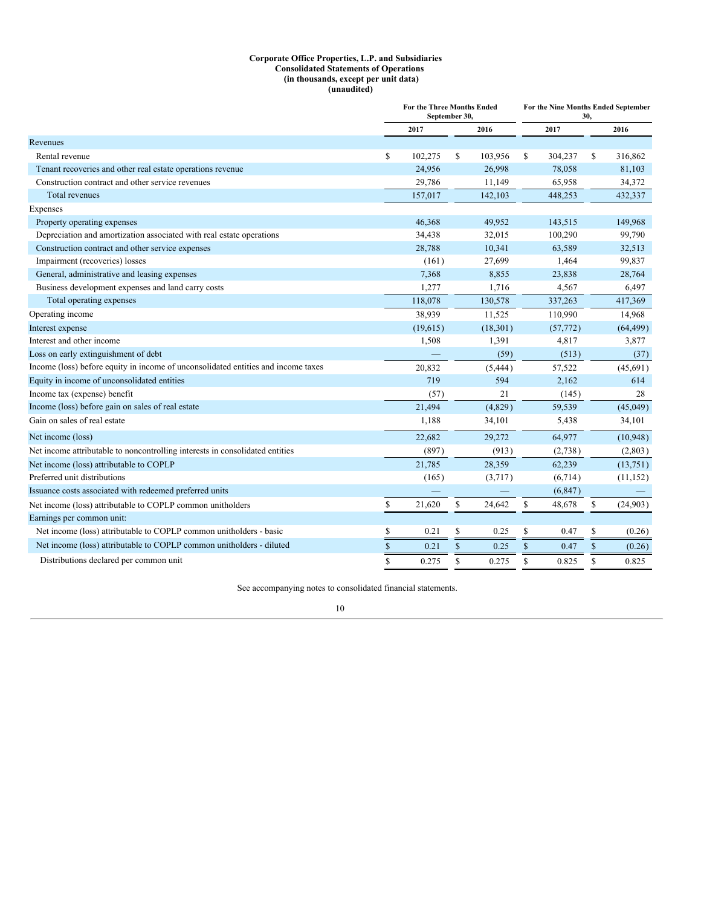#### **Corporate Office Properties, L.P. and Subsidiaries Consolidated Statements of Operations (in thousands, except per unit data) (unaudited)**

<span id="page-11-0"></span>

|                                                                                   | For the Three Months Ended<br>September 30. |               | For the Nine Months Ended September<br>30. |             |           |               |           |  |  |
|-----------------------------------------------------------------------------------|---------------------------------------------|---------------|--------------------------------------------|-------------|-----------|---------------|-----------|--|--|
|                                                                                   | 2017                                        |               | 2016                                       |             | 2017      |               | 2016      |  |  |
| Revenues                                                                          |                                             |               |                                            |             |           |               |           |  |  |
| Rental revenue                                                                    | \$<br>102,275                               | \$            | 103,956                                    | \$          | 304,237   | <sup>\$</sup> | 316,862   |  |  |
| Tenant recoveries and other real estate operations revenue                        | 24,956                                      |               | 26,998                                     |             | 78,058    |               | 81,103    |  |  |
| Construction contract and other service revenues                                  | 29,786                                      |               | 11,149                                     |             | 65,958    |               | 34,372    |  |  |
| <b>Total revenues</b>                                                             | 157,017                                     |               | 142,103                                    |             | 448,253   |               | 432,337   |  |  |
| Expenses                                                                          |                                             |               |                                            |             |           |               |           |  |  |
| Property operating expenses                                                       | 46,368                                      |               | 49,952                                     |             | 143,515   |               | 149,968   |  |  |
| Depreciation and amortization associated with real estate operations              | 34,438                                      |               | 32,015                                     |             | 100,290   |               | 99,790    |  |  |
| Construction contract and other service expenses                                  | 28,788                                      |               | 10,341                                     |             | 63,589    |               | 32,513    |  |  |
| Impairment (recoveries) losses                                                    | (161)                                       |               | 27,699                                     |             | 1,464     |               | 99,837    |  |  |
| General, administrative and leasing expenses                                      | 7,368                                       |               | 8,855                                      |             | 23,838    |               | 28,764    |  |  |
| Business development expenses and land carry costs                                | 1,277                                       |               | 1,716                                      |             | 4,567     |               | 6,497     |  |  |
| Total operating expenses                                                          | 118,078                                     |               | 130,578                                    |             | 337,263   |               | 417,369   |  |  |
| Operating income                                                                  | 38,939                                      |               | 11,525                                     |             | 110,990   |               | 14,968    |  |  |
| Interest expense                                                                  | (19,615)                                    |               | (18,301)                                   |             | (57, 772) |               | (64, 499) |  |  |
| Interest and other income                                                         | 1,508                                       |               | 1,391                                      |             | 4,817     |               | 3,877     |  |  |
| Loss on early extinguishment of debt                                              |                                             |               | (59)                                       |             | (513)     |               | (37)      |  |  |
| Income (loss) before equity in income of unconsolidated entities and income taxes | 20,832                                      |               | (5, 444)                                   |             | 57,522    |               | (45, 691) |  |  |
| Equity in income of unconsolidated entities                                       | 719                                         |               | 594                                        |             | 2,162     |               | 614       |  |  |
| Income tax (expense) benefit                                                      | (57)                                        |               | 21                                         |             | (145)     |               | 28        |  |  |
| Income (loss) before gain on sales of real estate                                 | 21,494                                      |               | (4,829)                                    |             | 59,539    |               | (45,049)  |  |  |
| Gain on sales of real estate                                                      | 1,188                                       |               | 34,101                                     |             | 5,438     |               | 34,101    |  |  |
| Net income (loss)                                                                 | 22,682                                      |               | 29,272                                     |             | 64,977    |               | (10, 948) |  |  |
| Net income attributable to noncontrolling interests in consolidated entities      | (897)                                       |               | (913)                                      |             | (2,738)   |               | (2,803)   |  |  |
| Net income (loss) attributable to COPLP                                           | 21,785                                      |               | 28,359                                     |             | 62,239    |               | (13,751)  |  |  |
| Preferred unit distributions                                                      | (165)                                       |               | (3,717)                                    |             | (6,714)   |               | (11, 152) |  |  |
| Issuance costs associated with redeemed preferred units                           |                                             |               |                                            |             | (6, 847)  |               |           |  |  |
| Net income (loss) attributable to COPLP common unitholders                        | \$<br>21,620                                | \$            | 24,642                                     | \$          | 48,678    | \$            | (24,903)  |  |  |
| Earnings per common unit:                                                         |                                             |               |                                            |             |           |               |           |  |  |
| Net income (loss) attributable to COPLP common unitholders - basic                | \$<br>0.21                                  | \$            | 0.25                                       | \$          | 0.47      | \$            | (0.26)    |  |  |
| Net income (loss) attributable to COPLP common unitholders - diluted              | \$<br>0.21                                  | $\mathsf{\$}$ | 0.25                                       | $\mathbb S$ | 0.47      | $\$$          | (0.26)    |  |  |
| Distributions declared per common unit                                            | \$<br>0.275                                 | $\mathbb{S}$  | 0.275                                      | S           | 0.825     | <sup>\$</sup> | 0.825     |  |  |

See accompanying notes to consolidated financial statements.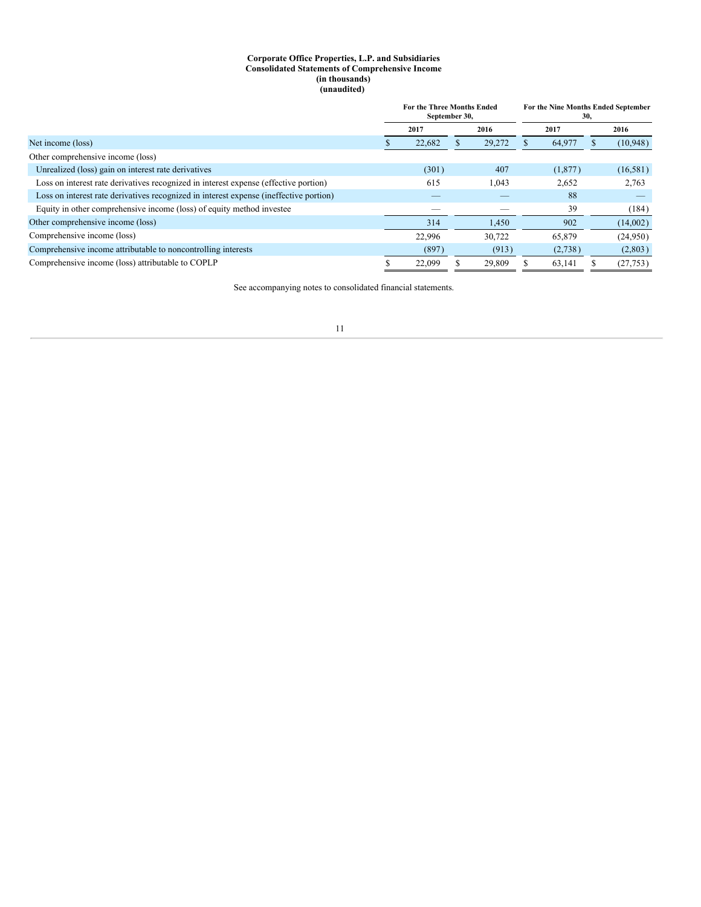#### **Corporate Office Properties, L.P. and Subsidiaries Consolidated Statements of Comprehensive Income (in thousands) (unaudited)**

<span id="page-12-0"></span>

|                                                                                        |      | <b>For the Three Months Ended</b><br>September 30, |        | For the Nine Months Ended September<br>30, |         |  |           |
|----------------------------------------------------------------------------------------|------|----------------------------------------------------|--------|--------------------------------------------|---------|--|-----------|
|                                                                                        | 2017 |                                                    | 2016   |                                            | 2017    |  | 2016      |
| Net income (loss)                                                                      |      | 22,682                                             | 29,272 |                                            | 64,977  |  | (10,948)  |
| Other comprehensive income (loss)                                                      |      |                                                    |        |                                            |         |  |           |
| Unrealized (loss) gain on interest rate derivatives                                    |      | (301)                                              | 407    |                                            | (1,877) |  | (16, 581) |
| Loss on interest rate derivatives recognized in interest expense (effective portion)   |      | 615                                                | 1,043  |                                            | 2,652   |  | 2,763     |
| Loss on interest rate derivatives recognized in interest expense (ineffective portion) |      |                                                    |        |                                            | 88      |  |           |
| Equity in other comprehensive income (loss) of equity method investee                  |      |                                                    |        |                                            | 39      |  | (184)     |
| Other comprehensive income (loss)                                                      |      | 314                                                | 1,450  |                                            | 902     |  | (14,002)  |
| Comprehensive income (loss)                                                            |      | 22,996                                             | 30.722 |                                            | 65,879  |  | (24,950)  |
| Comprehensive income attributable to noncontrolling interests                          |      | (897)                                              | (913)  |                                            | (2,738) |  | (2,803)   |
| Comprehensive income (loss) attributable to COPLP                                      |      | 22,099                                             | 29,809 |                                            | 63.141  |  | (27, 753) |

See accompanying notes to consolidated financial statements.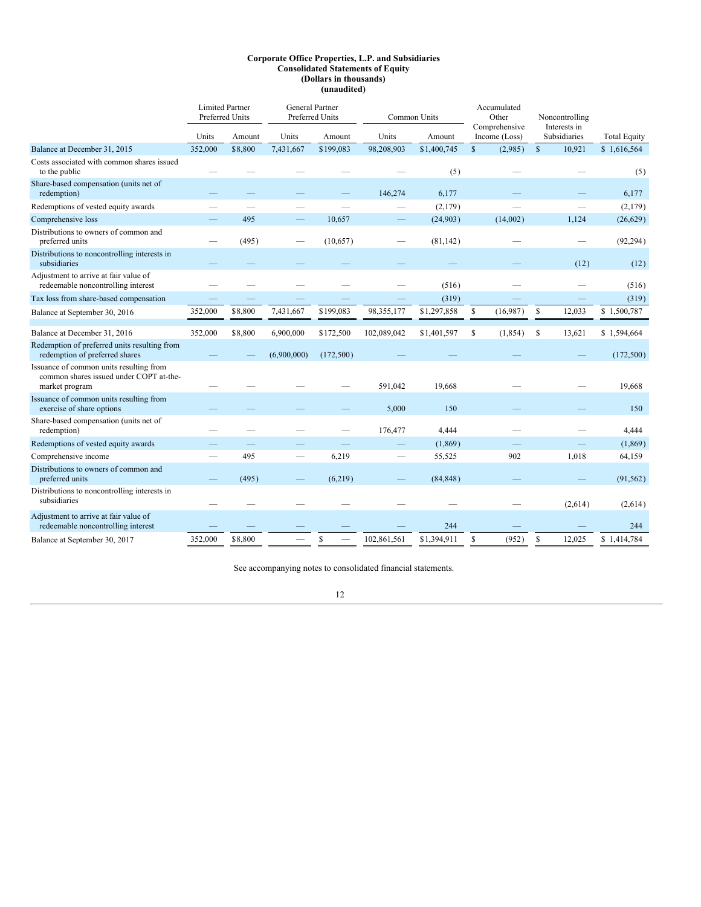#### **Corporate Office Properties, L.P. and Subsidiaries Consolidated Statements of Equity (Dollars in thousands) (unaudited)**

<span id="page-13-0"></span>

|                                                                                                      | <b>Limited Partner</b><br><b>Preferred Units</b> |         | <b>General Partner</b> | Preferred Units |             | Common Units | Accumulated<br>Other<br>Comprehensive |               |              | Noncontrolling               |                     |  |  |  |       |
|------------------------------------------------------------------------------------------------------|--------------------------------------------------|---------|------------------------|-----------------|-------------|--------------|---------------------------------------|---------------|--------------|------------------------------|---------------------|--|--|--|-------|
|                                                                                                      | Units                                            | Amount  | Units                  | Amount          | Units       | Amount       |                                       | Income (Loss) |              | Interests in<br>Subsidiaries | <b>Total Equity</b> |  |  |  |       |
| Balance at December 31, 2015                                                                         | 352,000                                          | \$8,800 | 7,431,667              | \$199,083       | 98,208,903  | \$1,400,745  | $\mathbf S$                           | (2,985)       | $\mathbb{S}$ | 10,921                       | \$1,616,564         |  |  |  |       |
| Costs associated with common shares issued<br>to the public                                          |                                                  |         |                        |                 |             | (5)          |                                       |               |              |                              | (5)                 |  |  |  |       |
| Share-based compensation (units net of<br>redemption)                                                |                                                  |         |                        |                 | 146,274     | 6,177        |                                       |               |              |                              |                     |  |  |  | 6,177 |
| Redemptions of vested equity awards                                                                  |                                                  |         |                        |                 |             | (2,179)      |                                       |               |              |                              | (2,179)             |  |  |  |       |
| Comprehensive loss                                                                                   |                                                  | 495     |                        | 10.657          |             | (24,903)     |                                       | (14,002)      |              | 1.124                        | (26,629)            |  |  |  |       |
| Distributions to owners of common and<br>preferred units                                             |                                                  | (495)   |                        | (10,657)        |             | (81, 142)    |                                       |               |              |                              | (92, 294)           |  |  |  |       |
| Distributions to noncontrolling interests in<br>subsidiaries                                         |                                                  |         |                        |                 |             |              |                                       |               |              | (12)                         | (12)                |  |  |  |       |
| Adjustment to arrive at fair value of<br>redeemable noncontrolling interest                          |                                                  |         |                        |                 |             | (516)        |                                       |               |              |                              | (516)               |  |  |  |       |
| Tax loss from share-based compensation                                                               |                                                  |         |                        |                 |             | (319)        |                                       |               |              |                              | (319)               |  |  |  |       |
| Balance at September 30, 2016                                                                        | 352,000                                          | \$8,800 | 7,431,667              | \$199,083       | 98,355,177  | \$1,297,858  | \$                                    | (16,987)      | \$           | 12,033                       | \$1,500,787         |  |  |  |       |
| Balance at December 31, 2016                                                                         | 352,000                                          | \$8,800 | 6,900,000              | \$172,500       | 102,089,042 | \$1,401,597  | S                                     | (1, 854)      | S            | 13,621                       | \$1,594,664         |  |  |  |       |
| Redemption of preferred units resulting from<br>redemption of preferred shares                       |                                                  |         | (6,900,000)            | (172,500)       |             |              |                                       |               |              |                              | (172,500)           |  |  |  |       |
| Issuance of common units resulting from<br>common shares issued under COPT at-the-<br>market program |                                                  |         |                        |                 | 591,042     | 19,668       |                                       |               |              |                              | 19,668              |  |  |  |       |
| Issuance of common units resulting from<br>exercise of share options                                 |                                                  |         |                        |                 | 5,000       | 150          |                                       |               |              |                              | 150                 |  |  |  |       |
| Share-based compensation (units net of<br>redemption)                                                |                                                  |         |                        |                 | 176,477     | 4,444        |                                       |               |              |                              | 4,444               |  |  |  |       |
| Redemptions of vested equity awards                                                                  |                                                  |         |                        |                 |             | (1,869)      |                                       |               |              |                              | (1,869)             |  |  |  |       |
| Comprehensive income                                                                                 | $\overline{\phantom{a}}$                         | 495     |                        | 6,219           |             | 55,525       |                                       | 902           |              | 1,018                        | 64,159              |  |  |  |       |
| Distributions to owners of common and<br>preferred units                                             |                                                  | (495)   |                        | (6,219)         |             | (84, 848)    |                                       |               |              |                              | (91, 562)           |  |  |  |       |
| Distributions to noncontrolling interests in<br>subsidiaries                                         |                                                  |         |                        |                 |             |              |                                       |               |              | (2,614)                      | (2,614)             |  |  |  |       |
| Adjustment to arrive at fair value of<br>redeemable noncontrolling interest                          |                                                  |         |                        |                 |             | 244          |                                       |               |              |                              | 244                 |  |  |  |       |
| Balance at September 30, 2017                                                                        | 352,000                                          | \$8,800 |                        | \$              | 102,861,561 | \$1,394,911  | S                                     | (952)         | \$           | 12,025                       | \$1,414,784         |  |  |  |       |

See accompanying notes to consolidated financial statements.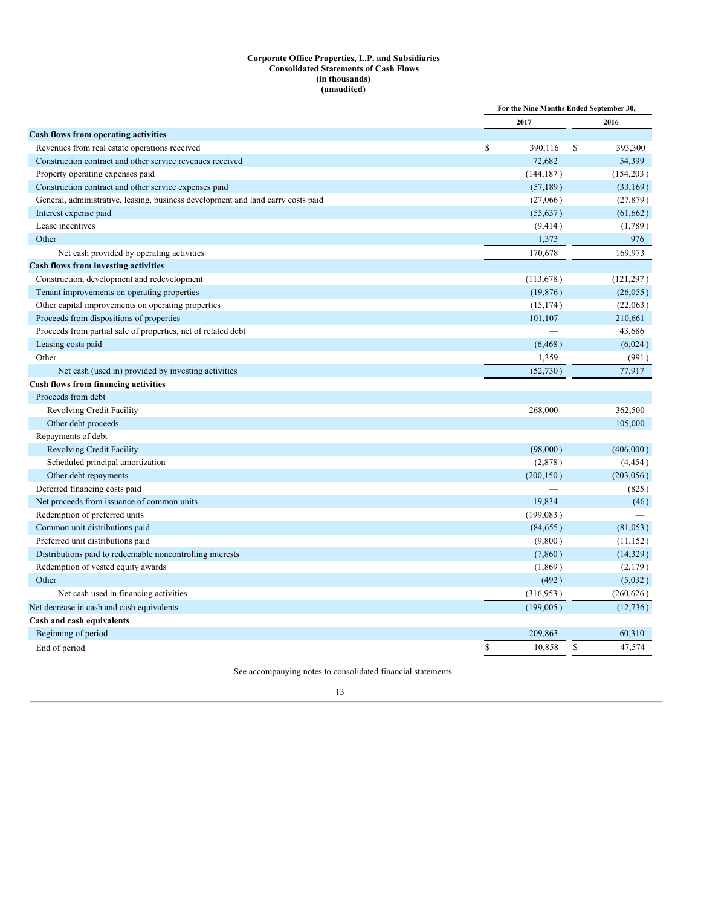#### **Corporate Office Properties, L.P. and Subsidiaries Consolidated Statements of Cash Flows (in thousands) (unaudited)**

<span id="page-14-0"></span>

|                                                                                  |               | For the Nine Months Ended September 30, |
|----------------------------------------------------------------------------------|---------------|-----------------------------------------|
|                                                                                  | 2017          | 2016                                    |
| Cash flows from operating activities                                             |               |                                         |
| Revenues from real estate operations received                                    | \$<br>390,116 | S<br>393,300                            |
| Construction contract and other service revenues received                        | 72,682        | 54,399                                  |
| Property operating expenses paid                                                 | (144, 187)    | (154, 203)                              |
| Construction contract and other service expenses paid                            | (57, 189)     | (33, 169)                               |
| General, administrative, leasing, business development and land carry costs paid | (27,066)      | (27, 879)                               |
| Interest expense paid                                                            | (55, 637)     | (61, 662)                               |
| Lease incentives                                                                 | (9, 414)      | (1,789)                                 |
| Other                                                                            | 1,373         | 976                                     |
| Net cash provided by operating activities                                        | 170,678       | 169,973                                 |
| Cash flows from investing activities                                             |               |                                         |
| Construction, development and redevelopment                                      | (113, 678)    | (121, 297)                              |
| Tenant improvements on operating properties                                      | (19, 876)     | (26, 055)                               |
| Other capital improvements on operating properties                               | (15, 174)     | (22,063)                                |
| Proceeds from dispositions of properties                                         | 101,107       | 210,661                                 |
| Proceeds from partial sale of properties, net of related debt                    |               | 43,686                                  |
| Leasing costs paid                                                               | (6, 468)      | (6,024)                                 |
| Other                                                                            | 1,359         | (991)                                   |
| Net cash (used in) provided by investing activities                              | (52,730)      | 77,917                                  |
| Cash flows from financing activities                                             |               |                                         |
| Proceeds from debt                                                               |               |                                         |
| Revolving Credit Facility                                                        | 268,000       | 362,500                                 |
| Other debt proceeds                                                              |               | 105,000                                 |
| Repayments of debt                                                               |               |                                         |
| <b>Revolving Credit Facility</b>                                                 | (98,000)      | (406,000)                               |
| Scheduled principal amortization                                                 | (2,878)       | (4, 454)                                |
| Other debt repayments                                                            | (200, 150)    | (203, 056)                              |
| Deferred financing costs paid                                                    |               | (825)                                   |
| Net proceeds from issuance of common units                                       | 19,834        | (46)                                    |
| Redemption of preferred units                                                    | (199, 083)    |                                         |
| Common unit distributions paid                                                   | (84, 655)     | (81,053)                                |
| Preferred unit distributions paid                                                | (9,800)       | (11, 152)                               |
| Distributions paid to redeemable noncontrolling interests                        | (7,860)       | (14, 329)                               |
| Redemption of vested equity awards                                               | (1,869)       | (2,179)                                 |
| Other                                                                            | (492)         | (5,032)                                 |
| Net cash used in financing activities                                            | (316,953)     | (260, 626)                              |
| Net decrease in cash and cash equivalents                                        | (199,005)     | (12, 736)                               |
| Cash and cash equivalents                                                        |               |                                         |
| Beginning of period                                                              | 209,863       | 60,310                                  |
| End of period                                                                    | \$<br>10,858  | \$<br>47,574                            |
|                                                                                  |               |                                         |

See accompanying notes to consolidated financial statements.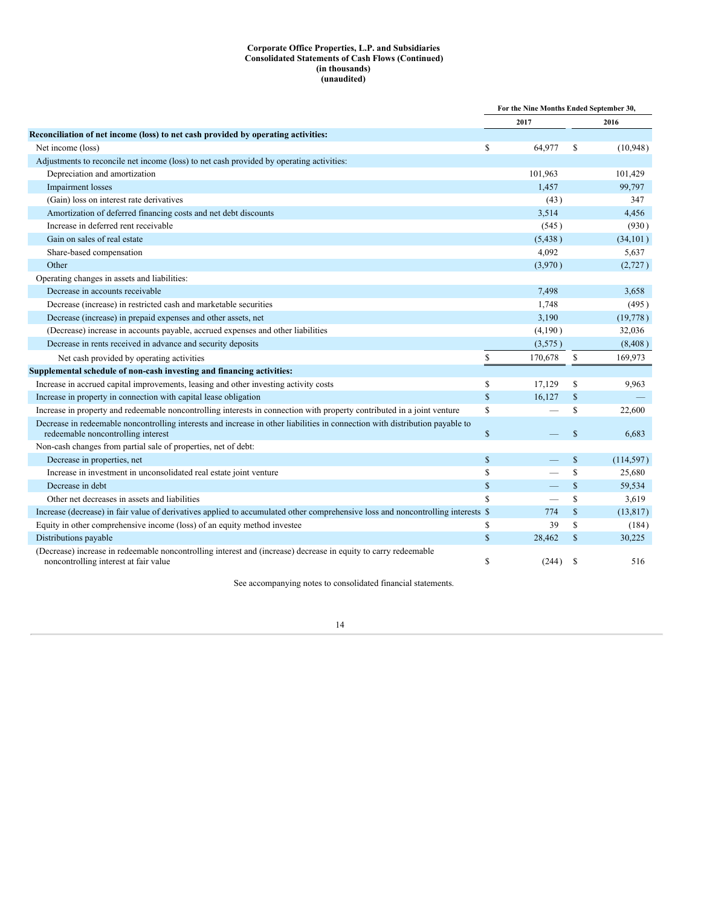### **Corporate Office Properties, L.P. and Subsidiaries Consolidated Statements of Cash Flows (Continued) (in thousands) (unaudited)**

|                                                                                                                                                          | For the Nine Months Ended September 30, |          |               |            |
|----------------------------------------------------------------------------------------------------------------------------------------------------------|-----------------------------------------|----------|---------------|------------|
|                                                                                                                                                          |                                         | 2017     |               | 2016       |
| Reconciliation of net income (loss) to net cash provided by operating activities:                                                                        |                                         |          |               |            |
| Net income (loss)                                                                                                                                        | \$                                      | 64,977   | S             | (10,948)   |
| Adjustments to reconcile net income (loss) to net cash provided by operating activities:                                                                 |                                         |          |               |            |
| Depreciation and amortization                                                                                                                            |                                         | 101,963  |               | 101,429    |
| Impairment losses                                                                                                                                        |                                         | 1,457    |               | 99,797     |
| (Gain) loss on interest rate derivatives                                                                                                                 |                                         | (43)     |               | 347        |
| Amortization of deferred financing costs and net debt discounts                                                                                          |                                         | 3,514    |               | 4,456      |
| Increase in deferred rent receivable                                                                                                                     |                                         | (545)    |               | (930)      |
| Gain on sales of real estate                                                                                                                             |                                         | (5, 438) |               | (34, 101)  |
| Share-based compensation                                                                                                                                 |                                         | 4,092    |               | 5,637      |
| Other                                                                                                                                                    |                                         | (3,970)  |               | (2,727)    |
| Operating changes in assets and liabilities:                                                                                                             |                                         |          |               |            |
| Decrease in accounts receivable                                                                                                                          |                                         | 7,498    |               | 3.658      |
| Decrease (increase) in restricted cash and marketable securities                                                                                         |                                         | 1,748    |               | (495)      |
| Decrease (increase) in prepaid expenses and other assets, net                                                                                            |                                         | 3,190    |               | (19,778)   |
| (Decrease) increase in accounts payable, accrued expenses and other liabilities                                                                          |                                         | (4,190)  |               | 32,036     |
| Decrease in rents received in advance and security deposits                                                                                              |                                         | (3,575)  |               | (8, 408)   |
| Net cash provided by operating activities                                                                                                                | $\mathbf S$                             | 170,678  | <sup>\$</sup> | 169,973    |
| Supplemental schedule of non-cash investing and financing activities:                                                                                    |                                         |          |               |            |
| Increase in accrued capital improvements, leasing and other investing activity costs                                                                     | $\mathbf S$                             | 17,129   | S             | 9,963      |
| Increase in property in connection with capital lease obligation                                                                                         | $\mathbf S$                             | 16.127   | S             |            |
| Increase in property and redeemable noncontrolling interests in connection with property contributed in a joint venture                                  | \$                                      |          | S             | 22,600     |
| Decrease in redeemable noncontrolling interests and increase in other liabilities in connection with distribution payable to                             |                                         |          |               |            |
| redeemable noncontrolling interest                                                                                                                       | \$                                      |          | $\mathbb{S}$  | 6,683      |
| Non-cash changes from partial sale of properties, net of debt:                                                                                           |                                         |          |               |            |
| Decrease in properties, net                                                                                                                              | \$                                      |          | $\mathbf S$   | (114, 597) |
| Increase in investment in unconsolidated real estate joint venture                                                                                       | \$                                      |          | $\mathbf S$   | 25,680     |
| Decrease in debt                                                                                                                                         | \$                                      |          | $\mathbf S$   | 59,534     |
| Other net decreases in assets and liabilities                                                                                                            | \$                                      |          | $\mathbf S$   | 3,619      |
| Increase (decrease) in fair value of derivatives applied to accumulated other comprehensive loss and noncontrolling interests \$                         |                                         | 774      | $\mathbb{S}$  | (13, 817)  |
| Equity in other comprehensive income (loss) of an equity method investee                                                                                 | \$                                      | 39       | S             | (184)      |
| Distributions payable                                                                                                                                    | $\mathbb{S}$                            | 28,462   | \$            | 30,225     |
| (Decrease) increase in redeemable noncontrolling interest and (increase) decrease in equity to carry redeemable<br>noncontrolling interest at fair value | \$                                      | (244)    | <sup>S</sup>  | 516        |

See accompanying notes to consolidated financial statements.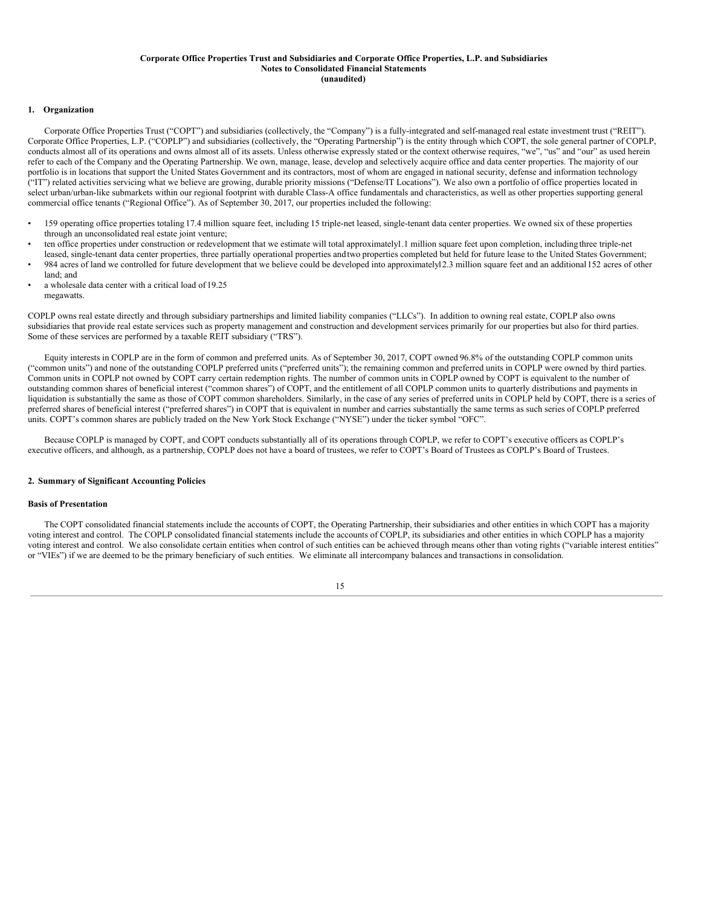#### **Corporate Office Properties Trust and Subsidiaries and Corporate Office Properties, L.P. and Subsidiaries Notes to Consolidated Financial Statements (unaudited)**

#### <span id="page-16-0"></span>**1. Organization**

Corporate Office Properties Trust ("COPT") and subsidiaries (collectively, the "Company") is a fully-integrated and self-managed real estate investment trust ("REIT"). Corporate Office Properties, L.P. ("COPLP") and subsidiaries (collectively, the "Operating Partnership") is the entity through which COPT, the sole general partner of COPLP, conducts almost all of its operations and owns almost all of its assets. Unless otherwise expressly stated or the context otherwise requires, "we", "us" and "our" as used herein refer to each of the Company and the Operating Partnership. We own, manage, lease, develop and selectively acquire office and data center properties. The majority of our portfolio is in locations that support the United States Government and its contractors, most of whom are engaged in national security, defense and information technology ("IT") related activities servicing what we believe are growing, durable priority missions ("Defense/IT Locations"). We also own a portfolio of office properties located in select urban/urban-like submarkets within our regional footprint with durable Class-A office fundamentals and characteristics, as well as other properties supporting general commercial office tenants ("Regional Office"). As of September 30, 2017, our properties included the following:

- 159 operating office properties totaling 17.4 million square feet, including 15 triple-net leased, single-tenant data center properties. We owned six of these properties through an unconsolidated real estate joint venture;
- ten office properties under construction or redevelopment that we estimate will total approximately1.1 million square feet upon completion, including three triple-net leased, single-tenant data center properties, three partially operational properties andtwo properties completed but held for future lease to the United States Government;
- 984 acres of land we controlled for future development that we believe could be developed into approximately12.3 million square feet and an additional152 acres of other land; and
- a wholesale data center with a critical load of 19.25 megawatts.

COPLP owns real estate directly and through subsidiary partnerships and limited liability companies ("LLCs"). In addition to owning real estate, COPLP also owns subsidiaries that provide real estate services such as property management and construction and development services primarily for our properties but also for third parties. Some of these services are performed by a taxable REIT subsidiary ("TRS").

Equity interests in COPLP are in the form of common and preferred units. As of September 30, 2017, COPT owned 96.8% of the outstanding COPLP common units ("common units") and none of the outstanding COPLP preferred units ("preferred units"); the remaining common and preferred units in COPLP were owned by third parties. Common units in COPLP not owned by COPT carry certain redemption rights. The number of common units in COPLP owned by COPT is equivalent to the number of outstanding common shares of beneficial interest ("common shares") of COPT, and the entitlement of all COPLP common units to quarterly distributions and payments in liquidation is substantially the same as those of COPT common shareholders. Similarly, in the case of any series of preferred units in COPLP held by COPT, there is a series of preferred shares of beneficial interest ("preferred shares") in COPT that is equivalent in number and carries substantially the same terms as such series of COPLP preferred units. COPT's common shares are publicly traded on the New York Stock Exchange ("NYSE") under the ticker symbol "OFC".

Because COPLP is managed by COPT, and COPT conducts substantially all of its operations through COPLP, we refer to COPT's executive officers as COPLP's executive officers, and although, as a partnership, COPLP does not have a board of trustees, we refer to COPT's Board of Trustees as COPLP's Board of Trustees.

### **2. Summary of Significant Accounting Policies**

#### **Basis of Presentation**

The COPT consolidated financial statements include the accounts of COPT, the Operating Partnership, their subsidiaries and other entities in which COPT has a majority voting interest and control. The COPLP consolidated financial statements include the accounts of COPLP, its subsidiaries and other entities in which COPLP has a majority voting interest and control. We also consolidate certain entities when control of such entities can be achieved through means other than voting rights ("variable interest entities" or "VIEs") if we are deemed to be the primary beneficiary of such entities. We eliminate all intercompany balances and transactions in consolidation.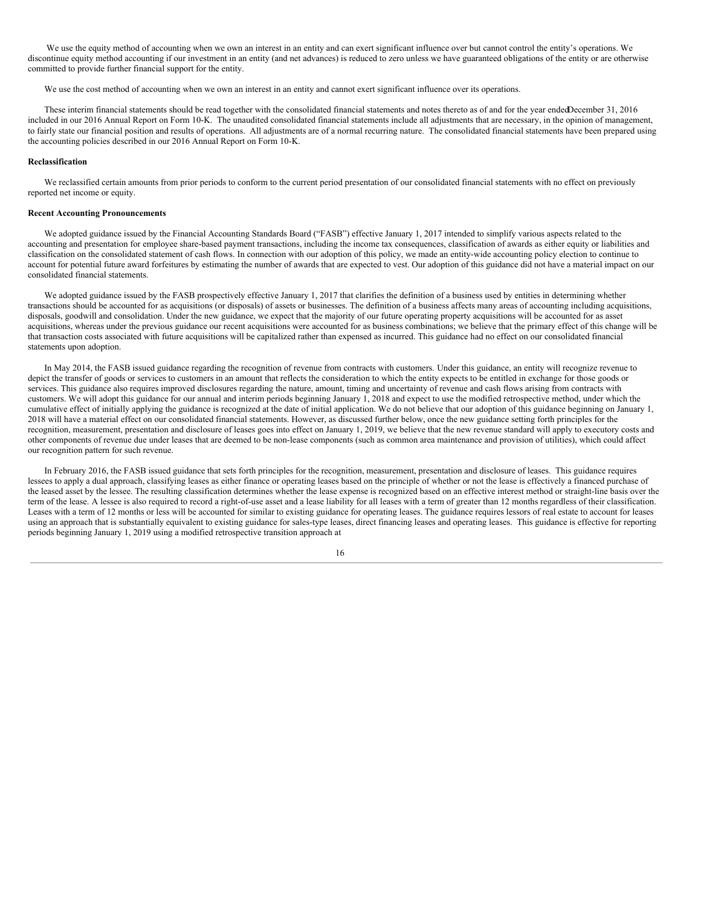We use the equity method of accounting when we own an interest in an entity and can exert significant influence over but cannot control the entity's operations. We discontinue equity method accounting if our investment in an entity (and net advances) is reduced to zero unless we have guaranteed obligations of the entity or are otherwise committed to provide further financial support for the entity.

We use the cost method of accounting when we own an interest in an entity and cannot exert significant influence over its operations.

These interim financial statements should be read together with the consolidated financial statements and notes thereto as of and for the year endedDecember 31, 2016 included in our 2016 Annual Report on Form 10-K. The unaudited consolidated financial statements include all adjustments that are necessary, in the opinion of management, to fairly state our financial position and results of operations. All adjustments are of a normal recurring nature. The consolidated financial statements have been prepared using the accounting policies described in our 2016 Annual Report on Form 10-K.

### **Reclassification**

We reclassified certain amounts from prior periods to conform to the current period presentation of our consolidated financial statements with no effect on previously reported net income or equity.

### **Recent Accounting Pronouncements**

We adopted guidance issued by the Financial Accounting Standards Board ("FASB") effective January 1, 2017 intended to simplify various aspects related to the accounting and presentation for employee share-based payment transactions, including the income tax consequences, classification of awards as either equity or liabilities and classification on the consolidated statement of cash flows. In connection with our adoption of this policy, we made an entity-wide accounting policy election to continue to account for potential future award forfeitures by estimating the number of awards that are expected to vest. Our adoption of this guidance did not have a material impact on our consolidated financial statements.

We adopted guidance issued by the FASB prospectively effective January 1, 2017 that clarifies the definition of a business used by entities in determining whether transactions should be accounted for as acquisitions (or disposals) of assets or businesses. The definition of a business affects many areas of accounting including acquisitions, disposals, goodwill and consolidation. Under the new guidance, we expect that the majority of our future operating property acquisitions will be accounted for as asset acquisitions, whereas under the previous guidance our recent acquisitions were accounted for as business combinations; we believe that the primary effect of this change will be that transaction costs associated with future acquisitions will be capitalized rather than expensed as incurred. This guidance had no effect on our consolidated financial statements upon adoption.

In May 2014, the FASB issued guidance regarding the recognition of revenue from contracts with customers. Under this guidance, an entity will recognize revenue to depict the transfer of goods or services to customers in an amount that reflects the consideration to which the entity expects to be entitled in exchange for those goods or services. This guidance also requires improved disclosures regarding the nature, amount, timing and uncertainty of revenue and cash flows arising from contracts with customers. We will adopt this guidance for our annual and interim periods beginning January 1, 2018 and expect to use the modified retrospective method, under which the cumulative effect of initially applying the guidance is recognized at the date of initial application. We do not believe that our adoption of this guidance beginning on January 1, 2018 will have a material effect on our consolidated financial statements. However, as discussed further below, once the new guidance setting forth principles for the recognition, measurement, presentation and disclosure of leases goes into effect on January 1, 2019, we believe that the new revenue standard will apply to executory costs and other components of revenue due under leases that are deemed to be non-lease components (such as common area maintenance and provision of utilities), which could affect our recognition pattern for such revenue.

In February 2016, the FASB issued guidance that sets forth principles for the recognition, measurement, presentation and disclosure of leases. This guidance requires lessees to apply a dual approach, classifying leases as either finance or operating leases based on the principle of whether or not the lease is effectively a financed purchase of the leased asset by the lessee. The resulting classification determines whether the lease expense is recognized based on an effective interest method or straight-line basis over the term of the lease. A lessee is also required to record a right-of-use asset and a lease liability for all leases with a term of greater than 12 months regardless of their classification. Leases with a term of 12 months or less will be accounted for similar to existing guidance for operating leases. The guidance requires lessors of real estate to account for leases using an approach that is substantially equivalent to existing guidance for sales-type leases, direct financing leases and operating leases. This guidance is effective for reporting periods beginning January 1, 2019 using a modified retrospective transition approach at

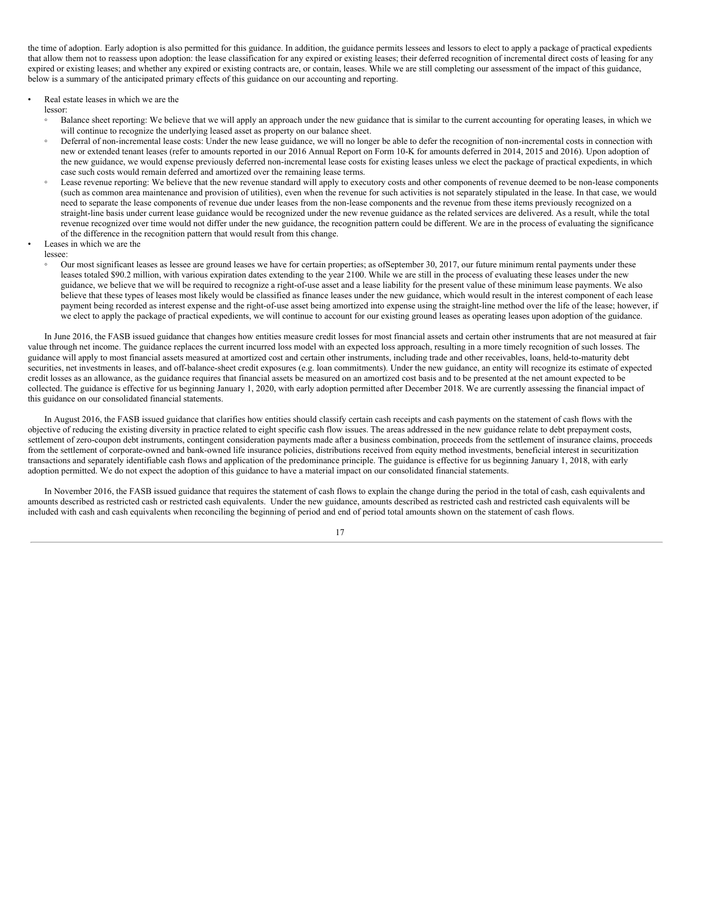the time of adoption. Early adoption is also permitted for this guidance. In addition, the guidance permits lessees and lessors to elect to apply a package of practical expedients that allow them not to reassess upon adoption: the lease classification for any expired or existing leases; their deferred recognition of incremental direct costs of leasing for any expired or existing leases; and whether any expired or existing contracts are, or contain, leases. While we are still completing our assessment of the impact of this guidance, below is a summary of the anticipated primary effects of this guidance on our accounting and reporting.

Real estate leases in which we are the

lessor:

- Balance sheet reporting: We believe that we will apply an approach under the new guidance that is similar to the current accounting for operating leases, in which we will continue to recognize the underlying leased asset as property on our balance sheet.
- Deferral of non-incremental lease costs: Under the new lease guidance, we will no longer be able to defer the recognition of non-incremental costs in connection with new or extended tenant leases (refer to amounts reported in our 2016 Annual Report on Form 10-K for amounts deferred in 2014, 2015 and 2016). Upon adoption of the new guidance, we would expense previously deferred non-incremental lease costs for existing leases unless we elect the package of practical expedients, in which case such costs would remain deferred and amortized over the remaining lease terms.
- Lease revenue reporting: We believe that the new revenue standard will apply to executory costs and other components of revenue deemed to be non-lease components (such as common area maintenance and provision of utilities), even when the revenue for such activities is not separately stipulated in the lease. In that case, we would need to separate the lease components of revenue due under leases from the non-lease components and the revenue from these items previously recognized on a straight-line basis under current lease guidance would be recognized under the new revenue guidance as the related services are delivered. As a result, while the total revenue recognized over time would not differ under the new guidance, the recognition pattern could be different. We are in the process of evaluating the significance of the difference in the recognition pattern that would result from this change.
- Leases in which we are the
- lessee:
	- Our most significant leases as lessee are ground leases we have for certain properties; as ofSeptember 30, 2017, our future minimum rental payments under these leases totaled \$90.2 million, with various expiration dates extending to the year 2100. While we are still in the process of evaluating these leases under the new guidance, we believe that we will be required to recognize a right-of-use asset and a lease liability for the present value of these minimum lease payments. We also believe that these types of leases most likely would be classified as finance leases under the new guidance, which would result in the interest component of each lease payment being recorded as interest expense and the right-of-use asset being amortized into expense using the straight-line method over the life of the lease; however, if we elect to apply the package of practical expedients, we will continue to account for our existing ground leases as operating leases upon adoption of the guidance.

In June 2016, the FASB issued guidance that changes how entities measure credit losses for most financial assets and certain other instruments that are not measured at fair value through net income. The guidance replaces the current incurred loss model with an expected loss approach, resulting in a more timely recognition of such losses. The guidance will apply to most financial assets measured at amortized cost and certain other instruments, including trade and other receivables, loans, held-to-maturity debt securities, net investments in leases, and off-balance-sheet credit exposures (e.g. loan commitments). Under the new guidance, an entity will recognize its estimate of expected credit losses as an allowance, as the guidance requires that financial assets be measured on an amortized cost basis and to be presented at the net amount expected to be collected. The guidance is effective for us beginning January 1, 2020, with early adoption permitted after December 2018. We are currently assessing the financial impact of this guidance on our consolidated financial statements.

In August 2016, the FASB issued guidance that clarifies how entities should classify certain cash receipts and cash payments on the statement of cash flows with the objective of reducing the existing diversity in practice related to eight specific cash flow issues. The areas addressed in the new guidance relate to debt prepayment costs, settlement of zero-coupon debt instruments, contingent consideration payments made after a business combination, proceeds from the settlement of insurance claims, proceeds from the settlement of corporate-owned and bank-owned life insurance policies, distributions received from equity method investments, beneficial interest in securitization transactions and separately identifiable cash flows and application of the predominance principle. The guidance is effective for us beginning January 1, 2018, with early adoption permitted. We do not expect the adoption of this guidance to have a material impact on our consolidated financial statements.

In November 2016, the FASB issued guidance that requires the statement of cash flows to explain the change during the period in the total of cash, cash equivalents and amounts described as restricted cash or restricted cash equivalents. Under the new guidance, amounts described as restricted cash and restricted cash equivalents will be included with cash and cash equivalents when reconciling the beginning of period and end of period total amounts shown on the statement of cash flows.

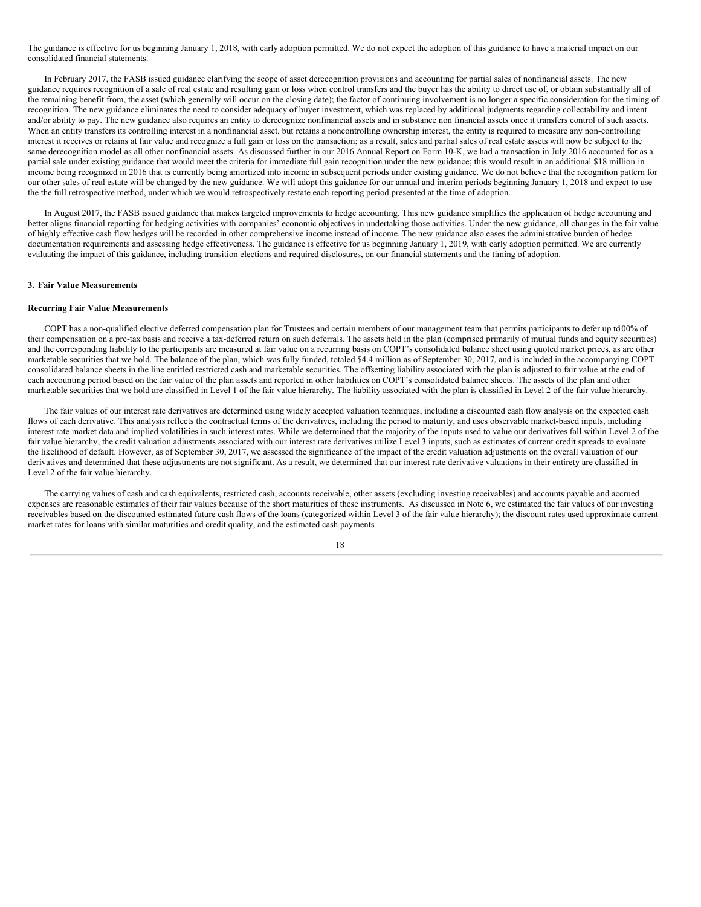The guidance is effective for us beginning January 1, 2018, with early adoption permitted. We do not expect the adoption of this guidance to have a material impact on our consolidated financial statements.

In February 2017, the FASB issued guidance clarifying the scope of asset derecognition provisions and accounting for partial sales of nonfinancial assets. The new guidance requires recognition of a sale of real estate and resulting gain or loss when control transfers and the buyer has the ability to direct use of, or obtain substantially all of the remaining benefit from, the asset (which generally will occur on the closing date); the factor of continuing involvement is no longer a specific consideration for the timing of recognition. The new guidance eliminates the need to consider adequacy of buyer investment, which was replaced by additional judgments regarding collectability and intent and/or ability to pay. The new guidance also requires an entity to derecognize nonfinancial assets and in substance non financial assets once it transfers control of such assets. When an entity transfers its controlling interest in a nonfinancial asset, but retains a noncontrolling ownership interest, the entity is required to measure any non-controlling interest it receives or retains at fair value and recognize a full gain or loss on the transaction; as a result, sales and partial sales of real estate assets will now be subject to the same derecognition model as all other nonfinancial assets. As discussed further in our 2016 Annual Report on Form 10-K, we had a transaction in July 2016 accounted for as a partial sale under existing guidance that would meet the criteria for immediate full gain recognition under the new guidance; this would result in an additional \$18 million in income being recognized in 2016 that is currently being amortized into income in subsequent periods under existing guidance. We do not believe that the recognition pattern for our other sales of real estate will be changed by the new guidance. We will adopt this guidance for our annual and interim periods beginning January 1, 2018 and expect to use the the full retrospective method, under which we would retrospectively restate each reporting period presented at the time of adoption.

In August 2017, the FASB issued guidance that makes targeted improvements to hedge accounting. This new guidance simplifies the application of hedge accounting and better aligns financial reporting for hedging activities with companies' economic objectives in undertaking those activities. Under the new guidance, all changes in the fair value of highly effective cash flow hedges will be recorded in other comprehensive income instead of income. The new guidance also eases the administrative burden of hedge documentation requirements and assessing hedge effectiveness. The guidance is effective for us beginning January 1, 2019, with early adoption permitted. We are currently evaluating the impact of this guidance, including transition elections and required disclosures, on our financial statements and the timing of adoption.

#### **3. Fair Value Measurements**

### **Recurring Fair Value Measurements**

COPT has a non-qualified elective deferred compensation plan for Trustees and certain members of our management team that permits participants to defer up to100% of their compensation on a pre-tax basis and receive a tax-deferred return on such deferrals. The assets held in the plan (comprised primarily of mutual funds and equity securities) and the corresponding liability to the participants are measured at fair value on a recurring basis on COPT's consolidated balance sheet using quoted market prices, as are other marketable securities that we hold. The balance of the plan, which was fully funded, totaled \$4.4 million as of September 30, 2017, and is included in the accompanying COPT consolidated balance sheets in the line entitled restricted cash and marketable securities. The offsetting liability associated with the plan is adjusted to fair value at the end of each accounting period based on the fair value of the plan assets and reported in other liabilities on COPT's consolidated balance sheets. The assets of the plan and other marketable securities that we hold are classified in Level 1 of the fair value hierarchy. The liability associated with the plan is classified in Level 2 of the fair value hierarchy.

The fair values of our interest rate derivatives are determined using widely accepted valuation techniques, including a discounted cash flow analysis on the expected cash flows of each derivative. This analysis reflects the contractual terms of the derivatives, including the period to maturity, and uses observable market-based inputs, including interest rate market data and implied volatilities in such interest rates. While we determined that the majority of the inputs used to value our derivatives fall within Level 2 of the fair value hierarchy, the credit valuation adjustments associated with our interest rate derivatives utilize Level 3 inputs, such as estimates of current credit spreads to evaluate the likelihood of default. However, as of September 30, 2017, we assessed the significance of the impact of the credit valuation adjustments on the overall valuation of our derivatives and determined that these adjustments are not significant. As a result, we determined that our interest rate derivative valuations in their entirety are classified in Level 2 of the fair value hierarchy.

The carrying values of cash and cash equivalents, restricted cash, accounts receivable, other assets (excluding investing receivables) and accounts payable and accrued expenses are reasonable estimates of their fair values because of the short maturities of these instruments. As discussed in Note 6, we estimated the fair values of our investing receivables based on the discounted estimated future cash flows of the loans (categorized within Level 3 of the fair value hierarchy); the discount rates used approximate current market rates for loans with similar maturities and credit quality, and the estimated cash payments

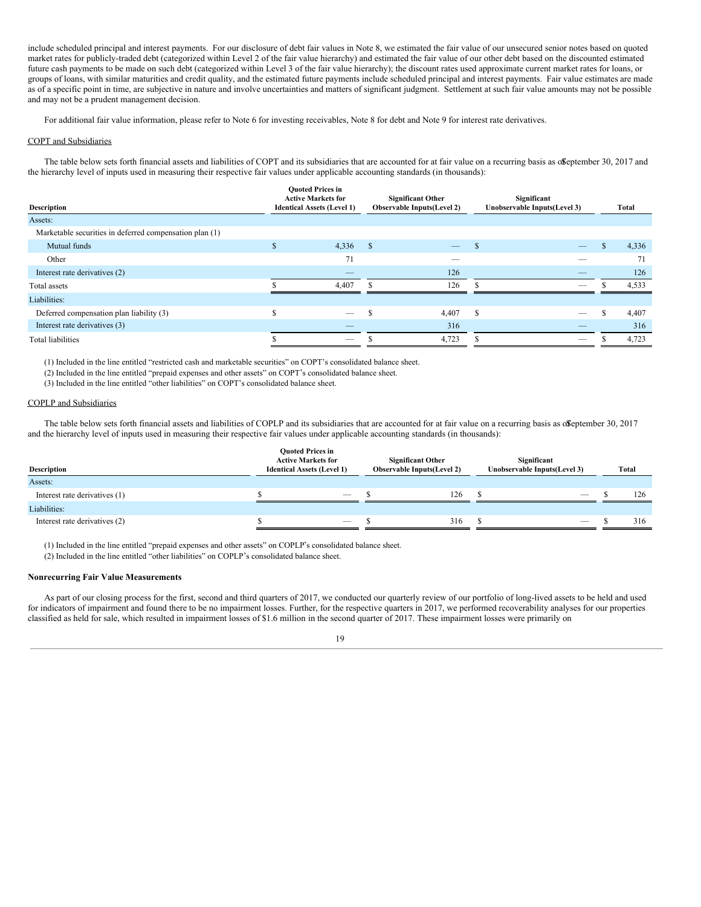include scheduled principal and interest payments. For our disclosure of debt fair values in Note 8, we estimated the fair value of our unsecured senior notes based on quoted market rates for publicly-traded debt (categorized within Level 2 of the fair value hierarchy) and estimated the fair value of our other debt based on the discounted estimated future cash payments to be made on such debt (categorized within Level 3 of the fair value hierarchy); the discount rates used approximate current market rates for loans, or groups of loans, with similar maturities and credit quality, and the estimated future payments include scheduled principal and interest payments. Fair value estimates are made as of a specific point in time, are subjective in nature and involve uncertainties and matters of significant judgment. Settlement at such fair value amounts may not be possible and may not be a prudent management decision.

For additional fair value information, please refer to Note 6 for investing receivables, Note 8 for debt and Note 9 for interest rate derivatives.

### COPT and Subsidiaries

The table below sets forth financial assets and liabilities of COPT and its subsidiaries that are accounted for at fair value on a recurring basis as offeptember 30, 2017 and the hierarchy level of inputs used in measuring their respective fair values under applicable accounting standards (in thousands):

| <b>Description</b>                                      |             | <b>Ouoted Prices in</b><br><b>Active Markets for</b><br><b>Identical Assets (Level 1)</b> | <b>Significant Other</b><br><b>Observable Inputs(Level 2)</b> |                          | Significant<br>Unobservable Inputs(Level 3) |                          |  | Total |  |  |
|---------------------------------------------------------|-------------|-------------------------------------------------------------------------------------------|---------------------------------------------------------------|--------------------------|---------------------------------------------|--------------------------|--|-------|--|--|
| Assets:                                                 |             |                                                                                           |                                                               |                          |                                             |                          |  |       |  |  |
| Marketable securities in deferred compensation plan (1) |             |                                                                                           |                                                               |                          |                                             |                          |  |       |  |  |
| Mutual funds                                            | ъ           | 4,336                                                                                     | <sup>\$</sup>                                                 |                          | \$.                                         | $\overline{\phantom{0}}$ |  | 4,336 |  |  |
| Other                                                   |             | 71                                                                                        |                                                               | $\overline{\phantom{a}}$ |                                             |                          |  | 71    |  |  |
| Interest rate derivatives (2)                           |             |                                                                                           |                                                               | 126                      |                                             |                          |  | 126   |  |  |
| Total assets                                            |             | 4,407                                                                                     |                                                               | 126                      |                                             |                          |  | 4,533 |  |  |
| Liabilities:                                            |             |                                                                                           |                                                               |                          |                                             |                          |  |       |  |  |
| Deferred compensation plan liability (3)                | $\triangle$ |                                                                                           |                                                               | 4,407                    | <sup>\$</sup>                               |                          |  | 4,407 |  |  |
| Interest rate derivatives (3)                           |             |                                                                                           |                                                               | 316                      |                                             |                          |  | 316   |  |  |
| Total liabilities                                       |             |                                                                                           |                                                               | 4,723                    |                                             |                          |  | 4,723 |  |  |
|                                                         |             |                                                                                           |                                                               |                          |                                             |                          |  |       |  |  |

(1) Included in the line entitled "restricted cash and marketable securities" on COPT's consolidated balance sheet.

(2) Included in the line entitled "prepaid expenses and other assets" on COPT's consolidated balance sheet.

(3) Included in the line entitled "other liabilities" on COPT's consolidated balance sheet.

## COPLP and Subsidiaries

The table below sets forth financial assets and liabilities of COPLP and its subsidiaries that are accounted for at fair value on a recurring basis as offerent 30, 2017 and the hierarchy level of inputs used in measuring their respective fair values under applicable accounting standards (in thousands):

| Description                   | <b>Ouoted Prices in</b><br><b>Active Markets for</b><br><b>Identical Assets (Level 1)</b> |  | <b>Significant Other</b><br><b>Observable Inputs(Level 2)</b> |  | Significant<br>Unobservable Inputs(Level 3) |  |     |
|-------------------------------|-------------------------------------------------------------------------------------------|--|---------------------------------------------------------------|--|---------------------------------------------|--|-----|
| Assets:                       |                                                                                           |  |                                                               |  |                                             |  |     |
| Interest rate derivatives (1) | $\overline{\phantom{m}}$                                                                  |  | 126                                                           |  |                                             |  | 126 |
| Liabilities:                  |                                                                                           |  |                                                               |  |                                             |  |     |
| Interest rate derivatives (2) |                                                                                           |  | 316                                                           |  |                                             |  | 316 |
|                               |                                                                                           |  |                                                               |  |                                             |  |     |

(1) Included in the line entitled "prepaid expenses and other assets" on COPLP's consolidated balance sheet.

(2) Included in the line entitled "other liabilities" on COPLP's consolidated balance sheet.

## **Nonrecurring Fair Value Measurements**

As part of our closing process for the first, second and third quarters of 2017, we conducted our quarterly review of our portfolio of long-lived assets to be held and used for indicators of impairment and found there to be no impairment losses. Further, for the respective quarters in 2017, we performed recoverability analyses for our properties classified as held for sale, which resulted in impairment losses of \$1.6 million in the second quarter of 2017. These impairment losses were primarily on

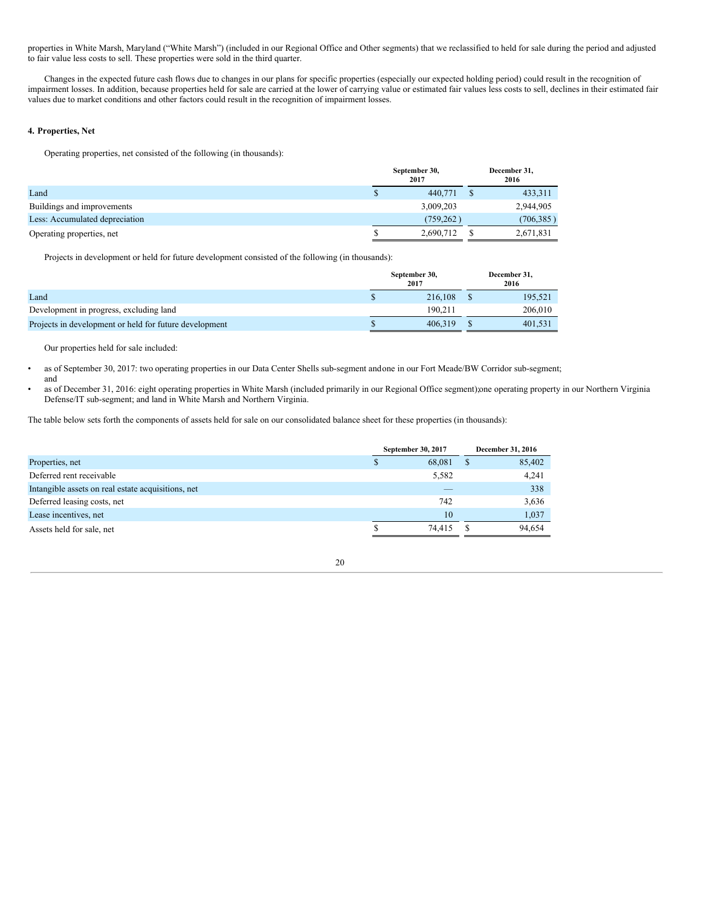properties in White Marsh, Maryland ("White Marsh") (included in our Regional Office and Other segments) that we reclassified to held for sale during the period and adjusted to fair value less costs to sell. These properties were sold in the third quarter.

Changes in the expected future cash flows due to changes in our plans for specific properties (especially our expected holding period) could result in the recognition of impairment losses. In addition, because properties held for sale are carried at the lower of carrying value or estimated fair values less costs to sell, declines in their estimated fair values due to market conditions and other factors could result in the recognition of impairment losses.

## **4. Properties, Net**

and

Operating properties, net consisted of the following (in thousands):

|                                | September 30,<br>2017 |           |  | December 31,<br>2016 |
|--------------------------------|-----------------------|-----------|--|----------------------|
| Land                           |                       | 440,771   |  | 433,311              |
| Buildings and improvements     |                       | 3,009,203 |  | 2,944,905            |
| Less: Accumulated depreciation |                       | (759.262) |  | (706, 385)           |
| Operating properties, net      |                       | 2,690,712 |  | 2,671,831            |

Projects in development or held for future development consisted of the following (in thousands):

|                                                        | September 30,<br>2017 | December 31,<br>2016 |
|--------------------------------------------------------|-----------------------|----------------------|
| Land                                                   | 216,108               | 195,521              |
| Development in progress, excluding land                | 190.211               | 206,010              |
| Projects in development or held for future development | 406.319               | 401.531              |

Our properties held for sale included:

• as of September 30, 2017: two operating properties in our Data Center Shells sub-segment andone in our Fort Meade/BW Corridor sub-segment;

• as of December 31, 2016: eight operating properties in White Marsh (included primarily in our Regional Office segment);one operating property in our Northern Virginia Defense/IT sub-segment; and land in White Marsh and Northern Virginia.

The table below sets forth the components of assets held for sale on our consolidated balance sheet for these properties (in thousands):

|                                                    |   | September 30, 2017 | December 31, 2016 |        |  |
|----------------------------------------------------|---|--------------------|-------------------|--------|--|
| Properties, net                                    | ъ | 68,081             |                   | 85,402 |  |
| Deferred rent receivable                           |   | 5,582              |                   | 4,241  |  |
| Intangible assets on real estate acquisitions, net |   | _                  |                   | 338    |  |
| Deferred leasing costs, net                        |   | 742                |                   | 3,636  |  |
| Lease incentives, net                              |   | 10                 |                   | 1.037  |  |
| Assets held for sale, net                          |   | 74.415             |                   | 94.654 |  |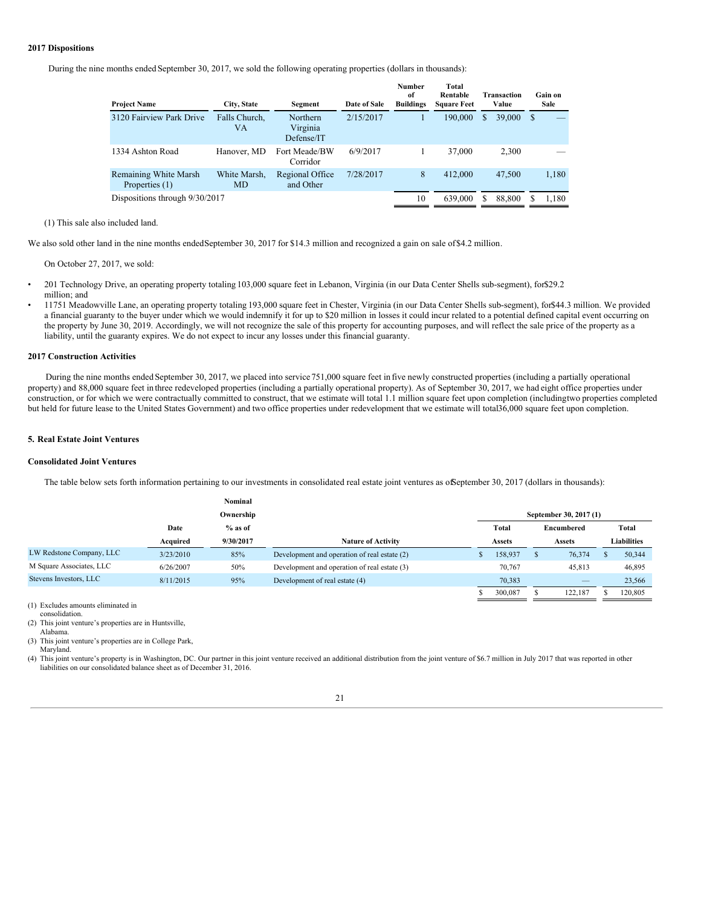## **2017 Dispositions**

During the nine months ended September 30, 2017, we sold the following operating properties (dollars in thousands):

| <b>Project Name</b>                     | City, State               | Segment                            | Date of Sale | Number<br>of<br><b>Buildings</b> | Total<br>Rentable<br><b>Square Feet</b> | <b>Transaction</b><br>Value |    | Gain on<br>Sale |
|-----------------------------------------|---------------------------|------------------------------------|--------------|----------------------------------|-----------------------------------------|-----------------------------|----|-----------------|
| 3120 Fairview Park Drive                | Falls Church,<br>VA       | Northern<br>Virginia<br>Defense/IT | 2/15/2017    |                                  | 190,000                                 | 39,000<br>S.                | -S |                 |
| 1334 Ashton Road                        | Hanover, MD               | Fort Meade/BW<br>Corridor          | 6/9/2017     |                                  | 37,000                                  | 2,300                       |    |                 |
| Remaining White Marsh<br>Properties (1) | White Marsh,<br><b>MD</b> | Regional Office<br>and Other       | 7/28/2017    | 8                                | 412,000                                 | 47,500                      |    | 1,180           |
| Dispositions through 9/30/2017          |                           |                                    |              | 10                               | 639,000                                 | 88,800                      |    | 1.180           |

#### (1) This sale also included land.

We also sold other land in the nine months endedSeptember 30, 2017 for \$14.3 million and recognized a gain on sale of\$4.2 million.

On October 27, 2017, we sold:

- 201 Technology Drive, an operating property totaling 103,000 square feet in Lebanon, Virginia (in our Data Center Shells sub-segment), for\$29.2 million; and
- 11751 Meadowville Lane, an operating property totaling 193,000 square feet in Chester, Virginia (in our Data Center Shells sub-segment), for\$44.3 million. We provided a financial guaranty to the buyer under which we would indemnify it for up to \$20 million in losses it could incur related to a potential defined capital event occurring on the property by June 30, 2019. Accordingly, we will not recognize the sale of this property for accounting purposes, and will reflect the sale price of the property as a liability, until the guaranty expires. We do not expect to incur any losses under this financial guaranty.

### **2017 Construction Activities**

During the nine months ended September 30, 2017, we placed into service 751,000 square feet in five newly constructed properties (including a partially operational property) and 88,000 square feet in three redeveloped properties (including a partially operational property). As of September 30, 2017, we had eight office properties under construction, or for which we were contractually committed to construct, that we estimate will total 1.1 million square feet upon completion (includingtwo properties completed but held for future lease to the United States Government) and two office properties under redevelopment that we estimate will total36,000 square feet upon completion.

## **5. Real Estate Joint Ventures**

#### **Consolidated Joint Ventures**

The table below sets forth information pertaining to our investments in consolidated real estate joint ventures as ofSeptember 30, 2017 (dollars in thousands):

|                          |           | Nominal   |                                              |               |               |                        |             |         |
|--------------------------|-----------|-----------|----------------------------------------------|---------------|---------------|------------------------|-------------|---------|
|                          |           | Ownership |                                              |               |               | September 30, 2017 (1) |             |         |
|                          | Date      | $%$ as of |                                              | Total         |               | Encumbered             |             | Total   |
|                          | Acquired  | 9/30/2017 | <b>Nature of Activity</b>                    | <b>Assets</b> | <b>Assets</b> |                        | Liabilities |         |
| LW Redstone Company, LLC | 3/23/2010 | 85%       | Development and operation of real estate (2) | 158,937       |               | 76,374                 |             | 50,344  |
| M Square Associates, LLC | 6/26/2007 | 50%       | Development and operation of real estate (3) | 70,767        |               | 45.813                 |             | 46,895  |
| Stevens Investors, LLC   | 8/11/2015 | 95%       | Development of real estate (4)               | 70,383        |               |                        |             | 23,566  |
|                          |           |           |                                              | 300,087       |               | 122.187                |             | 120,805 |

(1) Excludes amounts eliminated in consolidation.

(2) This joint venture's properties are in Huntsville,

(3) This joint venture's properties are in College Park,

(4) This joint venture's property is in Washington, DC. Our partner in this joint venture received an additional distribution from the joint venture of \$6.7 million in July 2017 that was reported in other liabilities on our consolidated balance sheet as of December 31, 2016.

Alabama.

Maryland.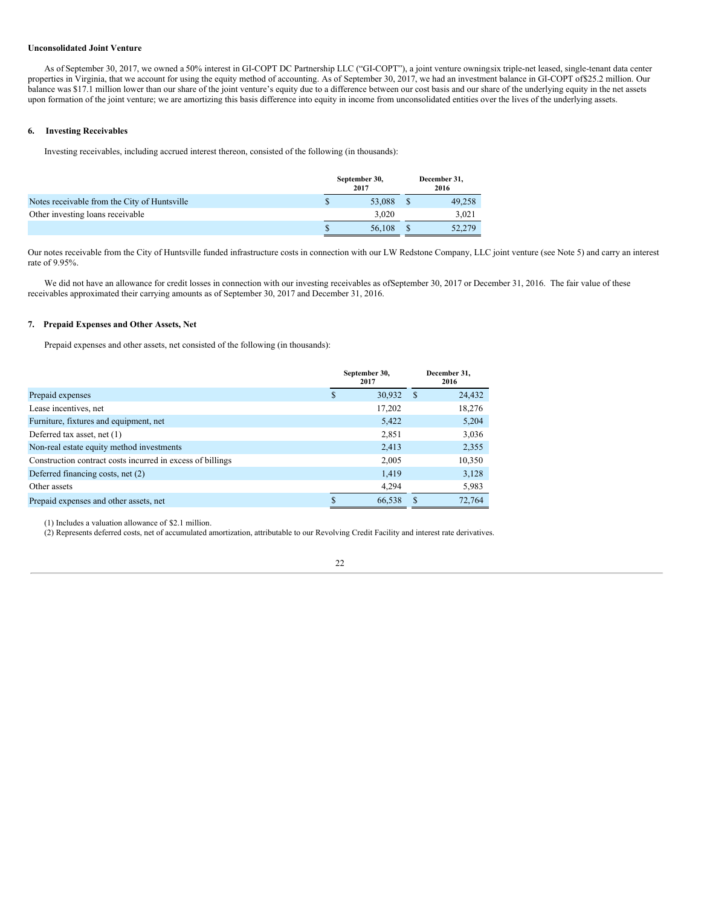### **Unconsolidated Joint Venture**

As of September 30, 2017, we owned a 50% interest in GI-COPT DC Partnership LLC ("GI-COPT"), a joint venture owningsix triple-net leased, single-tenant data center properties in Virginia, that we account for using the equity method of accounting. As of September 30, 2017, we had an investment balance in GI-COPT of\$25.2 million. Our balance was \$17.1 million lower than our share of the joint venture's equity due to a difference between our cost basis and our share of the underlying equity in the net assets upon formation of the joint venture; we are amortizing this basis difference into equity in income from unconsolidated entities over the lives of the underlying assets.

### **6. Investing Receivables**

Investing receivables, including accrued interest thereon, consisted of the following (in thousands):

|                                              | September 30,<br>2017 | December 31,<br>2016 |        |  |
|----------------------------------------------|-----------------------|----------------------|--------|--|
| Notes receivable from the City of Huntsville | 53,088                |                      | 49,258 |  |
| Other investing loans receivable             | 3.020                 |                      | 3.021  |  |
|                                              | 56,108                |                      | 52,279 |  |

Our notes receivable from the City of Huntsville funded infrastructure costs in connection with our LW Redstone Company, LLC joint venture (see Note 5) and carry an interest rate of 9.95%.

We did not have an allowance for credit losses in connection with our investing receivables as ofSeptember 30, 2017 or December 31, 2016. The fair value of these receivables approximated their carrying amounts as of September 30, 2017 and December 31, 2016.

### **7. Prepaid Expenses and Other Assets, Net**

Prepaid expenses and other assets, net consisted of the following (in thousands):

|                                                            |   | September 30,<br>2017 | December 31.<br>2016 |        |  |
|------------------------------------------------------------|---|-----------------------|----------------------|--------|--|
| Prepaid expenses                                           | S | 30,932                | -S                   | 24,432 |  |
| Lease incentives, net                                      |   | 17,202                |                      | 18,276 |  |
| Furniture, fixtures and equipment, net                     |   | 5,422                 |                      | 5,204  |  |
| Deferred tax asset, net (1)                                |   | 2,851                 |                      | 3,036  |  |
| Non-real estate equity method investments                  |   | 2,413                 |                      | 2,355  |  |
| Construction contract costs incurred in excess of billings |   | 2,005                 |                      | 10,350 |  |
| Deferred financing costs, net (2)                          |   | 1,419                 |                      | 3,128  |  |
| Other assets                                               |   | 4,294                 |                      | 5,983  |  |
| Prepaid expenses and other assets, net                     | S | 66.538                |                      | 72.764 |  |

(1) Includes a valuation allowance of \$2.1 million.

(2) Represents deferred costs, net of accumulated amortization, attributable to our Revolving Credit Facility and interest rate derivatives.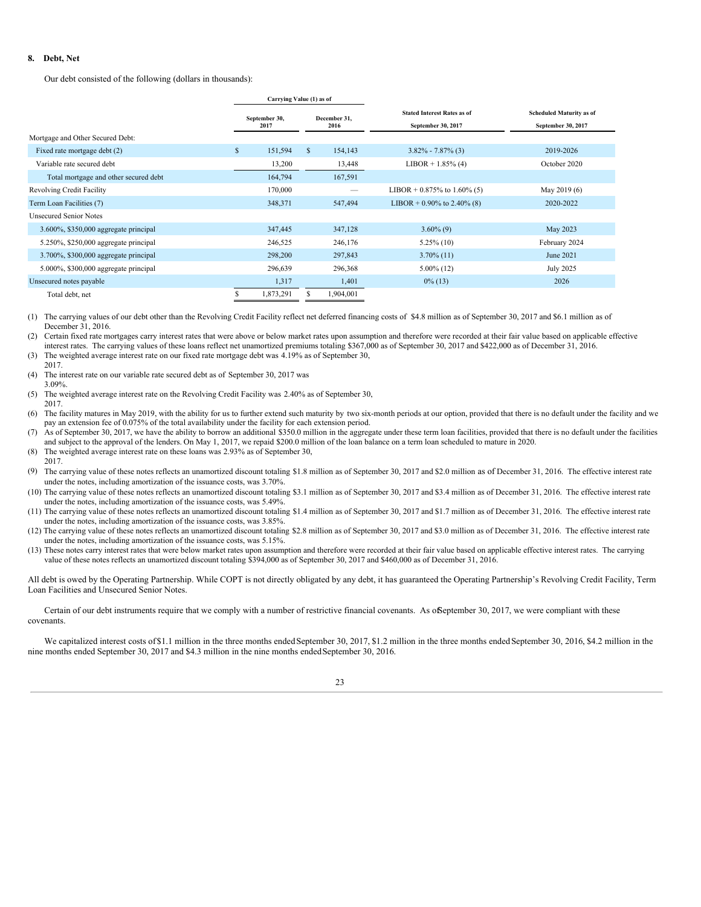### **8. Debt, Net**

Our debt consisted of the following (dollars in thousands):

|                                           |              | Carrying Value (1) as of |              |                      |                                                          |                                                       |
|-------------------------------------------|--------------|--------------------------|--------------|----------------------|----------------------------------------------------------|-------------------------------------------------------|
|                                           |              | September 30,<br>2017    |              | December 31,<br>2016 | <b>Stated Interest Rates as of</b><br>September 30, 2017 | <b>Scheduled Maturity as of</b><br>September 30, 2017 |
| Mortgage and Other Secured Debt:          |              |                          |              |                      |                                                          |                                                       |
| Fixed rate mortgage debt (2)              | $\mathbb{S}$ | 151,594                  | $\mathbb{S}$ | 154,143              | $3.82\% - 7.87\%$ (3)                                    | 2019-2026                                             |
| Variable rate secured debt                |              | 13,200                   |              | 13,448               | $LIBOR + 1.85\% (4)$                                     | October 2020                                          |
| Total mortgage and other secured debt     |              | 164,794                  |              | 167,591              |                                                          |                                                       |
| Revolving Credit Facility                 |              | 170,000                  |              | $\hspace{0.05cm}$    | LIBOR + 0.875% to 1.60% (5)                              | May 2019 (6)                                          |
| Term Loan Facilities (7)                  |              | 348,371                  |              | 547,494              | LIBOR + 0.90% to 2.40% (8)                               | 2020-2022                                             |
| <b>Unsecured Senior Notes</b>             |              |                          |              |                      |                                                          |                                                       |
| $3.600\%$ , \$350,000 aggregate principal |              | 347,445                  |              | 347,128              | $3.60\%$ (9)                                             | May 2023                                              |
| 5.250%, \$250,000 aggregate principal     |              | 246,525                  |              | 246,176              | $5.25\%$ (10)                                            | February 2024                                         |
| 3.700%, \$300,000 aggregate principal     |              | 298,200                  |              | 297,843              | $3.70\%$ (11)                                            | June 2021                                             |
| 5.000%, \$300,000 aggregate principal     |              | 296,639                  |              | 296,368              | $5.00\%$ (12)                                            | July 2025                                             |
| Unsecured notes payable                   |              | 1,317                    |              | 1,401                | $0\%$ (13)                                               | 2026                                                  |
| Total debt, net                           |              | 1,873,291                |              | 1,904,001            |                                                          |                                                       |

(1) The carrying values of our debt other than the Revolving Credit Facility reflect net deferred financing costs of \$4.8 million as of September 30, 2017 and \$6.1 million as of December 31, 2016.

(2) Certain fixed rate mortgages carry interest rates that were above or below market rates upon assumption and therefore were recorded at their fair value based on applicable effective interest rates. The carrying values of these loans reflect net unamortized premiums totaling \$367,000 as of September 30, 2017 and \$422,000 as of December 31, 2016. (3) The weighted average interest rate on our fixed rate mortgage debt was 4.19% as of September 30,

- 2017.
- (4) The interest rate on our variable rate secured debt as of September 30, 2017 was 3.09%.
- (5) The weighted average interest rate on the Revolving Credit Facility was 2.40% as of September 30, 2017.
- (6) The facility matures in May 2019, with the ability for us to further extend such maturity by two six-month periods at our option, provided that there is no default under the facility and we pay an extension fee of 0.075% of the total availability under the facility for each extension period.
- (7) As of September 30, 2017, we have the ability to borrow an additional \$350.0 million in the aggregate under these term loan facilities, provided that there is no default under the facilities and subject to the approval of the lenders. On May 1, 2017, we repaid \$200.0 million of the loan balance on a term loan scheduled to mature in 2020.
- (8) The weighted average interest rate on these loans was 2.93% as of September 30,
- 2017.
- (9) The carrying value of these notes reflects an unamortized discount totaling \$1.8 million as of September 30, 2017 and \$2.0 million as of December 31, 2016. The effective interest rate under the notes, including amortization of the issuance costs, was 3.70%.
- (10) The carrying value of these notes reflects an unamortized discount totaling \$3.1 million as of September 30, 2017 and \$3.4 million as of December 31, 2016. The effective interest rate under the notes, including amortization of the issuance costs, was 5.49%.
- (11) The carrying value of these notes reflects an unamortized discount totaling \$1.4 million as of September 30, 2017 and \$1.7 million as of December 31, 2016. The effective interest rate under the notes, including amortization of the issuance costs, was 3.85%.
- (12) The carrying value of these notes reflects an unamortized discount totaling \$2.8 million as of September 30, 2017 and \$3.0 million as of December 31, 2016. The effective interest rate under the notes, including amortization of the issuance costs, was 5.15%.
- (13) These notes carry interest rates that were below market rates upon assumption and therefore were recorded at their fair value based on applicable effective interest rates. The carrying value of these notes reflects an unamortized discount totaling \$394,000 as of September 30, 2017 and \$460,000 as of December 31, 2016.

All debt is owed by the Operating Partnership. While COPT is not directly obligated by any debt, it has guaranteed the Operating Partnership's Revolving Credit Facility, Term Loan Facilities and Unsecured Senior Notes.

Certain of our debt instruments require that we comply with a number of restrictive financial covenants. As of September 30, 2017, we were compliant with these covenants.

We capitalized interest costs of \$1.1 million in the three months ended September 30, 2017, \$1.2 million in the three months ended September 30, 2016, \$4.2 million in the nine months ended September 30, 2017 and \$4.3 million in the nine months endedSeptember 30, 2016.

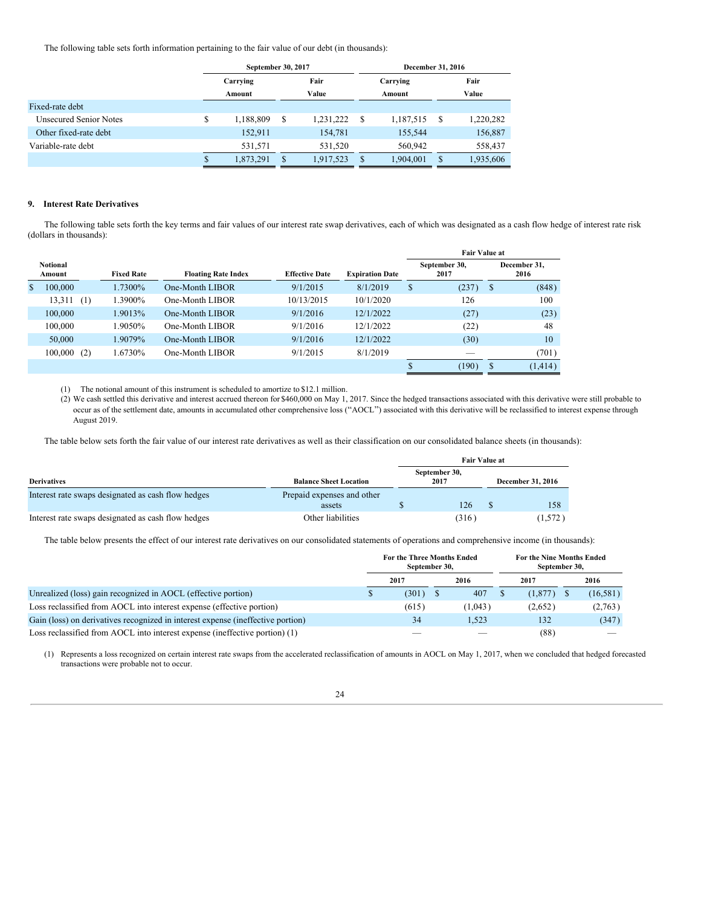The following table sets forth information pertaining to the fair value of our debt (in thousands):

|                               |                                     | September 30, 2017 |   |           |   | <b>December 31, 2016</b> |                 |
|-------------------------------|-------------------------------------|--------------------|---|-----------|---|--------------------------|-----------------|
|                               | Fair<br>Carrying<br>Value<br>Amount |                    |   |           |   | Carrying<br>Amount       | Fair<br>Value   |
| Fixed-rate debt               |                                     |                    |   |           |   |                          |                 |
| <b>Unsecured Senior Notes</b> | \$                                  | 1,188,809          | S | 1,231,222 | S | 1,187,515                | \$<br>1,220,282 |
| Other fixed-rate debt         |                                     | 152,911            |   | 154,781   |   | 155,544                  | 156,887         |
| Variable-rate debt            |                                     | 531.571            |   | 531.520   |   | 560,942                  | 558,437         |
|                               | S                                   | 1,873,291          | S | 1,917,523 |   | 1.904.001                | \$<br>1,935,606 |

## **9. Interest Rate Derivatives**

The following table sets forth the key terms and fair values of our interest rate swap derivatives, each of which was designated as a cash flow hedge of interest rate risk (dollars in thousands):

| <b>Notional</b><br>Amount | <b>Fixed Rate</b> | <b>Floating Rate Index</b> | <b>Effective Date</b> | <b>Expiration Date</b> |    | September 30,<br>2017 |    | December 31,<br>2016 |  |
|---------------------------|-------------------|----------------------------|-----------------------|------------------------|----|-----------------------|----|----------------------|--|
| \$<br>100,000             | 1.7300%           | One-Month LIBOR            | 9/1/2015              | 8/1/2019               | \$ | (237)                 | -S | (848)                |  |
| 13,311<br>(1)             | .3900%            | One-Month LIBOR            | 10/13/2015            | 10/1/2020              |    | 126                   |    | 100                  |  |
| 100,000                   | 1.9013%           | One-Month LIBOR            | 9/1/2016              | 12/1/2022              |    | (27)                  |    | (23)                 |  |
| 100,000                   | .9050%            | One-Month LIBOR            | 9/1/2016              | 12/1/2022              |    | (22)                  |    | 48                   |  |
| 50,000                    | 1.9079%           | One-Month LIBOR            | 9/1/2016              | 12/1/2022              |    | (30)                  |    | 10                   |  |
| 100,000<br>(2)            | 1.6730%           | One-Month LIBOR            | 9/1/2015              | 8/1/2019               |    |                       |    | (701)                |  |
|                           |                   |                            |                       |                        |    | (190)                 | S  | (1, 414)             |  |

(1) The notional amount of this instrument is scheduled to amortize to\$12.1 million.

(2) We cash settled this derivative and interest accrued thereon for\$460,000 on May 1, 2017. Since the hedged transactions associated with this derivative were still probable to occur as of the settlement date, amounts in accumulated other comprehensive loss ("AOCL") associated with this derivative will be reclassified to interest expense through August 2019.

The table below sets forth the fair value of our interest rate derivatives as well as their classification on our consolidated balance sheets (in thousands):

|                                                    |                                      | <b>Fair Value at</b>  |  |                   |  |  |  |  |  |  |
|----------------------------------------------------|--------------------------------------|-----------------------|--|-------------------|--|--|--|--|--|--|
| <b>Derivatives</b>                                 | <b>Balance Sheet Location</b>        | September 30,<br>2017 |  | December 31, 2016 |  |  |  |  |  |  |
| Interest rate swaps designated as cash flow hedges | Prepaid expenses and other<br>assets | 126                   |  | 158               |  |  |  |  |  |  |
| Interest rate swaps designated as cash flow hedges | Other liabilities                    | (316)                 |  | (1,572)           |  |  |  |  |  |  |

The table below presents the effect of our interest rate derivatives on our consolidated statements of operations and comprehensive income (in thousands):

|                                                                                 | For the Three Months Ended<br>September 30, |         | For the Nine Months Ended<br>September 30, |  |           |  |  |
|---------------------------------------------------------------------------------|---------------------------------------------|---------|--------------------------------------------|--|-----------|--|--|
|                                                                                 | 2017                                        | 2016    | 2017                                       |  | 2016      |  |  |
| Unrealized (loss) gain recognized in AOCL (effective portion)                   | (301)                                       | 407     | $(1,877)$ \$                               |  | (16, 581) |  |  |
| Loss reclassified from AOCL into interest expense (effective portion)           | (615)                                       | (1.043) | (2,652)                                    |  | (2,763)   |  |  |
| Gain (loss) on derivatives recognized in interest expense (ineffective portion) | 34                                          | 1.523   | 132                                        |  | (347)     |  |  |
| Loss reclassified from AOCL into interest expense (ineffective portion) (1)     |                                             |         | (88)                                       |  |           |  |  |

(1) Represents a loss recognized on certain interest rate swaps from the accelerated reclassification of amounts in AOCL on May 1, 2017, when we concluded that hedged forecasted transactions were probable not to occur.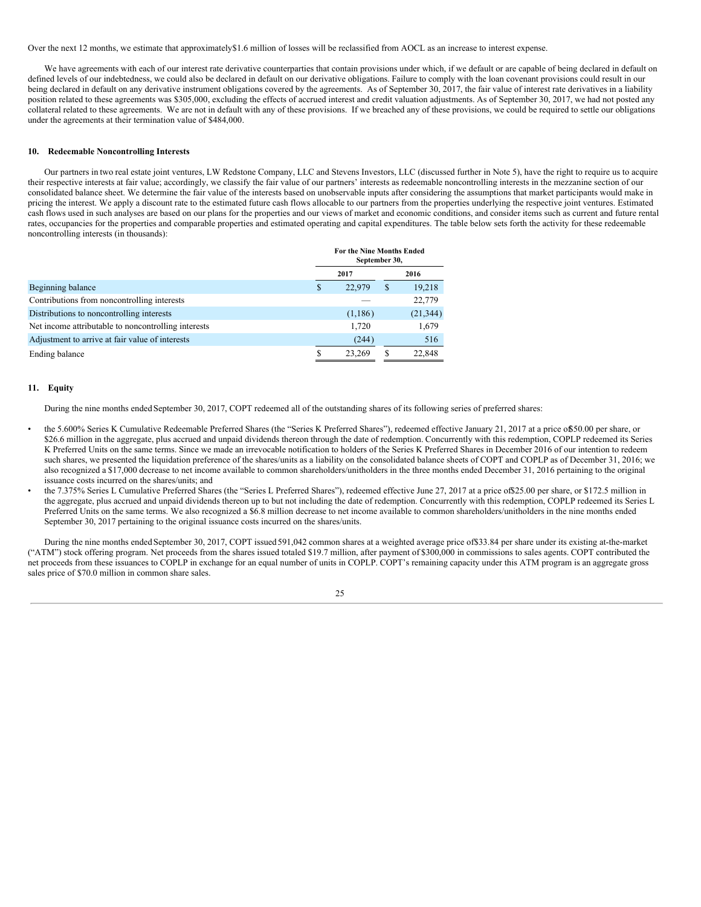Over the next 12 months, we estimate that approximately\$1.6 million of losses will be reclassified from AOCL as an increase to interest expense.

We have agreements with each of our interest rate derivative counterparties that contain provisions under which, if we default or are capable of being declared in default on defined levels of our indebtedness, we could also be declared in default on our derivative obligations. Failure to comply with the loan covenant provisions could result in our being declared in default on any derivative instrument obligations covered by the agreements. As of September 30, 2017, the fair value of interest rate derivatives in a liability position related to these agreements was \$305,000, excluding the effects of accrued interest and credit valuation adjustments. As of September 30, 2017, we had not posted any collateral related to these agreements. We are not in default with any of these provisions. If we breached any of these provisions, we could be required to settle our obligations under the agreements at their termination value of \$484,000.

### **10. Redeemable Noncontrolling Interests**

Our partners in two real estate joint ventures, LW Redstone Company, LLC and Stevens Investors, LLC (discussed further in Note 5), have the right to require us to acquire their respective interests at fair value; accordingly, we classify the fair value of our partners' interests as redeemable noncontrolling interests in the mezzanine section of our consolidated balance sheet. We determine the fair value of the interests based on unobservable inputs after considering the assumptions that market participants would make in pricing the interest. We apply a discount rate to the estimated future cash flows allocable to our partners from the properties underlying the respective joint ventures. Estimated cash flows used in such analyses are based on our plans for the properties and our views of market and economic conditions, and consider items such as current and future rental rates, occupancies for the properties and comparable properties and estimated operating and capital expenditures. The table below sets forth the activity for these redeemable noncontrolling interests (in thousands):

|                                                     | For the Nine Months Ended<br>September 30, |   |           |
|-----------------------------------------------------|--------------------------------------------|---|-----------|
|                                                     | 2017                                       |   | 2016      |
| Beginning balance                                   | \$<br>22,979                               | S | 19,218    |
| Contributions from noncontrolling interests         |                                            |   | 22,779    |
| Distributions to noncontrolling interests           | (1,186)                                    |   | (21, 344) |
| Net income attributable to noncontrolling interests | 1,720                                      |   | 1,679     |
| Adjustment to arrive at fair value of interests     | (244)                                      |   | 516       |
| Ending balance                                      | 23.269                                     |   | 22,848    |

#### **11. Equity**

During the nine months ended September 30, 2017, COPT redeemed all of the outstanding shares of its following series of preferred shares:

- the 5.600% Series K Cumulative Redeemable Preferred Shares (the "Series K Preferred Shares"), redeemed effective January 21, 2017 at a price of 50.00 per share, or \$26.6 million in the aggregate, plus accrued and unpaid dividends thereon through the date of redemption. Concurrently with this redemption, COPLP redeemed its Series K Preferred Units on the same terms. Since we made an irrevocable notification to holders of the Series K Preferred Shares in December 2016 of our intention to redeem such shares, we presented the liquidation preference of the shares/units as a liability on the consolidated balance sheets of COPT and COPLP as of December 31, 2016; we also recognized a \$17,000 decrease to net income available to common shareholders/unitholders in the three months ended December 31, 2016 pertaining to the original issuance costs incurred on the shares/units; and
- the 7.375% Series L Cumulative Preferred Shares (the "Series L Preferred Shares"), redeemed effective June 27, 2017 at a price of\$25.00 per share, or \$172.5 million in the aggregate, plus accrued and unpaid dividends thereon up to but not including the date of redemption. Concurrently with this redemption, COPLP redeemed its Series L Preferred Units on the same terms. We also recognized a \$6.8 million decrease to net income available to common shareholders/unitholders in the nine months ended September 30, 2017 pertaining to the original issuance costs incurred on the shares/units.

During the nine months ended September 30, 2017, COPT issued 591,042 common shares at a weighted average price of\$33.84 per share under its existing at-the-market ("ATM") stock offering program. Net proceeds from the shares issued totaled \$19.7 million, after payment of \$300,000 in commissions to sales agents. COPT contributed the net proceeds from these issuances to COPLP in exchange for an equal number of units in COPLP. COPT's remaining capacity under this ATM program is an aggregate gross sales price of \$70.0 million in common share sales.

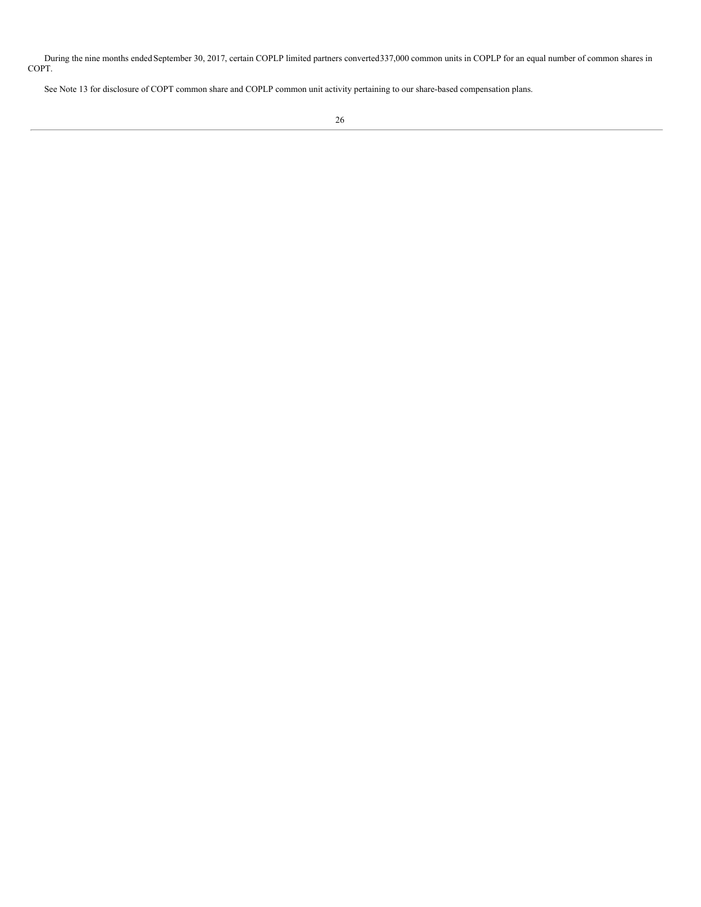During the nine months ended September 30, 2017, certain COPLP limited partners converted337,000 common units in COPLP for an equal number of common shares in COPT.

See Note 13 for disclosure of COPT common share and COPLP common unit activity pertaining to our share-based compensation plans.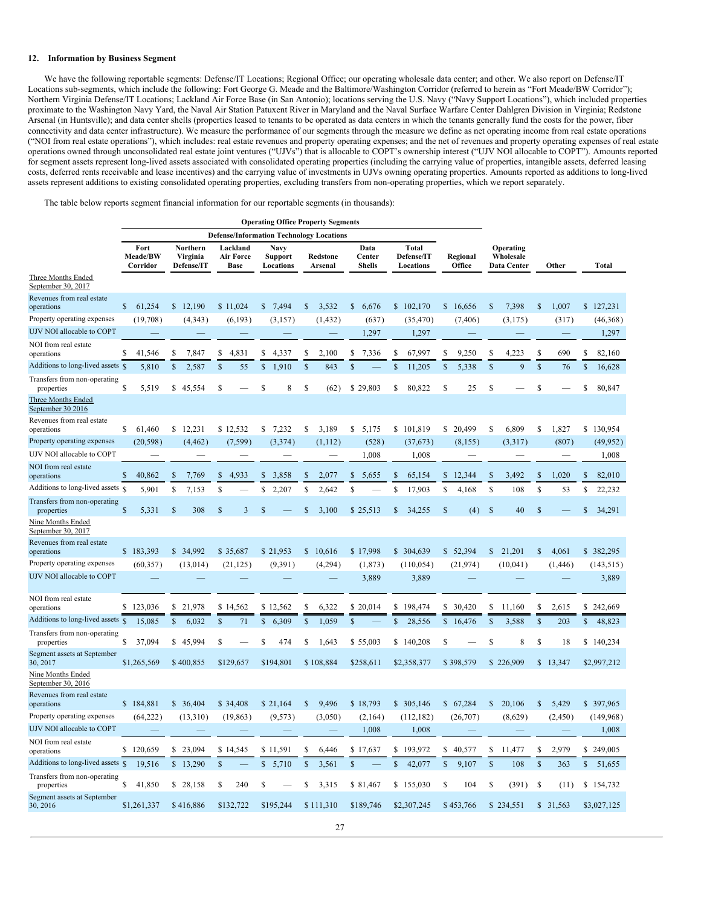#### **12. Information by Business Segment**

We have the following reportable segments: Defense/IT Locations; Regional Office; our operating wholesale data center; and other. We also report on Defense/IT Locations sub-segments, which include the following: Fort George G. Meade and the Baltimore/Washington Corridor (referred to herein as "Fort Meade/BW Corridor"); Northern Virginia Defense/IT Locations; Lackland Air Force Base (in San Antonio); locations serving the U.S. Navy ("Navy Support Locations"), which included properties proximate to the Washington Navy Yard, the Naval Air Station Patuxent River in Maryland and the Naval Surface Warfare Center Dahlgren Division in Virginia; Redstone Arsenal (in Huntsville); and data center shells (properties leased to tenants to be operated as data centers in which the tenants generally fund the costs for the power, fiber connectivity and data center infrastructure). We measure the performance of our segments through the measure we define as net operating income from real estate operations ("NOI from real estate operations"), which includes: real estate revenues and property operating expenses; and the net of revenues and property operating expenses of real estate operations owned through unconsolidated real estate joint ventures ("UJVs") that is allocable to COPT's ownership interest ("UJV NOI allocable to COPT"). Amounts reported for segment assets represent long-lived assets associated with consolidated operating properties (including the carrying value of properties, intangible assets, deferred leasing costs, deferred rents receivable and lease incentives) and the carrying value of investments in UJVs owning operating properties. Amounts reported as additions to long-lived assets represent additions to existing consolidated operating properties, excluding transfers from non-operating properties, which we report separately.

**Operating Office Property Segments**

The table below reports segment financial information for our reportable segments (in thousands):

|                                                                  | <b>Operating Office Property Segments</b> |                                    |                                             |                                            |                                                                               |                                 |                                         |                    |                                       |                      |                         |
|------------------------------------------------------------------|-------------------------------------------|------------------------------------|---------------------------------------------|--------------------------------------------|-------------------------------------------------------------------------------|---------------------------------|-----------------------------------------|--------------------|---------------------------------------|----------------------|-------------------------|
|                                                                  | Fort<br>Meade/BW<br>Corridor              | Northern<br>Virginia<br>Defense/IT | Lackland<br><b>Air Force</b><br><b>Base</b> | <b>Navy</b><br><b>Support</b><br>Locations | <b>Defense/Information Technology Locations</b><br><b>Redstone</b><br>Arsenal | Data<br>Center<br><b>Shells</b> | <b>Total</b><br>Defense/IT<br>Locations | Regional<br>Office | Operating<br>Wholesale<br>Data Center | Other                | Total                   |
| Three Months Ended<br>September 30, 2017                         |                                           |                                    |                                             |                                            |                                                                               |                                 |                                         |                    |                                       |                      |                         |
| Revenues from real estate<br>operations                          | $\mathbb{S}$<br>61,254                    | 12,190<br>$\mathbb{S}$             | \$11,024                                    | \$<br>7,494                                | 3,532<br>\$                                                                   | $\mathbb{S}$<br>6,676           | \$102,170                               | \$16,656           | \$<br>7,398                           | \$<br>1.007          | \$127,231               |
| Property operating expenses                                      | (19,708)                                  | (4, 343)                           | (6, 193)                                    | (3, 157)                                   | (1, 432)                                                                      | (637)                           | (35, 470)                               | (7, 406)           | (3, 175)                              | (317)                | (46,368)                |
| UJV NOI allocable to COPT                                        |                                           |                                    |                                             |                                            |                                                                               | 1,297                           | 1,297                                   |                    |                                       |                      | 1,297                   |
| NOI from real estate<br>operations                               | S<br>41,546                               | \$<br>7,847                        | S<br>4,831                                  | \$<br>4.337                                | S<br>2.100                                                                    | \$<br>7,336                     | S<br>67,997                             | S<br>9.250         | \$<br>4,223                           | \$<br>690            | \$<br>82,160            |
| Additions to long-lived assets §                                 | 5,810                                     | $\mathbf S$<br>2,587               | $\mathbf S$<br>55                           | 1,910<br>\$                                | \$<br>843                                                                     | \$                              | \$<br>11,205                            | \$<br>5,338        | \$<br>9                               | \$<br>76             | $\mathsf{\$}$<br>16,628 |
| Transfers from non-operating<br>properties<br>Three Months Ended | S<br>5,519                                | \$<br>45,554                       | S                                           | \$<br>8                                    | \$<br>(62)                                                                    | \$29,803                        | 80,822<br>S                             | S<br>25            | \$                                    | \$                   | \$<br>80,847            |
| September 30 2016                                                |                                           |                                    |                                             |                                            |                                                                               |                                 |                                         |                    |                                       |                      |                         |
| Revenues from real estate<br>operations                          | S.<br>61,460                              | 12,231<br>\$                       | \$12,532                                    | \$<br>7,232                                | S<br>3,189                                                                    | \$<br>5,175                     | \$101,819                               | \$<br>20,499       | 6,809<br>\$                           | \$<br>1,827          | \$130,954               |
| Property operating expenses                                      | (20, 598)                                 | (4, 462)                           | (7, 599)                                    | (3,374)                                    | (1,112)                                                                       | (528)                           | (37,673)                                | (8, 155)           | (3,317)                               | (807)                | (49, 952)               |
| UJV NOI allocable to COPT                                        |                                           |                                    |                                             |                                            |                                                                               | 1,008                           | 1,008                                   |                    |                                       |                      | 1,008                   |
| NOI from real estate<br>operations                               | $\mathbb{S}$<br>40,862                    | $\mathcal{S}$<br>7,769             | \$<br>4,933                                 | \$<br>3,858                                | $\mathbb{S}$<br>2,077                                                         | \$<br>5,655                     | S<br>65,154                             | \$<br>12,344       | $\mathbf S$<br>3,492                  | $\mathbf S$<br>1,020 | $\mathbf S$<br>82,010   |
| Additions to long-lived assets §                                 | 5,901                                     | \$<br>7,153                        | \$                                          | S<br>2,207                                 | \$<br>2,642                                                                   | \$                              | \$<br>17,903                            | \$<br>4,168        | \$<br>108                             | \$<br>53             | \$<br>22,232            |
| Transfers from non-operating<br>properties                       | S<br>5,331                                | $\mathcal{S}$<br>308               | $\mathbf S$<br>3                            | <b>S</b>                                   | S<br>3,100                                                                    | \$25,513                        | 34,255<br>S                             | \$<br>(4)          | $\mathbf{\hat{s}}$<br>40              | \$                   | $\mathbf S$<br>34,291   |
| Nine Months Ended<br>September 30, 2017                          |                                           |                                    |                                             |                                            |                                                                               |                                 |                                         |                    |                                       |                      |                         |
| Revenues from real estate<br>operations                          | \$183,393                                 | \$34,992                           | \$35,687                                    | \$21,953                                   | \$<br>10,616                                                                  | \$17,998                        | \$ 304,639                              | \$52,394           | \$<br>21,201                          | \$<br>4,061          | \$382,295               |
| Property operating expenses                                      | (60, 357)                                 | (13,014)                           | (21, 125)                                   | (9, 391)                                   | (4,294)                                                                       | (1, 873)                        | (110, 054)                              | (21, 974)          | (10,041)                              | (1, 446)             | (143, 515)              |
| UJV NOI allocable to COPT                                        |                                           |                                    |                                             |                                            |                                                                               | 3,889                           | 3,889                                   |                    |                                       |                      | 3,889                   |
| NOI from real estate<br>operations                               | \$<br>123,036                             | \$<br>21,978                       | \$14,562                                    | \$12,562                                   | S<br>6,322                                                                    | \$20,014                        | \$<br>198,474                           | \$<br>30,420       | \$<br>11.160                          | \$<br>2,615          | \$<br>242,669           |
| Additions to long-lived assets $\hat{\mathbf{s}}$                | 15,085                                    | \$<br>6,032                        | \$<br>71                                    | \$<br>6,309                                | \$<br>1,059                                                                   | \$                              | \$<br>28,556                            | \$<br>16,476       | \$<br>3,588                           | \$<br>203            | \$<br>48,823            |
| Transfers from non-operating<br>properties                       | S<br>37,094                               | S<br>45,994                        | S                                           | 474                                        | S<br>1,643                                                                    | \$55,003                        | S.<br>140,208                           | \$                 | S<br>8                                | \$<br>18             | \$140,234               |
| Segment assets at September<br>30, 2017                          | \$1,265,569                               | \$400,855                          | \$129,657                                   | \$194,801                                  | \$108,884                                                                     | \$258,611                       | \$2,358,377                             | \$398,579          | \$226,909                             | \$<br>13,347         | \$2,997,212             |
| Nine Months Ended<br>September 30, 2016                          |                                           |                                    |                                             |                                            |                                                                               |                                 |                                         |                    |                                       |                      |                         |
| Revenues from real estate<br>operations                          | \$184,881                                 | $\mathbb{S}$<br>36,404             | \$34,408                                    | \$21,164                                   | $\mathbb{S}$<br>9,496                                                         | \$18,793                        | \$305,146                               | \$67,284           | \$<br>20,106                          | \$<br>5,429          | \$397,965               |
| Property operating expenses                                      | (64, 222)                                 | (13,310)                           | (19, 863)                                   | (9, 573)                                   | (3,050)                                                                       | (2,164)                         | (112, 182)                              | (26,707)           | (8,629)                               | (2, 450)             | (149,968)               |
| UJV NOI allocable to COPT                                        |                                           |                                    |                                             |                                            |                                                                               | 1,008                           | 1,008                                   |                    |                                       |                      | 1,008                   |
| NOI from real estate<br>operations                               | \$<br>120,659                             | 23,094<br>\$                       | \$14,545                                    | \$11.591                                   | \$<br>6,446                                                                   | \$<br>17,637                    | 193,972<br>\$                           | \$<br>40,577       | \$<br>11.477                          | 2,979<br>S           | \$<br>249,005           |
| Additions to long-lived assets $\hat{\mathbf{s}}$                | 19,516                                    | \$<br>13,290                       | <sup>\$</sup>                               | 5,710<br>S                                 | \$<br>3,561                                                                   | \$                              | $\mathbf S$<br>42,077                   | \$<br>9,107        | \$<br>108                             | \$<br>363            | \$<br>51,655            |
| Transfers from non-operating<br>properties                       | S<br>41,850                               | S.<br>28,158                       | \$<br>240                                   | S                                          | S<br>3,315                                                                    | \$81,467                        | \$155,030                               | \$<br>104          | \$<br>(391)                           | \$<br>(11)           | \$154,732               |
| Segment assets at September<br>30, 2016                          | \$1,261,337                               | \$416,886                          | \$132,722                                   | \$195,244                                  | \$111,310                                                                     | \$189,746                       | \$2,307,245                             | \$453,766          | \$234,551                             | \$<br>31,563         | \$3,027,125             |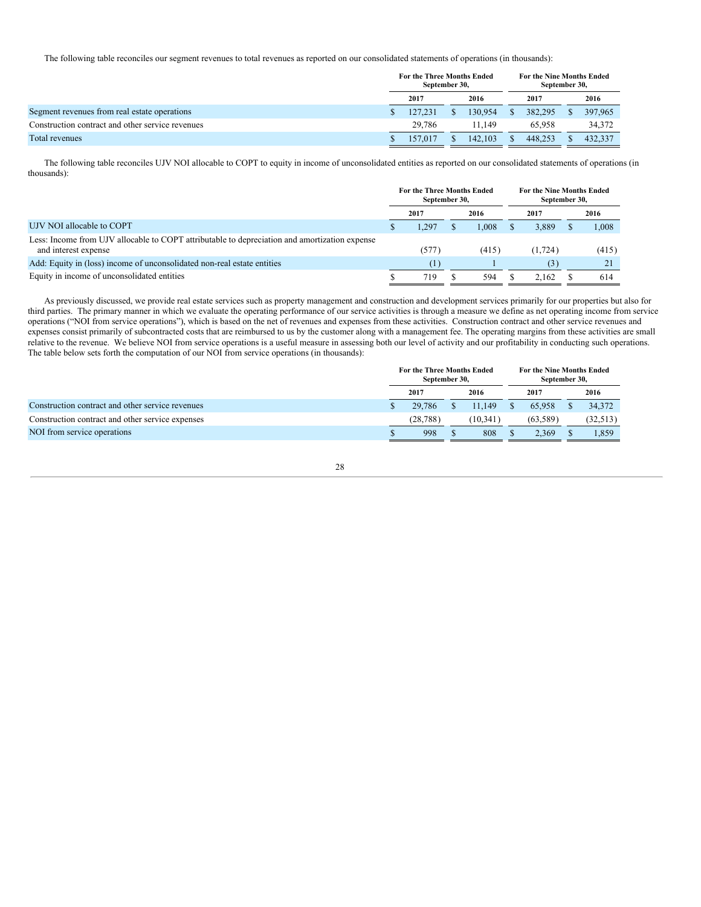The following table reconciles our segment revenues to total revenues as reported on our consolidated statements of operations (in thousands):

|                                                  | For the Three Months Ended<br>September 30, |         | For the Nine Months Ended<br>September 30, |         |  |         |
|--------------------------------------------------|---------------------------------------------|---------|--------------------------------------------|---------|--|---------|
|                                                  | 2017                                        | 2016    |                                            | 2017    |  | 2016    |
| Segment revenues from real estate operations     | 127.231                                     | 130.954 | S.                                         | 382,295 |  | 397,965 |
| Construction contract and other service revenues | 29.786                                      | 11.149  |                                            | 65,958  |  | 34,372  |
| Total revenues                                   | 157,017                                     | 142,103 |                                            | 448.253 |  | 432,337 |

The following table reconciles UJV NOI allocable to COPT to equity in income of unconsolidated entities as reported on our consolidated statements of operations (in thousands):

|                                                                                                                       | <b>For the Three Months Ended</b><br>September 30, |       | <b>For the Nine Months Ended</b><br>September 30, |          |  |       |  |
|-----------------------------------------------------------------------------------------------------------------------|----------------------------------------------------|-------|---------------------------------------------------|----------|--|-------|--|
|                                                                                                                       | 2017                                               | 2016  |                                                   | 2017     |  | 2016  |  |
| UJV NOI allocable to COPT                                                                                             | l.297                                              | 1.008 |                                                   | 3.889    |  | 1,008 |  |
| Less: Income from UJV allocable to COPT attributable to depreciation and amortization expense<br>and interest expense | (577)                                              | (415) |                                                   | (1, 724) |  | (415) |  |
| Add: Equity in (loss) income of unconsolidated non-real estate entities                                               | $\left(1\right)$                                   |       |                                                   | (3)      |  | 21    |  |
| Equity in income of unconsolidated entities                                                                           | 719                                                | 594   |                                                   | 2.162    |  | 614   |  |

As previously discussed, we provide real estate services such as property management and construction and development services primarily for our properties but also for third parties. The primary manner in which we evaluate the operating performance of our service activities is through a measure we define as net operating income from service operations ("NOI from service operations"), which is based on the net of revenues and expenses from these activities. Construction contract and other service revenues and expenses consist primarily of subcontracted costs that are reimbursed to us by the customer along with a management fee. The operating margins from these activities are small relative to the revenue. We believe NOI from service operations is a useful measure in assessing both our level of activity and our profitability in conducting such operations. The table below sets forth the computation of our NOI from service operations (in thousands):

|                                                  | For the Three Months Ended<br>September 30, |         |  | <b>For the Nine Months Ended</b><br>September 30, |  |           |
|--------------------------------------------------|---------------------------------------------|---------|--|---------------------------------------------------|--|-----------|
|                                                  | 2017                                        | 2016    |  | 2017                                              |  | 2016      |
| Construction contract and other service revenues | 29,786                                      | 11.149  |  | 65,958                                            |  | 34,372    |
| Construction contract and other service expenses | (28.788)                                    | (10.341 |  | (63.589)                                          |  | (32, 513) |
| NOI from service operations                      | 998                                         | 808     |  | 2.369                                             |  | 1,859     |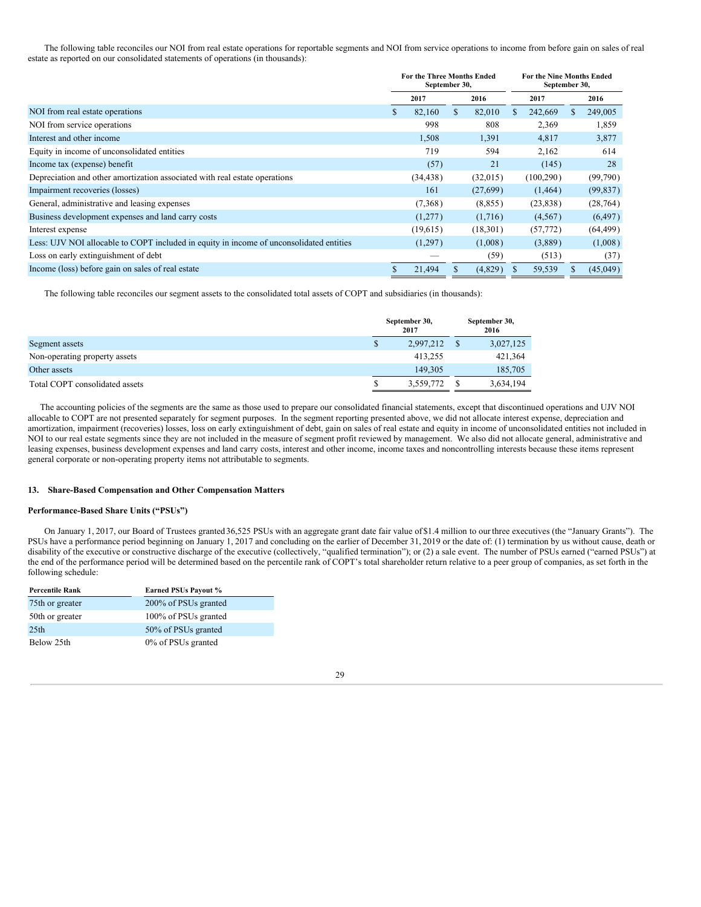The following table reconciles our NOI from real estate operations for reportable segments and NOI from service operations to income from before gain on sales of real estate as reported on our consolidated statements of operations (in thousands):

|                                                                                         | For the Three Months Ended<br>September 30, |           |    |          |   | <b>For the Nine Months Ended</b><br>September 30, |    |           |
|-----------------------------------------------------------------------------------------|---------------------------------------------|-----------|----|----------|---|---------------------------------------------------|----|-----------|
|                                                                                         |                                             | 2017      |    | 2016     |   | 2017                                              |    | 2016      |
| NOI from real estate operations                                                         | S.                                          | 82,160    | S. | 82,010   | S | 242,669                                           | S. | 249,005   |
| NOI from service operations                                                             |                                             | 998       |    | 808      |   | 2,369                                             |    | 1,859     |
| Interest and other income                                                               |                                             | 1,508     |    | 1,391    |   | 4,817                                             |    | 3,877     |
| Equity in income of unconsolidated entities                                             |                                             | 719       |    | 594      |   | 2,162                                             |    | 614       |
| Income tax (expense) benefit                                                            |                                             | (57)      |    | 21       |   | (145)                                             |    | 28        |
| Depreciation and other amortization associated with real estate operations              |                                             | (34, 438) |    | (32,015) |   | (100, 290)                                        |    | (99,790)  |
| Impairment recoveries (losses)                                                          |                                             | 161       |    | (27,699) |   | (1, 464)                                          |    | (99, 837) |
| General, administrative and leasing expenses                                            |                                             | (7,368)   |    | (8, 855) |   | (23, 838)                                         |    | (28, 764) |
| Business development expenses and land carry costs                                      |                                             | (1,277)   |    | (1,716)  |   | (4,567)                                           |    | (6, 497)  |
| Interest expense                                                                        |                                             | (19,615)  |    | (18,301) |   | (57, 772)                                         |    | (64, 499) |
| Less: UJV NOI allocable to COPT included in equity in income of unconsolidated entities |                                             | (1,297)   |    | (1,008)  |   | (3,889)                                           |    | (1,008)   |
| Loss on early extinguishment of debt                                                    |                                             |           |    | (59)     |   | (513)                                             |    | (37)      |
| Income (loss) before gain on sales of real estate                                       |                                             | 21,494    |    | (4,829)  | S | 59,539                                            | S  | (45,049)  |

The following table reconciles our segment assets to the consolidated total assets of COPT and subsidiaries (in thousands):

|                                |   | September 30,<br>2017 | September 30,<br>2016 |
|--------------------------------|---|-----------------------|-----------------------|
| Segment assets                 | S | 2,997,212             | 3,027,125             |
| Non-operating property assets  |   | 413.255               | 421,364               |
| Other assets                   |   | 149.305               | 185,705               |
| Total COPT consolidated assets |   | 3,559,772             | 3,634,194             |

The accounting policies of the segments are the same as those used to prepare our consolidated financial statements, except that discontinued operations and UJV NOI allocable to COPT are not presented separately for segment purposes. In the segment reporting presented above, we did not allocate interest expense, depreciation and amortization, impairment (recoveries) losses, loss on early extinguishment of debt, gain on sales of real estate and equity in income of unconsolidated entities not included in NOI to our real estate segments since they are not included in the measure of segment profit reviewed by management. We also did not allocate general, administrative and leasing expenses, business development expenses and land carry costs, interest and other income, income taxes and noncontrolling interests because these items represent general corporate or non-operating property items not attributable to segments.

### **13. Share-Based Compensation and Other Compensation Matters**

## **Performance-Based Share Units ("PSUs")**

On January 1, 2017, our Board of Trustees granted 36,525 PSUs with an aggregate grant date fair value of \$1.4 million to ourthree executives (the "January Grants"). The PSUs have a performance period beginning on January 1, 2017 and concluding on the earlier of December 31, 2019 or the date of: (1) termination by us without cause, death or disability of the executive or constructive discharge of the executive (collectively, "qualified termination"); or (2) a sale event. The number of PSUs earned ("earned PSUs") at the end of the performance period will be determined based on the percentile rank of COPT's total shareholder return relative to a peer group of companies, as set forth in the following schedule:

| <b>Percentile Rank</b> | <b>Earned PSUs Payout %</b> |
|------------------------|-----------------------------|
| 75th or greater        | 200% of PSUs granted        |
| 50th or greater        | 100% of PSUs granted        |
| 25 <sub>th</sub>       | 50% of PSUs granted         |
| Below 25th             | 0% of PSUs granted          |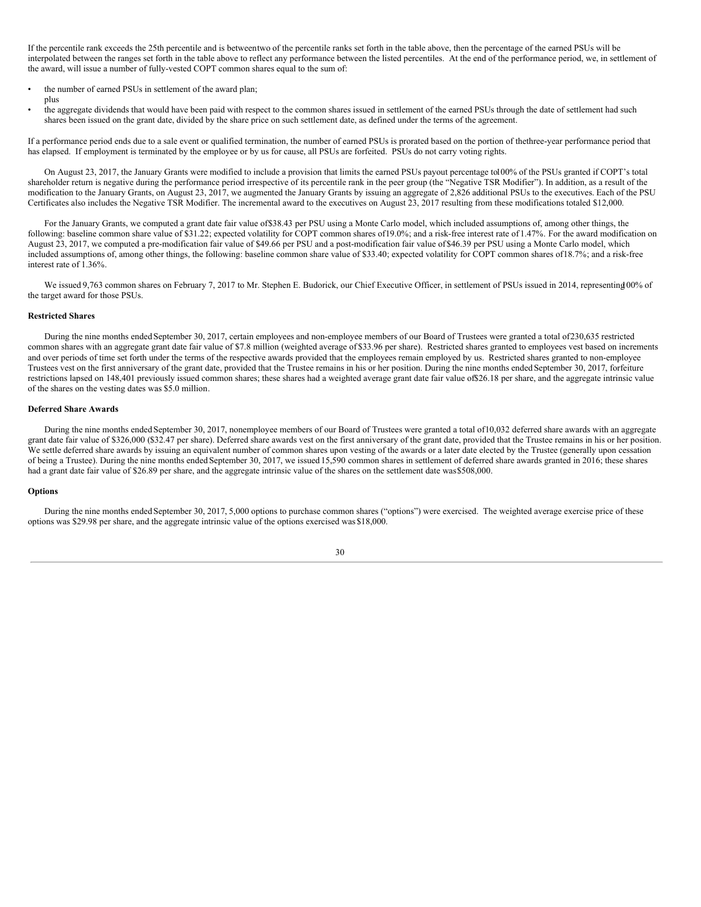If the percentile rank exceeds the 25th percentile and is betweentwo of the percentile ranks set forth in the table above, then the percentage of the earned PSUs will be interpolated between the ranges set forth in the table above to reflect any performance between the listed percentiles. At the end of the performance period, we, in settlement of the award, will issue a number of fully-vested COPT common shares equal to the sum of:

- the number of earned PSUs in settlement of the award plan; plus
- the aggregate dividends that would have been paid with respect to the common shares issued in settlement of the earned PSUs through the date of settlement had such shares been issued on the grant date, divided by the share price on such settlement date, as defined under the terms of the agreement.

If a performance period ends due to a sale event or qualified termination, the number of earned PSUs is prorated based on the portion of thethree-year performance period that has elapsed. If employment is terminated by the employee or by us for cause, all PSUs are forfeited. PSUs do not carry voting rights.

On August 23, 2017, the January Grants were modified to include a provision that limits the earned PSUs payout percentage to100% of the PSUs granted if COPT's total shareholder return is negative during the performance period irrespective of its percentile rank in the peer group (the "Negative TSR Modifier"). In addition, as a result of the modification to the January Grants, on August 23, 2017, we augmented the January Grants by issuing an aggregate of 2,826 additional PSUs to the executives. Each of the PSU Certificates also includes the Negative TSR Modifier. The incremental award to the executives on August 23, 2017 resulting from these modifications totaled \$12,000.

For the January Grants, we computed a grant date fair value of\$38.43 per PSU using a Monte Carlo model, which included assumptions of, among other things, the following: baseline common share value of \$31.22; expected volatility for COPT common shares of19.0%; and a risk-free interest rate of 1.47%. For the award modification on August 23, 2017, we computed a pre-modification fair value of \$49.66 per PSU and a post-modification fair value of \$46.39 per PSU using a Monte Carlo model, which included assumptions of, among other things, the following: baseline common share value of \$33.40; expected volatility for COPT common shares of18.7%; and a risk-free interest rate of 1.36%.

We issued 9,763 common shares on February 7, 2017 to Mr. Stephen E. Budorick, our Chief Executive Officer, in settlement of PSUs issued in 2014, representing 00% of the target award for those PSUs.

#### **Restricted Shares**

During the nine months ended September 30, 2017, certain employees and non-employee members of our Board of Trustees were granted a total of230,635 restricted common shares with an aggregate grant date fair value of \$7.8 million (weighted average of \$33.96 per share). Restricted shares granted to employees vest based on increments and over periods of time set forth under the terms of the respective awards provided that the employees remain employed by us. Restricted shares granted to non-employee Trustees vest on the first anniversary of the grant date, provided that the Trustee remains in his or her position. During the nine months ended September 30, 2017, forfeiture restrictions lapsed on 148,401 previously issued common shares; these shares had a weighted average grant date fair value of\$26.18 per share, and the aggregate intrinsic value of the shares on the vesting dates was \$5.0 million.

#### **Deferred Share Awards**

During the nine months ended September 30, 2017, nonemployee members of our Board of Trustees were granted a total of10,032 deferred share awards with an aggregate grant date fair value of \$326,000 (\$32.47 per share). Deferred share awards vest on the first anniversary of the grant date, provided that the Trustee remains in his or her position. We settle deferred share awards by issuing an equivalent number of common shares upon vesting of the awards or a later date elected by the Trustee (generally upon cessation of being a Trustee). During the nine months ended September 30, 2017, we issued 15,590 common shares in settlement of deferred share awards granted in 2016; these shares had a grant date fair value of \$26.89 per share, and the aggregate intrinsic value of the shares on the settlement date was\$508,000.

#### **Options**

During the nine months ended September 30, 2017, 5,000 options to purchase common shares ("options") were exercised. The weighted average exercise price of these options was \$29.98 per share, and the aggregate intrinsic value of the options exercised was \$18,000.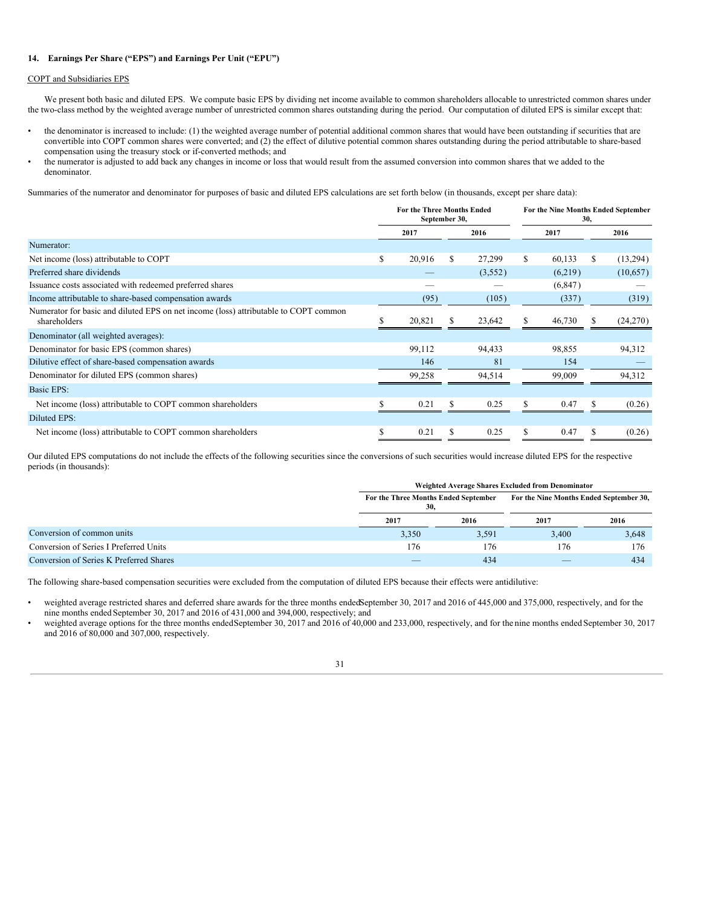## **14. Earnings Per Share ("EPS") and Earnings Per Unit ("EPU")**

## COPT and Subsidiaries EPS

We present both basic and diluted EPS. We compute basic EPS by dividing net income available to common shareholders allocable to unrestricted common shares under the two-class method by the weighted average number of unrestricted common shares outstanding during the period. Our computation of diluted EPS is similar except that:

- the denominator is increased to include: (1) the weighted average number of potential additional common shares that would have been outstanding if securities that are convertible into COPT common shares were converted; and (2) the effect of dilutive potential common shares outstanding during the period attributable to share-based compensation using the treasury stock or if-converted methods; and
- the numerator is adjusted to add back any changes in income or loss that would result from the assumed conversion into common shares that we added to the denominator.

Summaries of the numerator and denominator for purposes of basic and diluted EPS calculations are set forth below (in thousands, except per share data):

|                                                                                                      | <b>For the Three Months Ended</b><br>September 30, |        |      | For the Nine Months Ended September<br>30, |      |          |    |          |
|------------------------------------------------------------------------------------------------------|----------------------------------------------------|--------|------|--------------------------------------------|------|----------|----|----------|
|                                                                                                      |                                                    | 2017   | 2016 |                                            | 2017 |          |    | 2016     |
| Numerator:                                                                                           |                                                    |        |      |                                            |      |          |    |          |
| Net income (loss) attributable to COPT                                                               | S                                                  | 20,916 | S    | 27,299                                     | S    | 60,133   | S. | (13,294) |
| Preferred share dividends                                                                            |                                                    |        |      | (3,552)                                    |      | (6,219)  |    | (10,657) |
| Issuance costs associated with redeemed preferred shares                                             |                                                    |        |      |                                            |      | (6, 847) |    |          |
| Income attributable to share-based compensation awards                                               |                                                    | (95)   |      | (105)                                      |      | (337)    |    | (319)    |
| Numerator for basic and diluted EPS on net income (loss) attributable to COPT common<br>shareholders |                                                    | 20,821 |      | 23,642                                     |      | 46,730   |    | (24,270) |
| Denominator (all weighted averages):                                                                 |                                                    |        |      |                                            |      |          |    |          |
| Denominator for basic EPS (common shares)                                                            |                                                    | 99,112 |      | 94,433                                     |      | 98,855   |    | 94,312   |
| Dilutive effect of share-based compensation awards                                                   |                                                    | 146    |      | 81                                         |      | 154      |    |          |
| Denominator for diluted EPS (common shares)                                                          |                                                    | 99,258 |      | 94,514                                     |      | 99,009   |    | 94,312   |
| Basic EPS:                                                                                           |                                                    |        |      |                                            |      |          |    |          |
| Net income (loss) attributable to COPT common shareholders                                           |                                                    | 0.21   |      | 0.25                                       | S    | 0.47     |    | (0.26)   |
| Diluted EPS:                                                                                         |                                                    |        |      |                                            |      |          |    |          |
| Net income (loss) attributable to COPT common shareholders                                           |                                                    | 0.21   | S    | 0.25                                       |      | 0.47     |    | (0.26)   |

Our diluted EPS computations do not include the effects of the following securities since the conversions of such securities would increase diluted EPS for the respective periods (in thousands):

|                                         |       | Weighted Average Shares Excluded from Denominator |                                         |       |  |  |  |  |  |
|-----------------------------------------|-------|---------------------------------------------------|-----------------------------------------|-------|--|--|--|--|--|
|                                         |       | For the Three Months Ended September<br>30,       | For the Nine Months Ended September 30, |       |  |  |  |  |  |
|                                         | 2017  | 2016                                              | 2017                                    | 2016  |  |  |  |  |  |
| Conversion of common units              | 3,350 | 3,591                                             | 3,400                                   | 3,648 |  |  |  |  |  |
| Conversion of Series I Preferred Units  | 176   | 176                                               | 176                                     | 176   |  |  |  |  |  |
| Conversion of Series K Preferred Shares |       | 434                                               | _                                       | 434   |  |  |  |  |  |

The following share-based compensation securities were excluded from the computation of diluted EPS because their effects were antidilutive:

• weighted average restricted shares and deferred share awards for the three months endedSeptember 30, 2017 and 2016 of 445,000 and 375,000, respectively, and for the nine months ended September 30, 2017 and 2016 of 431,000 and 394,000, respectively; and

weighted average options for the three months endedSeptember 30, 2017 and 2016 of 40,000 and 233,000, respectively, and for the nine months ended September 30, 2017 and 2016 of 80,000 and 307,000, respectively.

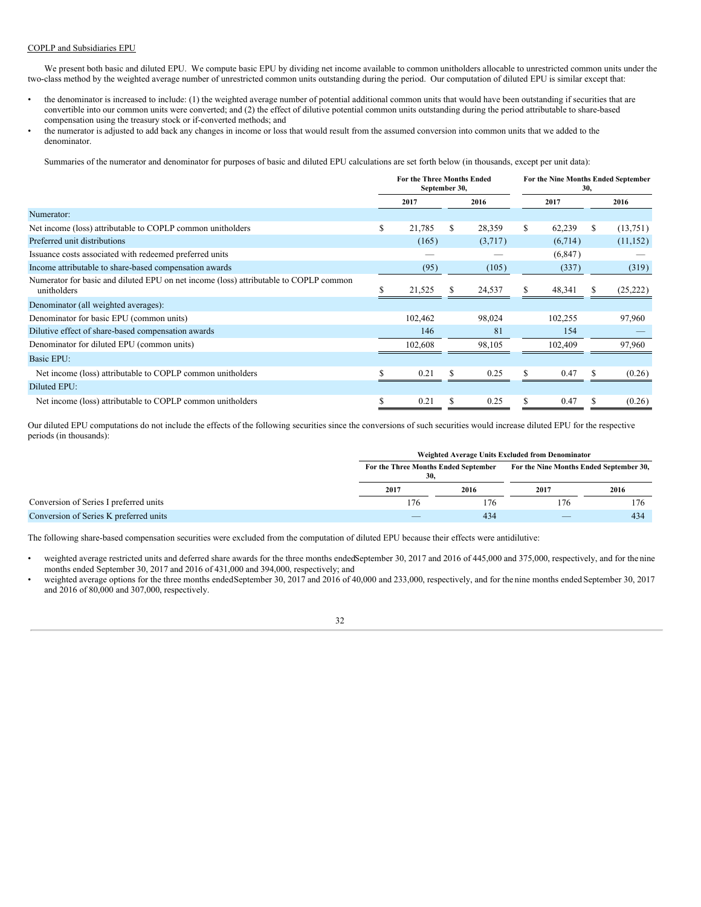## COPLP and Subsidiaries EPU

We present both basic and diluted EPU. We compute basic EPU by dividing net income available to common unitholders allocable to unrestricted common units under the two-class method by the weighted average number of unrestricted common units outstanding during the period. Our computation of diluted EPU is similar except that:

- the denominator is increased to include: (1) the weighted average number of potential additional common units that would have been outstanding if securities that are convertible into our common units were converted; and (2) the effect of dilutive potential common units outstanding during the period attributable to share-based compensation using the treasury stock or if-converted methods; and
- the numerator is adjusted to add back any changes in income or loss that would result from the assumed conversion into common units that we added to the denominator.

Summaries of the numerator and denominator for purposes of basic and diluted EPU calculations are set forth below (in thousands, except per unit data):

|                                                                                                      | For the Three Months Ended<br>September 30, |         |    | For the Nine Months Ended September<br>30, |      |          |    |           |
|------------------------------------------------------------------------------------------------------|---------------------------------------------|---------|----|--------------------------------------------|------|----------|----|-----------|
|                                                                                                      | 2017                                        |         |    | 2016                                       | 2017 |          |    | 2016      |
| Numerator:                                                                                           |                                             |         |    |                                            |      |          |    |           |
| Net income (loss) attributable to COPLP common unitholders                                           | \$                                          | 21,785  | S. | 28,359                                     | S    | 62,239   | S. | (13,751)  |
| Preferred unit distributions                                                                         |                                             | (165)   |    | (3,717)                                    |      | (6,714)  |    | (11, 152) |
| Issuance costs associated with redeemed preferred units                                              |                                             |         |    |                                            |      | (6, 847) |    |           |
| Income attributable to share-based compensation awards                                               |                                             | (95)    |    | (105)                                      |      | (337)    |    | (319)     |
| Numerator for basic and diluted EPU on net income (loss) attributable to COPLP common<br>unitholders |                                             | 21,525  |    | 24,537                                     |      | 48,341   |    | (25, 222) |
| Denominator (all weighted averages):                                                                 |                                             |         |    |                                            |      |          |    |           |
| Denominator for basic EPU (common units)                                                             |                                             | 102,462 |    | 98,024                                     |      | 102,255  |    | 97,960    |
| Dilutive effect of share-based compensation awards                                                   |                                             | 146     |    | 81                                         |      | 154      |    |           |
| Denominator for diluted EPU (common units)                                                           |                                             | 102,608 |    | 98.105                                     |      | 102.409  |    | 97,960    |
| Basic EPU:                                                                                           |                                             |         |    |                                            |      |          |    |           |
| Net income (loss) attributable to COPLP common unitholders                                           |                                             | 0.21    |    | 0.25                                       |      | 0.47     |    | (0.26)    |
| Diluted EPU:                                                                                         |                                             |         |    |                                            |      |          |    |           |
| Net income (loss) attributable to COPLP common unitholders                                           | S                                           | 0.21    |    | 0.25                                       | S    | 0.47     |    | (0.26)    |

Our diluted EPU computations do not include the effects of the following securities since the conversions of such securities would increase diluted EPU for the respective periods (in thousands):

|                                        | Weighted Average Units Excluded from Denominator |      |                                         |      |  |  |  |  |
|----------------------------------------|--------------------------------------------------|------|-----------------------------------------|------|--|--|--|--|
|                                        | For the Three Months Ended September<br>30.      |      | For the Nine Months Ended September 30, |      |  |  |  |  |
|                                        | 2017                                             | 2016 | 2017                                    | 2016 |  |  |  |  |
| Conversion of Series I preferred units | 176                                              | 176  | 176                                     | 176  |  |  |  |  |
| Conversion of Series K preferred units | $\overline{\phantom{a}}$                         | 434  | $\overline{\phantom{a}}$                | 434  |  |  |  |  |

The following share-based compensation securities were excluded from the computation of diluted EPU because their effects were antidilutive:

- weighted average restricted units and deferred share awards for the three months endedSeptember 30, 2017 and 2016 of 445,000 and 375,000, respectively, and for the nine months ended September 30, 2017 and 2016 of 431,000 and 394,000, respectively; and
- weighted average options for the three months endedSeptember 30, 2017 and 2016 of 40,000 and 233,000, respectively, and for the nine months ended September 30, 2017 and 2016 of 80,000 and 307,000, respectively.

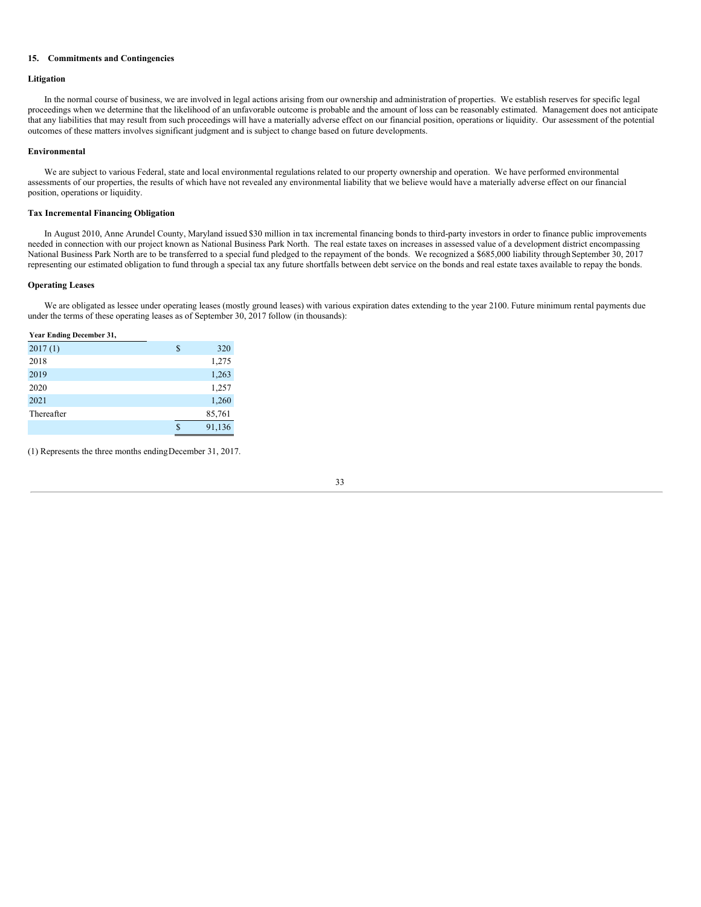## **15. Commitments and Contingencies**

## **Litigation**

In the normal course of business, we are involved in legal actions arising from our ownership and administration of properties. We establish reserves for specific legal proceedings when we determine that the likelihood of an unfavorable outcome is probable and the amount of loss can be reasonably estimated. Management does not anticipate that any liabilities that may result from such proceedings will have a materially adverse effect on our financial position, operations or liquidity. Our assessment of the potential outcomes of these matters involves significant judgment and is subject to change based on future developments.

## **Environmental**

We are subject to various Federal, state and local environmental regulations related to our property ownership and operation. We have performed environmental assessments of our properties, the results of which have not revealed any environmental liability that we believe would have a materially adverse effect on our financial position, operations or liquidity.

## **Tax Incremental Financing Obligation**

In August 2010, Anne Arundel County, Maryland issued \$30 million in tax incremental financing bonds to third-party investors in order to finance public improvements needed in connection with our project known as National Business Park North. The real estate taxes on increases in assessed value of a development district encompassing National Business Park North are to be transferred to a special fund pledged to the repayment of the bonds. We recognized a \$685,000 liability through September 30, 2017 representing our estimated obligation to fund through a special tax any future shortfalls between debt service on the bonds and real estate taxes available to repay the bonds.

## **Operating Leases**

We are obligated as lessee under operating leases (mostly ground leases) with various expiration dates extending to the year 2100. Future minimum rental payments due under the terms of these operating leases as of September 30, 2017 follow (in thousands):

#### **Year Ending December 31,**

| 2017(1)    | \$ | 320    |
|------------|----|--------|
| 2018       |    | 1,275  |
| 2019       |    | 1,263  |
| 2020       |    | 1,257  |
| 2021       |    | 1,260  |
| Thereafter |    | 85,761 |
|            | S  | 91,136 |

(1) Represents the three months endingDecember 31, 2017.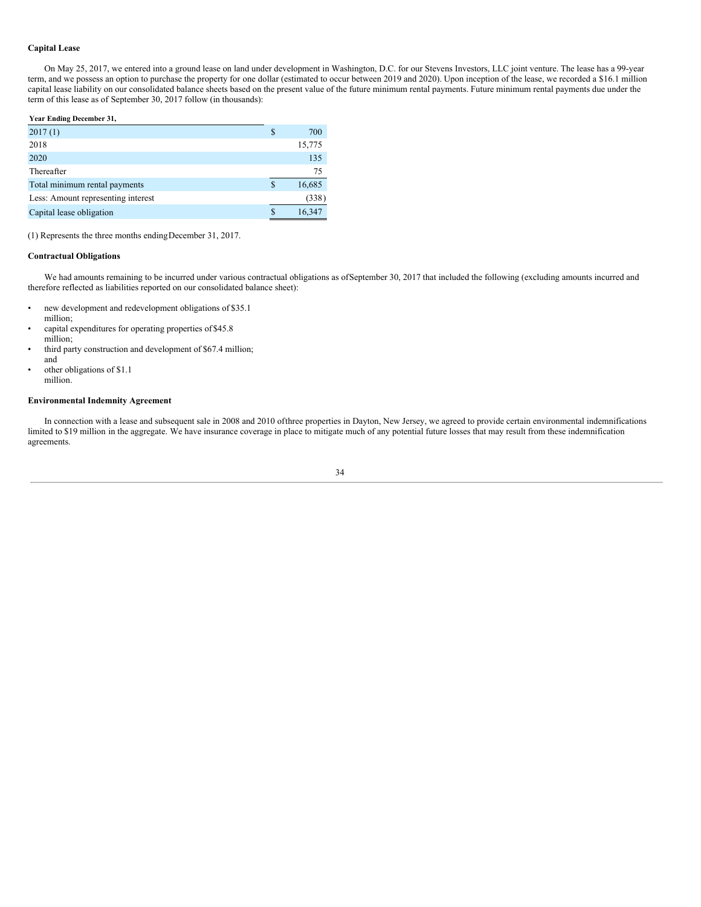## **Capital Lease**

On May 25, 2017, we entered into a ground lease on land under development in Washington, D.C. for our Stevens Investors, LLC joint venture. The lease has a 99-year term, and we possess an option to purchase the property for one dollar (estimated to occur between 2019 and 2020). Upon inception of the lease, we recorded a \$16.1 million capital lease liability on our consolidated balance sheets based on the present value of the future minimum rental payments. Future minimum rental payments due under the term of this lease as of September 30, 2017 follow (in thousands):

**Year Ending December 31,**

| 2017(1)                            | S | 700    |
|------------------------------------|---|--------|
| 2018                               |   | 15,775 |
| 2020                               |   | 135    |
| Thereafter                         |   | 75     |
| Total minimum rental payments      | S | 16,685 |
| Less: Amount representing interest |   | (338)  |
| Capital lease obligation           |   | 16,347 |
|                                    |   |        |

(1) Represents the three months endingDecember 31, 2017.

## **Contractual Obligations**

We had amounts remaining to be incurred under various contractual obligations as ofSeptember 30, 2017 that included the following (excluding amounts incurred and therefore reflected as liabilities reported on our consolidated balance sheet):

- new development and redevelopment obligations of \$35.1
- million;
- capital expenditures for operating properties of \$45.8 million;
- third party construction and development of \$67.4 million; and
- other obligations of \$1.1 million.

#### **Environmental Indemnity Agreement**

In connection with a lease and subsequent sale in 2008 and 2010 ofthree properties in Dayton, New Jersey, we agreed to provide certain environmental indemnifications limited to \$19 million in the aggregate. We have insurance coverage in place to mitigate much of any potential future losses that may result from these indemnification agreements.

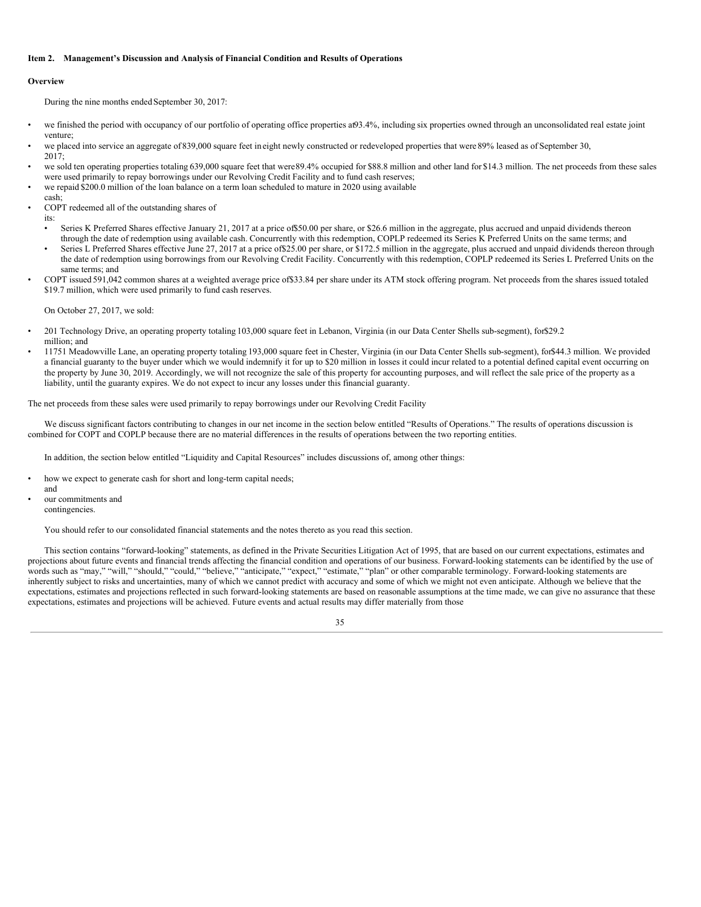### <span id="page-36-0"></span>**Item 2. Management's Discussion and Analysis of Financial Condition and Results of Operations**

### **Overview**

During the nine months ended September 30, 2017:

- we finished the period with occupancy of our portfolio of operating office properties at93.4%, including six properties owned through an unconsolidated real estate joint venture;
- we placed into service an aggregate of 839,000 square feet in eight newly constructed or redeveloped properties that were 89% leased as of September 30, 2017;
- we sold ten operating properties totaling 639,000 square feet that were89.4% occupied for \$88.8 million and other land for \$14.3 million. The net proceeds from these sales were used primarily to repay borrowings under our Revolving Credit Facility and to fund cash reserves;
- we repaid \$200.0 million of the loan balance on a term loan scheduled to mature in 2020 using available
- cash; • COPT redeemed all of the outstanding shares of
	- its: • Series K Preferred Shares effective January 21, 2017 at a price of\$50.00 per share, or \$26.6 million in the aggregate, plus accrued and unpaid dividends thereon
	- through the date of redemption using available cash. Concurrently with this redemption, COPLP redeemed its Series K Preferred Units on the same terms; and Series L Preferred Shares effective June 27, 2017 at a price of \$25.00 per share, or \$172.5 million in the aggregate, plus accrued and unpaid dividends thereon through the date of redemption using borrowings from our Revolving Credit Facility. Concurrently with this redemption, COPLP redeemed its Series L Preferred Units on the same terms; and
- COPT issued 591,042 common shares at a weighted average price of\$33.84 per share under its ATM stock offering program. Net proceeds from the shares issued totaled \$19.7 million, which were used primarily to fund cash reserves.

On October 27, 2017, we sold:

- 201 Technology Drive, an operating property totaling 103,000 square feet in Lebanon, Virginia (in our Data Center Shells sub-segment), for\$29.2 million; and
- 11751 Meadowville Lane, an operating property totaling 193,000 square feet in Chester, Virginia (in our Data Center Shells sub-segment), for\$44.3 million. We provided a financial guaranty to the buyer under which we would indemnify it for up to \$20 million in losses it could incur related to a potential defined capital event occurring on the property by June 30, 2019. Accordingly, we will not recognize the sale of this property for accounting purposes, and will reflect the sale price of the property as a liability, until the guaranty expires. We do not expect to incur any losses under this financial guaranty.

The net proceeds from these sales were used primarily to repay borrowings under our Revolving Credit Facility

We discuss significant factors contributing to changes in our net income in the section below entitled "Results of Operations." The results of operations discussion is combined for COPT and COPLP because there are no material differences in the results of operations between the two reporting entities.

In addition, the section below entitled "Liquidity and Capital Resources" includes discussions of, among other things:

- how we expect to generate cash for short and long-term capital needs;
- and our commitments and contingencies.

You should refer to our consolidated financial statements and the notes thereto as you read this section.

This section contains "forward-looking" statements, as defined in the Private Securities Litigation Act of 1995, that are based on our current expectations, estimates and projections about future events and financial trends affecting the financial condition and operations of our business. Forward-looking statements can be identified by the use of words such as "may," "will," "should," "could," "believe," "anticipate," "expect," "estimate," "plan" or other comparable terminology. Forward-looking statements are inherently subject to risks and uncertainties, many of which we cannot predict with accuracy and some of which we might not even anticipate. Although we believe that the expectations, estimates and projections reflected in such forward-looking statements are based on reasonable assumptions at the time made, we can give no assurance that these expectations, estimates and projections will be achieved. Future events and actual results may differ materially from those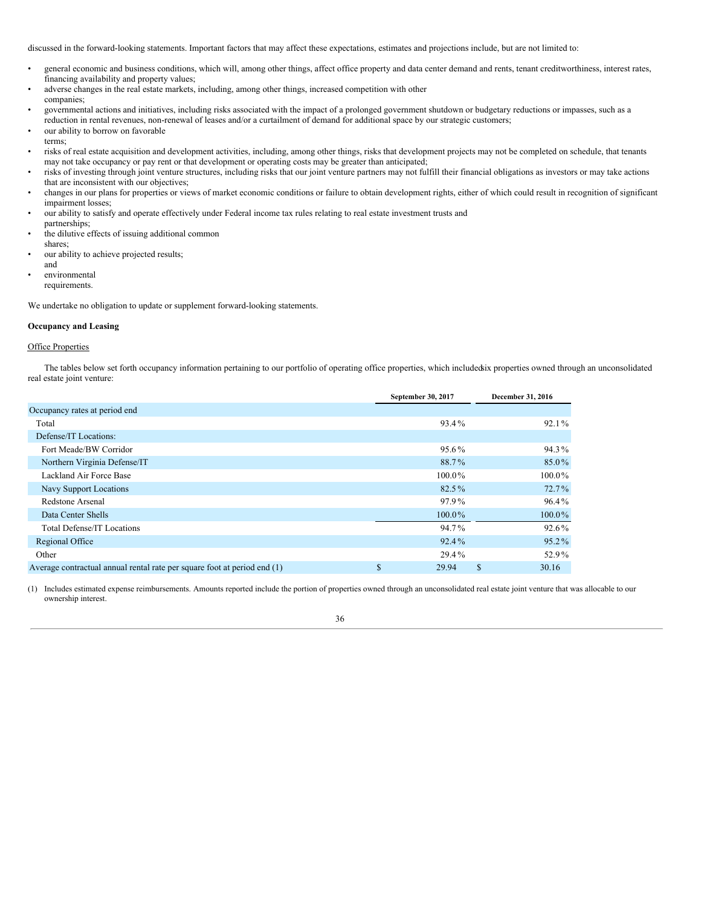discussed in the forward-looking statements. Important factors that may affect these expectations, estimates and projections include, but are not limited to:

- general economic and business conditions, which will, among other things, affect office property and data center demand and rents, tenant creditworthiness, interest rates, financing availability and property values;
- adverse changes in the real estate markets, including, among other things, increased competition with other companies;
- governmental actions and initiatives, including risks associated with the impact of a prolonged government shutdown or budgetary reductions or impasses, such as a reduction in rental revenues, non-renewal of leases and/or a curtailment of demand for additional space by our strategic customers;
- our ability to borrow on favorable
- terms;
- risks of real estate acquisition and development activities, including, among other things, risks that development projects may not be completed on schedule, that tenants may not take occupancy or pay rent or that development or operating costs may be greater than anticipated;
- risks of investing through joint venture structures, including risks that our joint venture partners may not fulfill their financial obligations as investors or may take actions that are inconsistent with our objectives;
- changes in our plans for properties or views of market economic conditions or failure to obtain development rights, either of which could result in recognition of significant impairment losses;
- our ability to satisfy and operate effectively under Federal income tax rules relating to real estate investment trusts and
- partnerships; the dilutive effects of issuing additional common
- shares;
- our ability to achieve projected results; and
- environmental requirements.

We undertake no obligation to update or supplement forward-looking statements.

## **Occupancy and Leasing**

## **Office Properties**

The tables below set forth occupancy information pertaining to our portfolio of operating office properties, which includedsix properties owned through an unconsolidated real estate joint venture:

|                                                                          |   | September 30, 2017 | December 31, 2016 |  |
|--------------------------------------------------------------------------|---|--------------------|-------------------|--|
| Occupancy rates at period end                                            |   |                    |                   |  |
| Total                                                                    |   | 93.4%              | $92.1\%$          |  |
| Defense/IT Locations:                                                    |   |                    |                   |  |
| Fort Meade/BW Corridor                                                   |   | 95.6%              | 94.3%             |  |
| Northern Virginia Defense/IT                                             |   | 88.7%              | 85.0%             |  |
| Lackland Air Force Base                                                  |   | $100.0\%$          | $100.0\%$         |  |
| Navy Support Locations                                                   |   | 82.5%              | $72.7\%$          |  |
| Redstone Arsenal                                                         |   | 97.9%              | 96.4%             |  |
| Data Center Shells                                                       |   | $100.0\%$          | 100.0%            |  |
| <b>Total Defense/IT Locations</b>                                        |   | 94.7%              | $92.6\%$          |  |
| Regional Office                                                          |   | $92.4\%$           | $95.2\%$          |  |
| Other                                                                    |   | 29.4%              | 52.9%             |  |
| Average contractual annual rental rate per square foot at period end (1) | P | 29.94              | \$<br>30.16       |  |

(1) Includes estimated expense reimbursements. Amounts reported include the portion of properties owned through an unconsolidated real estate joint venture that was allocable to our ownership interest.

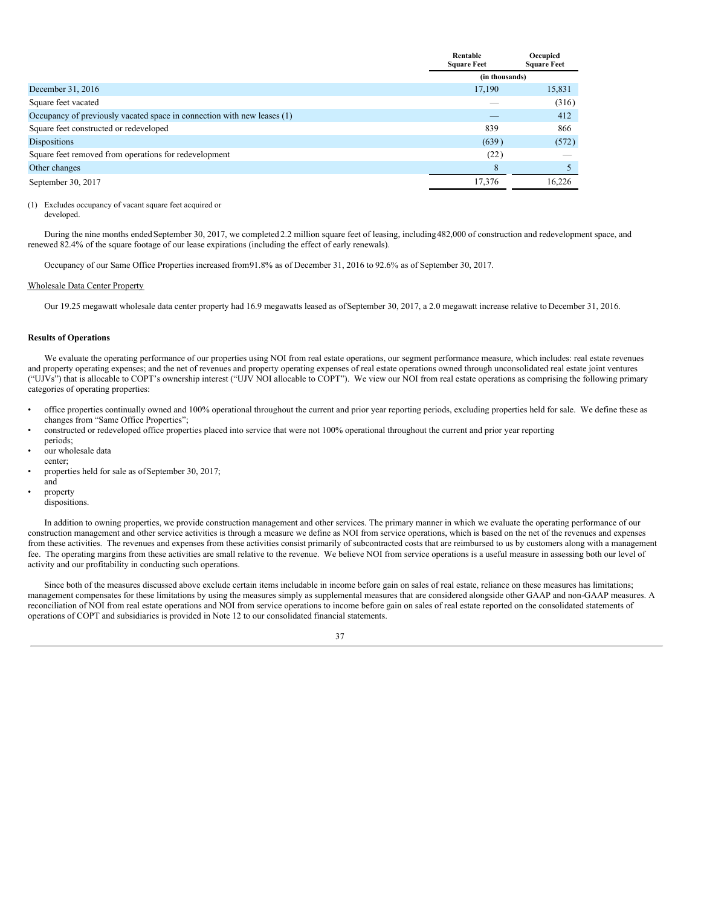|                                                                         | Rentable<br><b>Square Feet</b> | Occupied<br><b>Square Feet</b> |
|-------------------------------------------------------------------------|--------------------------------|--------------------------------|
|                                                                         | (in thousands)                 |                                |
| December 31, 2016                                                       | 17,190                         | 15,831                         |
| Square feet vacated                                                     |                                | (316)                          |
| Occupancy of previously vacated space in connection with new leases (1) |                                | 412                            |
| Square feet constructed or redeveloped                                  | 839                            | 866                            |
| Dispositions                                                            | (639)                          | (572)                          |
| Square feet removed from operations for redevelopment                   | (22)                           |                                |
| Other changes                                                           | 8                              |                                |
| September 30, 2017                                                      | 17,376                         | 16,226                         |

## (1) Excludes occupancy of vacant square feet acquired or

developed.

During the nine months ended September 30, 2017, we completed 2.2 million square feet of leasing, including482,000 of construction and redevelopment space, and renewed 82.4% of the square footage of our lease expirations (including the effect of early renewals).

Occupancy of our Same Office Properties increased from91.8% as of December 31, 2016 to 92.6% as of September 30, 2017.

## Wholesale Data Center Property

Our 19.25 megawatt wholesale data center property had 16.9 megawatts leased as ofSeptember 30, 2017, a 2.0 megawatt increase relative to December 31, 2016.

## **Results of Operations**

We evaluate the operating performance of our properties using NOI from real estate operations, our segment performance measure, which includes: real estate revenues and property operating expenses; and the net of revenues and property operating expenses of real estate operations owned through unconsolidated real estate joint ventures ("UJVs") that is allocable to COPT's ownership interest ("UJV NOI allocable to COPT"). We view our NOI from real estate operations as comprising the following primary categories of operating properties:

- office properties continually owned and 100% operational throughout the current and prior year reporting periods, excluding properties held for sale. We define these as changes from "Same Office Properties";
- constructed or redeveloped office properties placed into service that were not 100% operational throughout the current and prior year reporting periods;
- our wholesale data
- center;
- properties held for sale as ofSeptember 30, 2017;
- and property
- dispositions.

In addition to owning properties, we provide construction management and other services. The primary manner in which we evaluate the operating performance of our construction management and other service activities is through a measure we define as NOI from service operations, which is based on the net of the revenues and expenses from these activities. The revenues and expenses from these activities consist primarily of subcontracted costs that are reimbursed to us by customers along with a management fee. The operating margins from these activities are small relative to the revenue. We believe NOI from service operations is a useful measure in assessing both our level of activity and our profitability in conducting such operations.

Since both of the measures discussed above exclude certain items includable in income before gain on sales of real estate, reliance on these measures has limitations; management compensates for these limitations by using the measures simply as supplemental measures that are considered alongside other GAAP and non-GAAP measures. A reconciliation of NOI from real estate operations and NOI from service operations to income before gain on sales of real estate reported on the consolidated statements of operations of COPT and subsidiaries is provided in Note 12 to our consolidated financial statements.

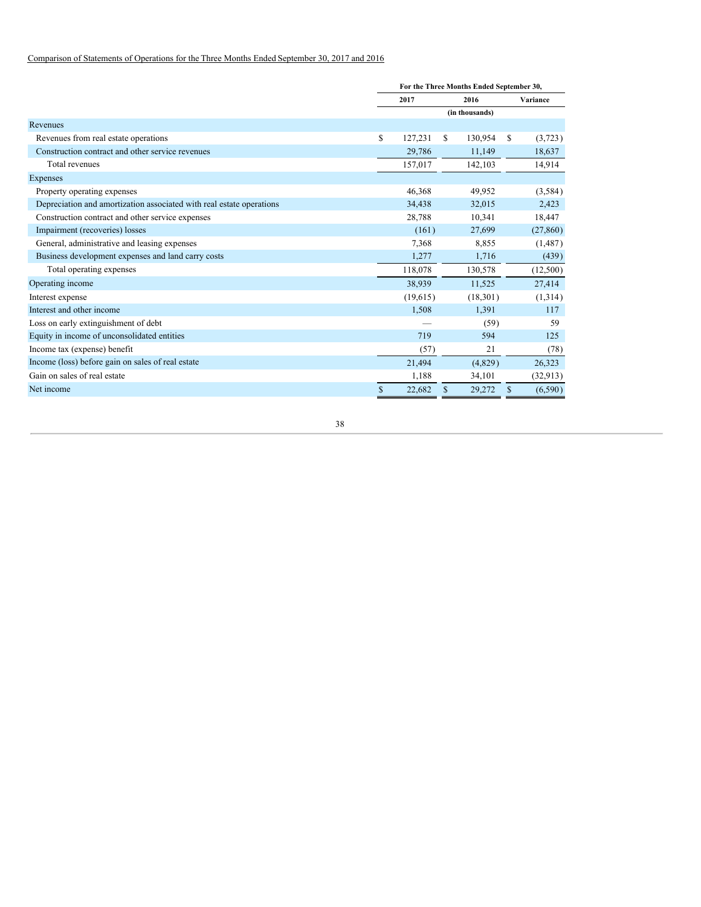## Comparison of Statements of Operations for the Three Months Ended September 30, 2017 and 2016

|                                                                      | For the Three Months Ended September 30, |      |                |    |           |  |  |
|----------------------------------------------------------------------|------------------------------------------|------|----------------|----|-----------|--|--|
|                                                                      | 2017                                     | 2016 |                |    | Variance  |  |  |
|                                                                      |                                          |      | (in thousands) |    |           |  |  |
| Revenues                                                             |                                          |      |                |    |           |  |  |
| Revenues from real estate operations                                 | \$<br>127,231                            | S.   | 130,954        | \$ | (3,723)   |  |  |
| Construction contract and other service revenues                     | 29,786                                   |      | 11,149         |    | 18,637    |  |  |
| Total revenues                                                       | 157,017                                  |      | 142,103        |    | 14,914    |  |  |
| Expenses                                                             |                                          |      |                |    |           |  |  |
| Property operating expenses                                          | 46,368                                   |      | 49,952         |    | (3,584)   |  |  |
| Depreciation and amortization associated with real estate operations | 34,438                                   |      | 32,015         |    | 2,423     |  |  |
| Construction contract and other service expenses                     | 28,788                                   |      | 10,341         |    | 18,447    |  |  |
| Impairment (recoveries) losses                                       | (161)                                    |      | 27,699         |    | (27, 860) |  |  |
| General, administrative and leasing expenses                         | 7,368                                    |      | 8,855          |    | (1,487)   |  |  |
| Business development expenses and land carry costs                   | 1,277                                    |      | 1,716          |    | (439)     |  |  |
| Total operating expenses                                             | 118,078                                  |      | 130,578        |    | (12,500)  |  |  |
| Operating income                                                     | 38,939                                   |      | 11,525         |    | 27,414    |  |  |
| Interest expense                                                     | (19,615)                                 |      | (18,301)       |    | (1,314)   |  |  |
| Interest and other income                                            | 1,508                                    |      | 1,391          |    | 117       |  |  |
| Loss on early extinguishment of debt                                 |                                          |      | (59)           |    | 59        |  |  |
| Equity in income of unconsolidated entities                          | 719                                      |      | 594            |    | 125       |  |  |
| Income tax (expense) benefit                                         | (57)                                     |      | 21             |    | (78)      |  |  |
| Income (loss) before gain on sales of real estate                    | 21,494                                   |      | (4,829)        |    | 26,323    |  |  |
| Gain on sales of real estate                                         | 1,188                                    |      | 34,101         |    | (32, 913) |  |  |
| Net income                                                           | \$<br>22,682                             | \$   | 29,272         | \$ | (6,590)   |  |  |
|                                                                      |                                          |      |                |    |           |  |  |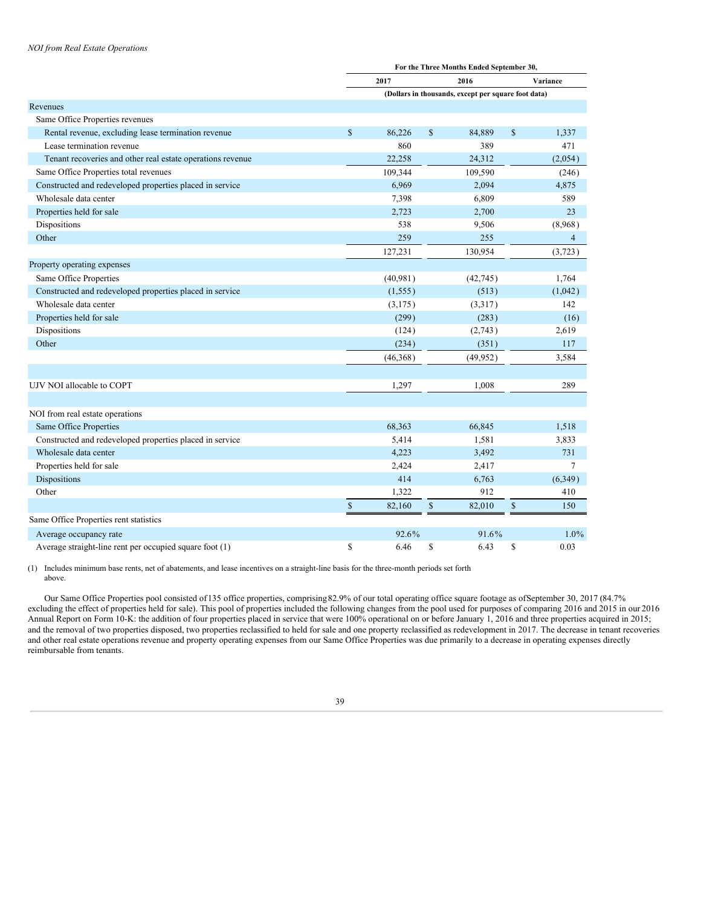## *NOI from Real Estate Operations*

|                                                            | For the Three Months Ended September 30, |           |              |                                                     |             |                |  |
|------------------------------------------------------------|------------------------------------------|-----------|--------------|-----------------------------------------------------|-------------|----------------|--|
|                                                            |                                          | 2017      |              | 2016                                                | Variance    |                |  |
|                                                            |                                          |           |              | (Dollars in thousands, except per square foot data) |             |                |  |
| Revenues                                                   |                                          |           |              |                                                     |             |                |  |
| Same Office Properties revenues                            |                                          |           |              |                                                     |             |                |  |
| Rental revenue, excluding lease termination revenue        | $\mathbb{S}$                             | 86.226    | $\mathbf S$  | 84,889                                              | $\mathbf S$ | 1,337          |  |
| Lease termination revenue                                  |                                          | 860       |              | 389                                                 |             | 471            |  |
| Tenant recoveries and other real estate operations revenue |                                          | 22,258    |              | 24,312                                              |             | (2,054)        |  |
| Same Office Properties total revenues                      |                                          | 109,344   |              | 109,590                                             |             | (246)          |  |
| Constructed and redeveloped properties placed in service   |                                          | 6,969     |              | 2,094                                               |             | 4,875          |  |
| Wholesale data center                                      |                                          | 7,398     |              | 6,809                                               |             | 589            |  |
| Properties held for sale                                   |                                          | 2,723     |              | 2,700                                               |             | 23             |  |
| Dispositions                                               |                                          | 538       |              | 9,506                                               |             | (8,968)        |  |
| Other                                                      |                                          | 259       |              | 255                                                 |             | $\overline{4}$ |  |
|                                                            |                                          | 127,231   |              | 130,954                                             |             | (3,723)        |  |
| Property operating expenses                                |                                          |           |              |                                                     |             |                |  |
| Same Office Properties                                     |                                          | (40, 981) |              | (42, 745)                                           |             | 1,764          |  |
| Constructed and redeveloped properties placed in service   |                                          | (1, 555)  |              | (513)                                               |             | (1,042)        |  |
| Wholesale data center                                      |                                          | (3, 175)  |              | (3,317)                                             |             | 142            |  |
| Properties held for sale                                   |                                          | (299)     |              | (283)                                               |             | (16)           |  |
| Dispositions                                               |                                          | (124)     |              | (2,743)                                             |             | 2,619          |  |
| Other                                                      |                                          | (234)     |              | (351)                                               |             | 117            |  |
|                                                            |                                          | (46,368)  |              | (49, 952)                                           |             | 3,584          |  |
|                                                            |                                          |           |              |                                                     |             |                |  |
| UJV NOI allocable to COPT                                  |                                          | 1,297     |              | 1,008                                               |             | 289            |  |
|                                                            |                                          |           |              |                                                     |             |                |  |
| NOI from real estate operations                            |                                          |           |              |                                                     |             |                |  |
| Same Office Properties                                     |                                          | 68,363    |              | 66,845                                              |             | 1,518          |  |
| Constructed and redeveloped properties placed in service   |                                          | 5,414     |              | 1,581                                               |             | 3,833          |  |
| Wholesale data center                                      |                                          | 4,223     |              | 3,492                                               |             | 731            |  |
| Properties held for sale                                   |                                          | 2,424     |              | 2,417                                               |             | $\overline{7}$ |  |
| Dispositions                                               |                                          | 414       |              | 6,763                                               |             | (6,349)        |  |
| Other                                                      |                                          | 1,322     |              | 912                                                 |             | 410            |  |
|                                                            | $\$$                                     | 82,160    | $\mathbb{S}$ | 82,010                                              | $\$$        | 150            |  |
| Same Office Properties rent statistics                     |                                          |           |              |                                                     |             |                |  |
| Average occupancy rate                                     |                                          | 92.6%     |              | 91.6%                                               |             | 1.0%           |  |
| Average straight-line rent per occupied square foot (1)    | \$                                       | 6.46      | \$           | 6.43                                                | \$          | 0.03           |  |

(1) Includes minimum base rents, net of abatements, and lease incentives on a straight-line basis for the three-month periods set forth above.

Our Same Office Properties pool consisted of135 office properties, comprising82.9% of our total operating office square footage as ofSeptember 30, 2017 (84.7% excluding the effect of properties held for sale). This pool of properties included the following changes from the pool used for purposes of comparing 2016 and 2015 in our 2016 Annual Report on Form 10-K: the addition of four properties placed in service that were 100% operational on or before January 1, 2016 and three properties acquired in 2015; and the removal of two properties disposed, two properties reclassified to held for sale and one property reclassified as redevelopment in 2017. The decrease in tenant recoveries and other real estate operations revenue and property operating expenses from our Same Office Properties was due primarily to a decrease in operating expenses directly reimbursable from tenants.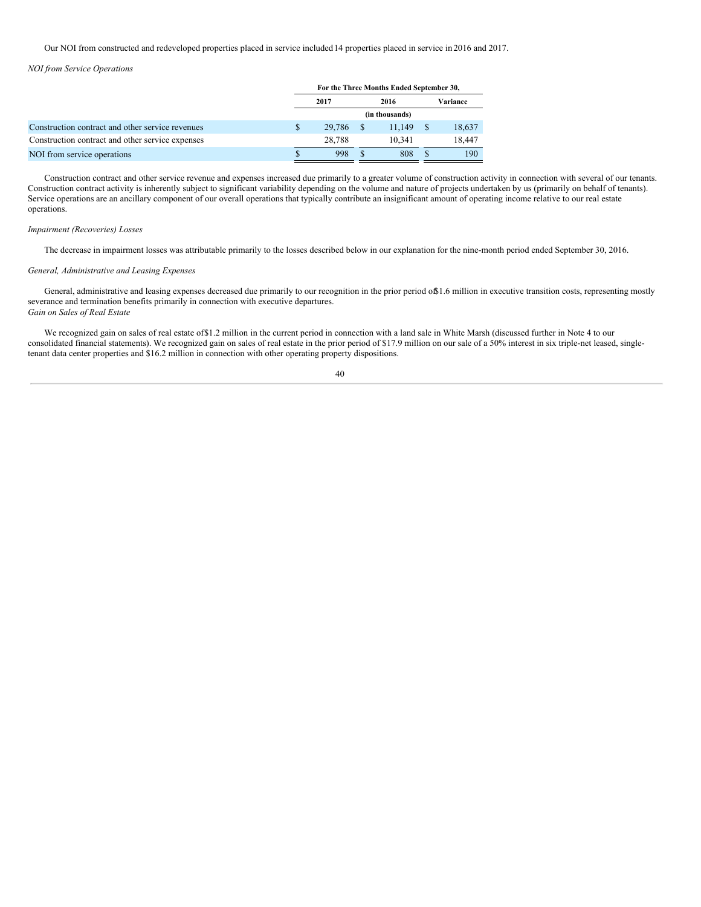Our NOI from constructed and redeveloped properties placed in service included14 properties placed in service in 2016 and 2017.

### *NOI from Service Operations*

|                                                  | For the Three Months Ended September 30, |        |      |        |              |          |  |
|--------------------------------------------------|------------------------------------------|--------|------|--------|--------------|----------|--|
|                                                  | 2017                                     |        | 2016 |        |              | Variance |  |
|                                                  | (in thousands)                           |        |      |        |              |          |  |
| Construction contract and other service revenues | \$                                       | 29.786 |      | 11.149 | <sup>S</sup> | 18,637   |  |
| Construction contract and other service expenses |                                          | 28.788 |      | 10.341 |              | 18.447   |  |
| NOI from service operations                      |                                          | 998    |      | 808    |              | 190      |  |

Construction contract and other service revenue and expenses increased due primarily to a greater volume of construction activity in connection with several of our tenants. Construction contract activity is inherently subject to significant variability depending on the volume and nature of projects undertaken by us (primarily on behalf of tenants). Service operations are an ancillary component of our overall operations that typically contribute an insignificant amount of operating income relative to our real estate operations.

### *Impairment (Recoveries) Losses*

The decrease in impairment losses was attributable primarily to the losses described below in our explanation for the nine-month period ended September 30, 2016.

### *General, Administrative and Leasing Expenses*

General, administrative and leasing expenses decreased due primarily to our recognition in the prior period of 1.6 million in executive transition costs, representing mostly severance and termination benefits primarily in connection with executive departures. *Gain on Sales of Real Estate*

We recognized gain on sales of real estate of \$1.2 million in the current period in connection with a land sale in White Marsh (discussed further in Note 4 to our consolidated financial statements). We recognized gain on sales of real estate in the prior period of \$17.9 million on our sale of a 50% interest in six triple-net leased, singletenant data center properties and \$16.2 million in connection with other operating property dispositions.

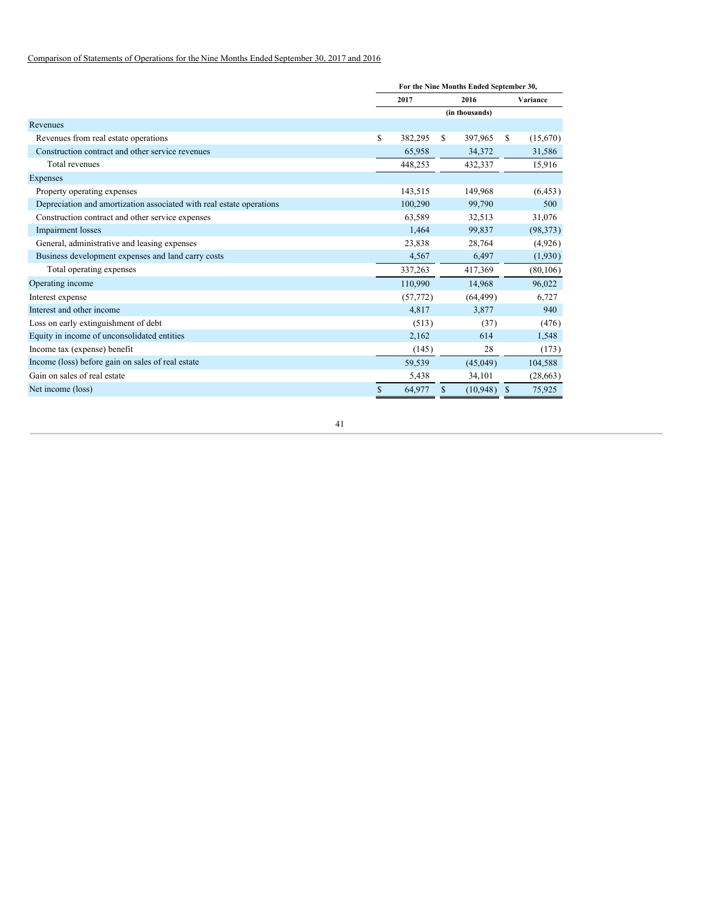## Comparison of Statements of Operations for the Nine Months Ended September 30, 2017 and 2016

|                                                                      |    | For the Nine Months Ended September 30, |   |                |               |           |
|----------------------------------------------------------------------|----|-----------------------------------------|---|----------------|---------------|-----------|
|                                                                      |    | 2017<br>2016                            |   |                |               | Variance  |
|                                                                      |    |                                         |   | (in thousands) |               |           |
| Revenues                                                             |    |                                         |   |                |               |           |
| Revenues from real estate operations                                 | S  | 382,295                                 | S | 397,965        | \$            | (15,670)  |
| Construction contract and other service revenues                     |    | 65,958                                  |   | 34,372         |               | 31,586    |
| Total revenues                                                       |    | 448,253                                 |   | 432,337        |               | 15,916    |
| Expenses                                                             |    |                                         |   |                |               |           |
| Property operating expenses                                          |    | 143,515                                 |   | 149,968        |               | (6, 453)  |
| Depreciation and amortization associated with real estate operations |    | 100,290                                 |   | 99,790         |               | 500       |
| Construction contract and other service expenses                     |    | 63,589                                  |   | 32,513         |               | 31,076    |
| Impairment losses                                                    |    | 1,464                                   |   | 99,837         |               | (98, 373) |
| General, administrative and leasing expenses                         |    | 23,838                                  |   | 28,764         |               | (4,926)   |
| Business development expenses and land carry costs                   |    | 4,567                                   |   | 6,497          |               | (1,930)   |
| Total operating expenses                                             |    | 337,263                                 |   | 417,369        |               | (80, 106) |
| Operating income                                                     |    | 110,990                                 |   | 14,968         |               | 96,022    |
| Interest expense                                                     |    | (57, 772)                               |   | (64, 499)      |               | 6,727     |
| Interest and other income                                            |    | 4,817                                   |   | 3,877          |               | 940       |
| Loss on early extinguishment of debt                                 |    | (513)                                   |   | (37)           |               | (476)     |
| Equity in income of unconsolidated entities                          |    | 2,162                                   |   | 614            |               | 1,548     |
| Income tax (expense) benefit                                         |    | (145)                                   |   | 28             |               | (173)     |
| Income (loss) before gain on sales of real estate                    |    | 59,539                                  |   | (45,049)       |               | 104,588   |
| Gain on sales of real estate                                         |    | 5,438                                   |   | 34,101         |               | (28, 663) |
| Net income (loss)                                                    | \$ | 64,977                                  | S | (10, 948)      | <sup>\$</sup> | 75,925    |
|                                                                      |    |                                         |   |                |               |           |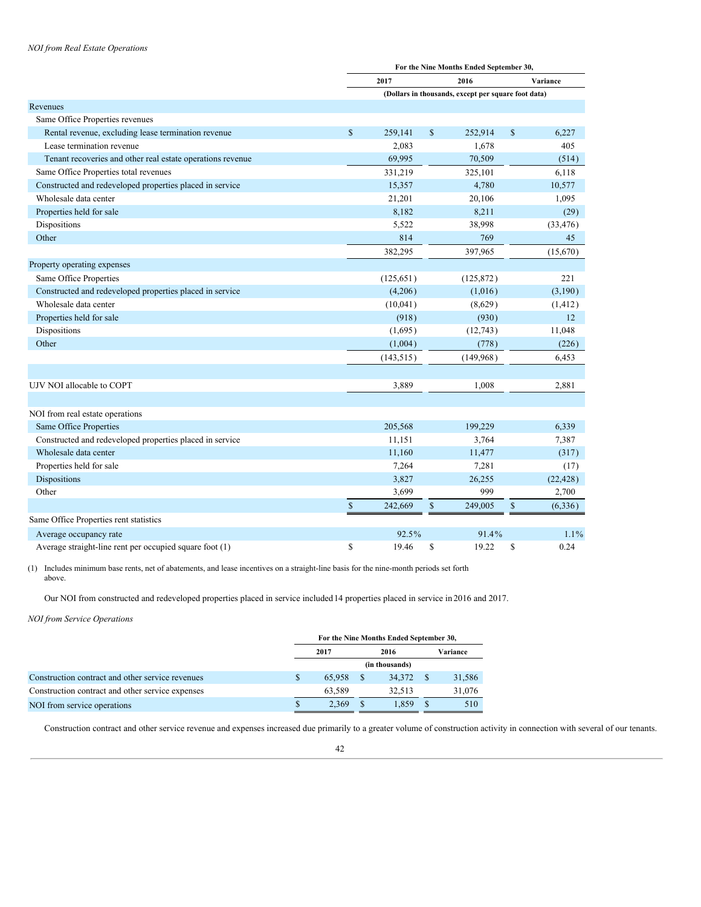## *NOI from Real Estate Operations*

|                                                            | For the Nine Months Ended September 30, |            |              |                                                     |               |           |  |  |
|------------------------------------------------------------|-----------------------------------------|------------|--------------|-----------------------------------------------------|---------------|-----------|--|--|
|                                                            |                                         | 2017       |              | 2016                                                | Variance      |           |  |  |
|                                                            |                                         |            |              | (Dollars in thousands, except per square foot data) |               |           |  |  |
| Revenues                                                   |                                         |            |              |                                                     |               |           |  |  |
| Same Office Properties revenues                            |                                         |            |              |                                                     |               |           |  |  |
| Rental revenue, excluding lease termination revenue        | $\mathbb{S}$                            | 259,141    | $\mathbb{S}$ | 252,914                                             | $\mathsf{\$}$ | 6,227     |  |  |
| Lease termination revenue                                  |                                         | 2,083      |              | 1,678                                               |               | 405       |  |  |
| Tenant recoveries and other real estate operations revenue |                                         | 69,995     |              | 70,509                                              |               | (514)     |  |  |
| Same Office Properties total revenues                      |                                         | 331,219    |              | 325,101                                             |               | 6,118     |  |  |
| Constructed and redeveloped properties placed in service   |                                         | 15,357     |              | 4,780                                               |               | 10,577    |  |  |
| Wholesale data center                                      |                                         | 21,201     |              | 20,106                                              |               | 1,095     |  |  |
| Properties held for sale                                   |                                         | 8,182      |              | 8,211                                               |               | (29)      |  |  |
| Dispositions                                               |                                         | 5,522      |              | 38,998                                              |               | (33, 476) |  |  |
| Other                                                      |                                         | 814        |              | 769                                                 |               | 45        |  |  |
|                                                            |                                         | 382,295    |              | 397,965                                             |               | (15,670)  |  |  |
| Property operating expenses                                |                                         |            |              |                                                     |               |           |  |  |
| Same Office Properties                                     |                                         | (125, 651) |              | (125, 872)                                          |               | 221       |  |  |
| Constructed and redeveloped properties placed in service   |                                         | (4,206)    |              | (1,016)                                             |               | (3,190)   |  |  |
| Wholesale data center                                      |                                         | (10,041)   |              | (8,629)                                             |               | (1, 412)  |  |  |
| Properties held for sale                                   |                                         | (918)      |              | (930)                                               |               | 12        |  |  |
| Dispositions                                               |                                         | (1,695)    |              | (12, 743)                                           |               | 11,048    |  |  |
| Other                                                      |                                         | (1,004)    |              | (778)                                               |               | (226)     |  |  |
|                                                            |                                         | (143, 515) |              | (149,968)                                           |               | 6,453     |  |  |
|                                                            |                                         |            |              |                                                     |               |           |  |  |
| UJV NOI allocable to COPT                                  |                                         | 3,889      |              | 1,008                                               |               | 2,881     |  |  |
|                                                            |                                         |            |              |                                                     |               |           |  |  |
| NOI from real estate operations                            |                                         |            |              |                                                     |               |           |  |  |
| Same Office Properties                                     |                                         | 205,568    |              | 199,229                                             |               | 6,339     |  |  |
| Constructed and redeveloped properties placed in service   |                                         | 11,151     |              | 3,764                                               |               | 7,387     |  |  |
| Wholesale data center                                      |                                         | 11,160     |              | 11,477                                              |               | (317)     |  |  |
| Properties held for sale                                   |                                         | 7,264      |              | 7,281                                               |               | (17)      |  |  |
| Dispositions                                               |                                         | 3,827      |              | 26,255                                              |               | (22, 428) |  |  |
| Other                                                      |                                         | 3,699      |              | 999                                                 |               | 2,700     |  |  |
|                                                            | $\mathbb{S}$                            | 242,669    | $\mathbb{S}$ | 249,005                                             | $\mathbb{S}$  | (6, 336)  |  |  |
| Same Office Properties rent statistics                     |                                         |            |              |                                                     |               |           |  |  |
| Average occupancy rate                                     |                                         | 92.5%      |              | 91.4%                                               |               | $1.1\%$   |  |  |
| Average straight-line rent per occupied square foot (1)    | \$                                      | 19.46      | \$           | 19.22                                               | \$            | 0.24      |  |  |

(1) Includes minimum base rents, net of abatements, and lease incentives on a straight-line basis for the nine-month periods set forth above.

Our NOI from constructed and redeveloped properties placed in service included 14 properties placed in service in 2016 and 2017.

*NOI from Service Operations*

|                                                  | For the Nine Months Ended September 30, |        |  |        |  |          |  |  |  |
|--------------------------------------------------|-----------------------------------------|--------|--|--------|--|----------|--|--|--|
|                                                  |                                         | 2017   |  | 2016   |  | Variance |  |  |  |
|                                                  | (in thousands)                          |        |  |        |  |          |  |  |  |
| Construction contract and other service revenues | \$                                      | 65,958 |  | 34.372 |  | 31,586   |  |  |  |
| Construction contract and other service expenses |                                         | 63.589 |  | 32.513 |  | 31,076   |  |  |  |
| NOI from service operations                      | <sup>\$</sup>                           | 2.369  |  | 1.859  |  | 510      |  |  |  |

Construction contract and other service revenue and expenses increased due primarily to a greater volume of construction activity in connection with several of our tenants.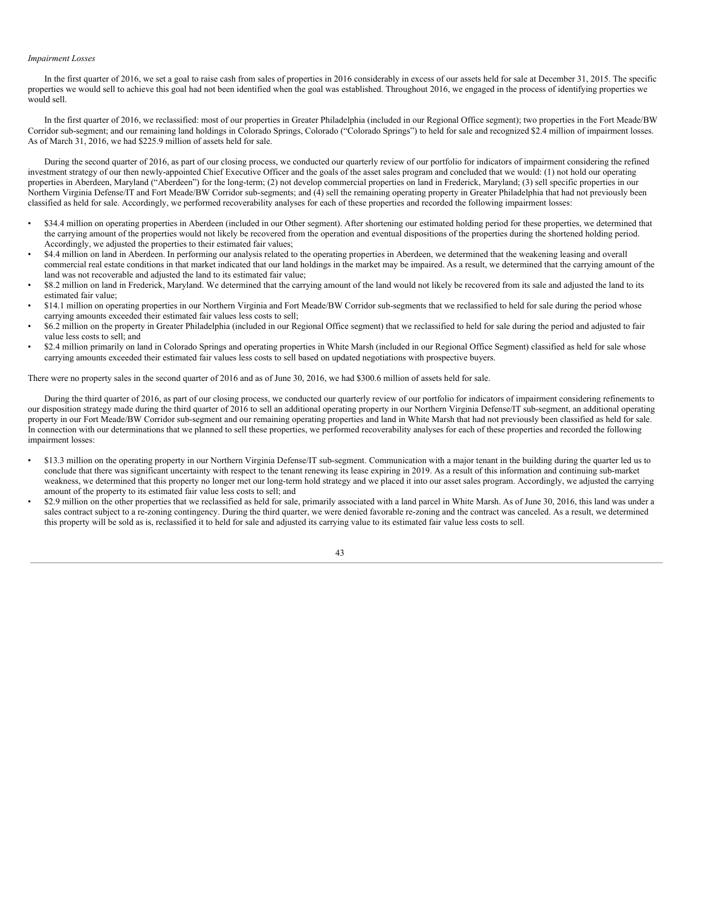#### *Impairment Losses*

In the first quarter of 2016, we set a goal to raise cash from sales of properties in 2016 considerably in excess of our assets held for sale at December 31, 2015. The specific properties we would sell to achieve this goal had not been identified when the goal was established. Throughout 2016, we engaged in the process of identifying properties we would sell.

In the first quarter of 2016, we reclassified: most of our properties in Greater Philadelphia (included in our Regional Office segment); two properties in the Fort Meade/BW Corridor sub-segment; and our remaining land holdings in Colorado Springs, Colorado ("Colorado Springs") to held for sale and recognized \$2.4 million of impairment losses. As of March 31, 2016, we had \$225.9 million of assets held for sale.

During the second quarter of 2016, as part of our closing process, we conducted our quarterly review of our portfolio for indicators of impairment considering the refined investment strategy of our then newly-appointed Chief Executive Officer and the goals of the asset sales program and concluded that we would: (1) not hold our operating properties in Aberdeen, Maryland ("Aberdeen") for the long-term; (2) not develop commercial properties on land in Frederick, Maryland; (3) sell specific properties in our Northern Virginia Defense/IT and Fort Meade/BW Corridor sub-segments; and (4) sell the remaining operating property in Greater Philadelphia that had not previously been classified as held for sale. Accordingly, we performed recoverability analyses for each of these properties and recorded the following impairment losses:

- \$34.4 million on operating properties in Aberdeen (included in our Other segment). After shortening our estimated holding period for these properties, we determined that the carrying amount of the properties would not likely be recovered from the operation and eventual dispositions of the properties during the shortened holding period. Accordingly, we adjusted the properties to their estimated fair values;
- \$4.4 million on land in Aberdeen. In performing our analysis related to the operating properties in Aberdeen, we determined that the weakening leasing and overall commercial real estate conditions in that market indicated that our land holdings in the market may be impaired. As a result, we determined that the carrying amount of the land was not recoverable and adjusted the land to its estimated fair value;
- \$8.2 million on land in Frederick, Maryland. We determined that the carrying amount of the land would not likely be recovered from its sale and adjusted the land to its estimated fair value;
- \$14.1 million on operating properties in our Northern Virginia and Fort Meade/BW Corridor sub-segments that we reclassified to held for sale during the period whose carrying amounts exceeded their estimated fair values less costs to sell;
- \$6.2 million on the property in Greater Philadelphia (included in our Regional Office segment) that we reclassified to held for sale during the period and adjusted to fair value less costs to sell; and
- \$2.4 million primarily on land in Colorado Springs and operating properties in White Marsh (included in our Regional Office Segment) classified as held for sale whose carrying amounts exceeded their estimated fair values less costs to sell based on updated negotiations with prospective buyers.

There were no property sales in the second quarter of 2016 and as of June 30, 2016, we had \$300.6 million of assets held for sale.

During the third quarter of 2016, as part of our closing process, we conducted our quarterly review of our portfolio for indicators of impairment considering refinements to our disposition strategy made during the third quarter of 2016 to sell an additional operating property in our Northern Virginia Defense/IT sub-segment, an additional operating property in our Fort Meade/BW Corridor sub-segment and our remaining operating properties and land in White Marsh that had not previously been classified as held for sale. In connection with our determinations that we planned to sell these properties, we performed recoverability analyses for each of these properties and recorded the following impairment losses:

- \$13.3 million on the operating property in our Northern Virginia Defense/IT sub-segment. Communication with a major tenant in the building during the quarter led us to conclude that there was significant uncertainty with respect to the tenant renewing its lease expiring in 2019. As a result of this information and continuing sub-market weakness, we determined that this property no longer met our long-term hold strategy and we placed it into our asset sales program. Accordingly, we adjusted the carrying amount of the property to its estimated fair value less costs to sell; and
- \$2.9 million on the other properties that we reclassified as held for sale, primarily associated with a land parcel in White Marsh. As of June 30, 2016, this land was under a sales contract subject to a re-zoning contingency. During the third quarter, we were denied favorable re-zoning and the contract was canceled. As a result, we determined this property will be sold as is, reclassified it to held for sale and adjusted its carrying value to its estimated fair value less costs to sell.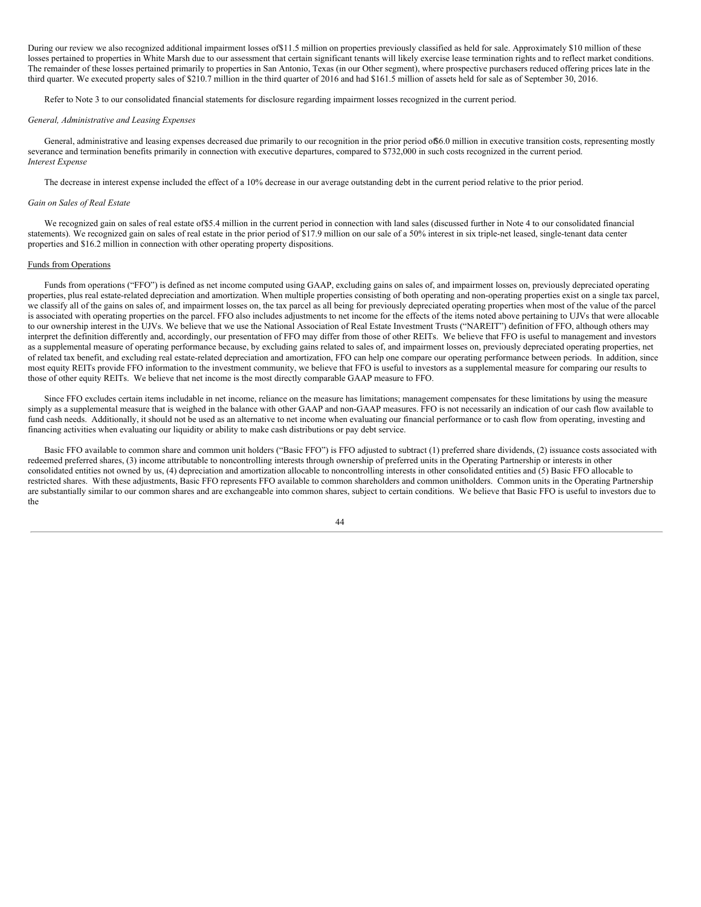During our review we also recognized additional impairment losses of\$11.5 million on properties previously classified as held for sale. Approximately \$10 million of these losses pertained to properties in White Marsh due to our assessment that certain significant tenants will likely exercise lease termination rights and to reflect market conditions. The remainder of these losses pertained primarily to properties in San Antonio, Texas (in our Other segment), where prospective purchasers reduced offering prices late in the third quarter. We executed property sales of \$210.7 million in the third quarter of 2016 and had \$161.5 million of assets held for sale as of September 30, 2016.

Refer to Note 3 to our consolidated financial statements for disclosure regarding impairment losses recognized in the current period.

#### *General, Administrative and Leasing Expenses*

General, administrative and leasing expenses decreased due primarily to our recognition in the prior period of 6.0 million in executive transition costs, representing mostly severance and termination benefits primarily in connection with executive departures, compared to \$732,000 in such costs recognized in the current period. *Interest Expense*

The decrease in interest expense included the effect of a 10% decrease in our average outstanding debt in the current period relative to the prior period.

### *Gain on Sales of Real Estate*

We recognized gain on sales of real estate of\$5.4 million in the current period in connection with land sales (discussed further in Note 4 to our consolidated financial statements). We recognized gain on sales of real estate in the prior period of \$17.9 million on our sale of a 50% interest in six triple-net leased, single-tenant data center properties and \$16.2 million in connection with other operating property dispositions.

#### Funds from Operations

Funds from operations ("FFO") is defined as net income computed using GAAP, excluding gains on sales of, and impairment losses on, previously depreciated operating properties, plus real estate-related depreciation and amortization. When multiple properties consisting of both operating and non-operating properties exist on a single tax parcel, we classify all of the gains on sales of, and impairment losses on, the tax parcel as all being for previously depreciated operating properties when most of the value of the parcel is associated with operating properties on the parcel. FFO also includes adjustments to net income for the effects of the items noted above pertaining to UJVs that were allocable to our ownership interest in the UJVs. We believe that we use the National Association of Real Estate Investment Trusts ("NAREIT") definition of FFO, although others may interpret the definition differently and, accordingly, our presentation of FFO may differ from those of other REITs. We believe that FFO is useful to management and investors as a supplemental measure of operating performance because, by excluding gains related to sales of, and impairment losses on, previously depreciated operating properties, net of related tax benefit, and excluding real estate-related depreciation and amortization, FFO can help one compare our operating performance between periods. In addition, since most equity REITs provide FFO information to the investment community, we believe that FFO is useful to investors as a supplemental measure for comparing our results to those of other equity REITs. We believe that net income is the most directly comparable GAAP measure to FFO.

Since FFO excludes certain items includable in net income, reliance on the measure has limitations; management compensates for these limitations by using the measure simply as a supplemental measure that is weighed in the balance with other GAAP and non-GAAP measures. FFO is not necessarily an indication of our cash flow available to fund cash needs. Additionally, it should not be used as an alternative to net income when evaluating our financial performance or to cash flow from operating, investing and financing activities when evaluating our liquidity or ability to make cash distributions or pay debt service.

Basic FFO available to common share and common unit holders ("Basic FFO") is FFO adjusted to subtract (1) preferred share dividends, (2) issuance costs associated with redeemed preferred shares, (3) income attributable to noncontrolling interests through ownership of preferred units in the Operating Partnership or interests in other consolidated entities not owned by us, (4) depreciation and amortization allocable to noncontrolling interests in other consolidated entities and (5) Basic FFO allocable to restricted shares. With these adjustments, Basic FFO represents FFO available to common shareholders and common unitholders. Common units in the Operating Partnership are substantially similar to our common shares and are exchangeable into common shares, subject to certain conditions. We believe that Basic FFO is useful to investors due to the

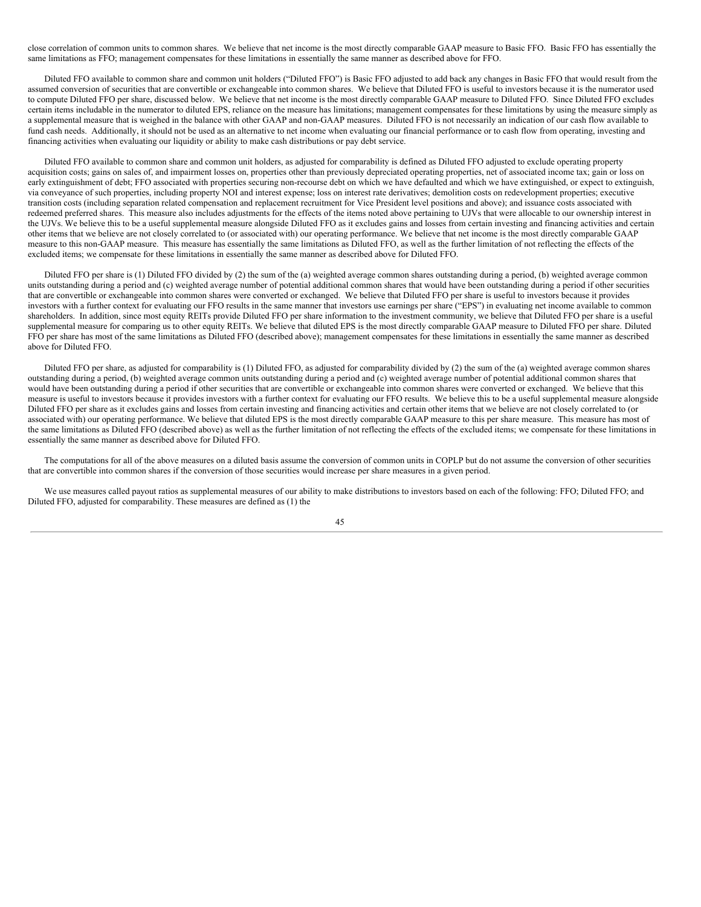close correlation of common units to common shares. We believe that net income is the most directly comparable GAAP measure to Basic FFO. Basic FFO has essentially the same limitations as FFO; management compensates for these limitations in essentially the same manner as described above for FFO.

Diluted FFO available to common share and common unit holders ("Diluted FFO") is Basic FFO adjusted to add back any changes in Basic FFO that would result from the assumed conversion of securities that are convertible or exchangeable into common shares. We believe that Diluted FFO is useful to investors because it is the numerator used to compute Diluted FFO per share, discussed below. We believe that net income is the most directly comparable GAAP measure to Diluted FFO. Since Diluted FFO excludes certain items includable in the numerator to diluted EPS, reliance on the measure has limitations; management compensates for these limitations by using the measure simply as a supplemental measure that is weighed in the balance with other GAAP and non-GAAP measures. Diluted FFO is not necessarily an indication of our cash flow available to fund cash needs. Additionally, it should not be used as an alternative to net income when evaluating our financial performance or to cash flow from operating, investing and financing activities when evaluating our liquidity or ability to make cash distributions or pay debt service.

Diluted FFO available to common share and common unit holders, as adjusted for comparability is defined as Diluted FFO adjusted to exclude operating property acquisition costs; gains on sales of, and impairment losses on, properties other than previously depreciated operating properties, net of associated income tax; gain or loss on early extinguishment of debt; FFO associated with properties securing non-recourse debt on which we have defaulted and which we have extinguished, or expect to extinguish, via conveyance of such properties, including property NOI and interest expense; loss on interest rate derivatives; demolition costs on redevelopment properties; executive transition costs (including separation related compensation and replacement recruitment for Vice President level positions and above); and issuance costs associated with redeemed preferred shares. This measure also includes adjustments for the effects of the items noted above pertaining to UJVs that were allocable to our ownership interest in the UJVs. We believe this to be a useful supplemental measure alongside Diluted FFO as it excludes gains and losses from certain investing and financing activities and certain other items that we believe are not closely correlated to (or associated with) our operating performance. We believe that net income is the most directly comparable GAAP measure to this non-GAAP measure. This measure has essentially the same limitations as Diluted FFO, as well as the further limitation of not reflecting the effects of the excluded items; we compensate for these limitations in essentially the same manner as described above for Diluted FFO.

Diluted FFO per share is (1) Diluted FFO divided by (2) the sum of the (a) weighted average common shares outstanding during a period, (b) weighted average common units outstanding during a period and (c) weighted average number of potential additional common shares that would have been outstanding during a period if other securities that are convertible or exchangeable into common shares were converted or exchanged. We believe that Diluted FFO per share is useful to investors because it provides investors with a further context for evaluating our FFO results in the same manner that investors use earnings per share ("EPS") in evaluating net income available to common shareholders. In addition, since most equity REITs provide Diluted FFO per share information to the investment community, we believe that Diluted FFO per share is a useful supplemental measure for comparing us to other equity REITs. We believe that diluted EPS is the most directly comparable GAAP measure to Diluted FFO per share. Diluted FFO per share has most of the same limitations as Diluted FFO (described above); management compensates for these limitations in essentially the same manner as described above for Diluted FFO.

Diluted FFO per share, as adjusted for comparability is (1) Diluted FFO, as adjusted for comparability divided by (2) the sum of the (a) weighted average common shares outstanding during a period, (b) weighted average common units outstanding during a period and (c) weighted average number of potential additional common shares that would have been outstanding during a period if other securities that are convertible or exchangeable into common shares were converted or exchanged. We believe that this measure is useful to investors because it provides investors with a further context for evaluating our FFO results. We believe this to be a useful supplemental measure alongside Diluted FFO per share as it excludes gains and losses from certain investing and financing activities and certain other items that we believe are not closely correlated to (or associated with) our operating performance. We believe that diluted EPS is the most directly comparable GAAP measure to this per share measure. This measure has most of the same limitations as Diluted FFO (described above) as well as the further limitation of not reflecting the effects of the excluded items; we compensate for these limitations in essentially the same manner as described above for Diluted FFO.

The computations for all of the above measures on a diluted basis assume the conversion of common units in COPLP but do not assume the conversion of other securities that are convertible into common shares if the conversion of those securities would increase per share measures in a given period.

We use measures called payout ratios as supplemental measures of our ability to make distributions to investors based on each of the following: FFO; Diluted FFO; and Diluted FFO, adjusted for comparability. These measures are defined as (1) the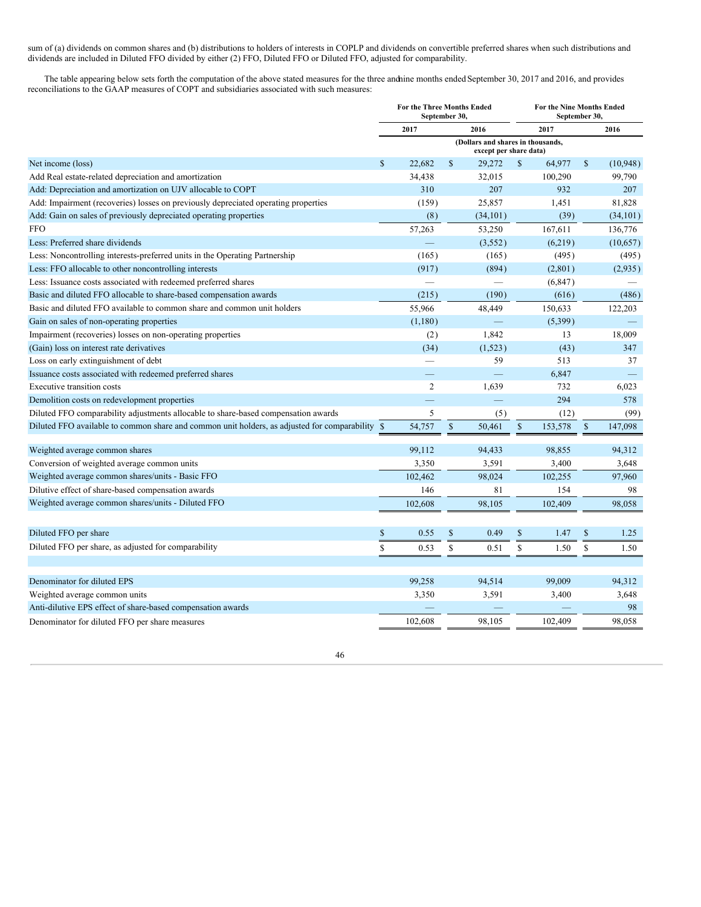sum of (a) dividends on common shares and (b) distributions to holders of interests in COPLP and dividends on convertible preferred shares when such distributions and dividends are included in Diluted FFO divided by either (2) FFO, Diluted FFO or Diluted FFO, adjusted for comparability.

The table appearing below sets forth the computation of the above stated measures for the three andnine months ended September 30, 2017 and 2016, and provides reconciliations to the GAAP measures of COPT and subsidiaries associated with such measures:

|                                                                                                 | For the Three Months Ended<br>September 30, |                |              |                                                             | For the Nine Months Ended<br>September 30, |          |                    |                          |  |
|-------------------------------------------------------------------------------------------------|---------------------------------------------|----------------|--------------|-------------------------------------------------------------|--------------------------------------------|----------|--------------------|--------------------------|--|
|                                                                                                 | 2017<br>2016                                |                |              |                                                             |                                            | 2017     |                    | 2016                     |  |
|                                                                                                 |                                             |                |              | (Dollars and shares in thousands,<br>except per share data) |                                            |          |                    |                          |  |
| Net income (loss)                                                                               | $\mathbb{S}$                                | 22.682         | $\mathbb{S}$ | 29,272                                                      | <sup>\$</sup>                              | 64,977   | $\mathbf{\hat{s}}$ | (10, 948)                |  |
| Add Real estate-related depreciation and amortization                                           |                                             | 34,438         |              | 32,015                                                      |                                            | 100,290  |                    | 99,790                   |  |
| Add: Depreciation and amortization on UJV allocable to COPT                                     |                                             | 310            |              | 207                                                         |                                            | 932      |                    | 207                      |  |
| Add: Impairment (recoveries) losses on previously depreciated operating properties              |                                             | (159)          |              | 25,857                                                      |                                            | 1,451    |                    | 81,828                   |  |
| Add: Gain on sales of previously depreciated operating properties                               |                                             | (8)            |              | (34, 101)                                                   |                                            | (39)     |                    | (34, 101)                |  |
| <b>FFO</b>                                                                                      |                                             | 57,263         |              | 53,250                                                      |                                            | 167,611  |                    | 136,776                  |  |
| Less: Preferred share dividends                                                                 |                                             |                |              | (3,552)                                                     |                                            | (6,219)  |                    | (10,657)                 |  |
| Less: Noncontrolling interests-preferred units in the Operating Partnership                     |                                             | (165)          |              | (165)                                                       |                                            | (495)    |                    | (495)                    |  |
| Less: FFO allocable to other noncontrolling interests                                           |                                             | (917)          |              | (894)                                                       |                                            | (2,801)  |                    | (2,935)                  |  |
| Less: Issuance costs associated with redeemed preferred shares                                  |                                             |                |              |                                                             |                                            | (6, 847) |                    |                          |  |
| Basic and diluted FFO allocable to share-based compensation awards                              |                                             | (215)          |              | (190)                                                       |                                            | (616)    |                    | (486)                    |  |
| Basic and diluted FFO available to common share and common unit holders                         |                                             | 55,966         |              | 48,449                                                      |                                            | 150,633  |                    | 122,203                  |  |
| Gain on sales of non-operating properties                                                       |                                             | (1,180)        |              |                                                             |                                            | (5,399)  |                    |                          |  |
| Impairment (recoveries) losses on non-operating properties                                      |                                             | (2)            |              | 1,842                                                       |                                            | 13       |                    | 18,009                   |  |
| (Gain) loss on interest rate derivatives                                                        |                                             | (34)           |              | (1,523)                                                     |                                            | (43)     |                    | 347                      |  |
| Loss on early extinguishment of debt                                                            |                                             |                |              | 59                                                          |                                            | 513      |                    | 37                       |  |
| Issuance costs associated with redeemed preferred shares                                        |                                             |                |              |                                                             |                                            | 6,847    |                    | $\overline{\phantom{0}}$ |  |
| <b>Executive transition costs</b>                                                               |                                             | $\overline{c}$ |              | 1,639                                                       |                                            | 732      |                    | 6,023                    |  |
| Demolition costs on redevelopment properties                                                    |                                             |                |              | <u>a a</u>                                                  |                                            | 294      |                    | 578                      |  |
| Diluted FFO comparability adjustments allocable to share-based compensation awards              |                                             | 5              |              | (5)                                                         |                                            | (12)     |                    | (99)                     |  |
| Diluted FFO available to common share and common unit holders, as adjusted for comparability \$ |                                             | 54,757         | $\mathbb{S}$ | 50,461                                                      | $\mathbb{S}$                               | 153,578  | $\mathcal{S}$      | 147,098                  |  |
| Weighted average common shares                                                                  |                                             | 99,112         |              | 94,433                                                      |                                            | 98,855   |                    | 94,312                   |  |
| Conversion of weighted average common units                                                     |                                             | 3,350          |              | 3,591                                                       |                                            | 3,400    |                    | 3,648                    |  |
| Weighted average common shares/units - Basic FFO                                                |                                             | 102,462        |              | 98.024                                                      |                                            | 102,255  |                    | 97,960                   |  |
| Dilutive effect of share-based compensation awards                                              |                                             | 146            |              | 81                                                          |                                            | 154      |                    | 98                       |  |
| Weighted average common shares/units - Diluted FFO                                              |                                             | 102,608        |              | 98,105                                                      |                                            | 102,409  |                    | 98,058                   |  |
|                                                                                                 |                                             |                |              |                                                             |                                            |          |                    |                          |  |
| Diluted FFO per share                                                                           | \$                                          | 0.55           | \$           | 0.49                                                        | $\mathbb{S}$                               | 1.47     | $\mathbb{S}$       | 1.25                     |  |
| Diluted FFO per share, as adjusted for comparability                                            | \$                                          | 0.53           | \$           | 0.51                                                        | \$                                         | 1.50     | \$                 | 1.50                     |  |
|                                                                                                 |                                             |                |              |                                                             |                                            |          |                    |                          |  |
| Denominator for diluted EPS                                                                     |                                             | 99,258         |              | 94,514                                                      |                                            | 99,009   |                    | 94,312                   |  |
| Weighted average common units                                                                   |                                             | 3,350          |              | 3,591                                                       |                                            | 3,400    |                    | 3,648                    |  |
| Anti-dilutive EPS effect of share-based compensation awards                                     |                                             |                |              |                                                             |                                            |          |                    | 98                       |  |
| Denominator for diluted FFO per share measures                                                  |                                             | 102.608        |              | 98.105                                                      |                                            | 102.409  |                    | 98.058                   |  |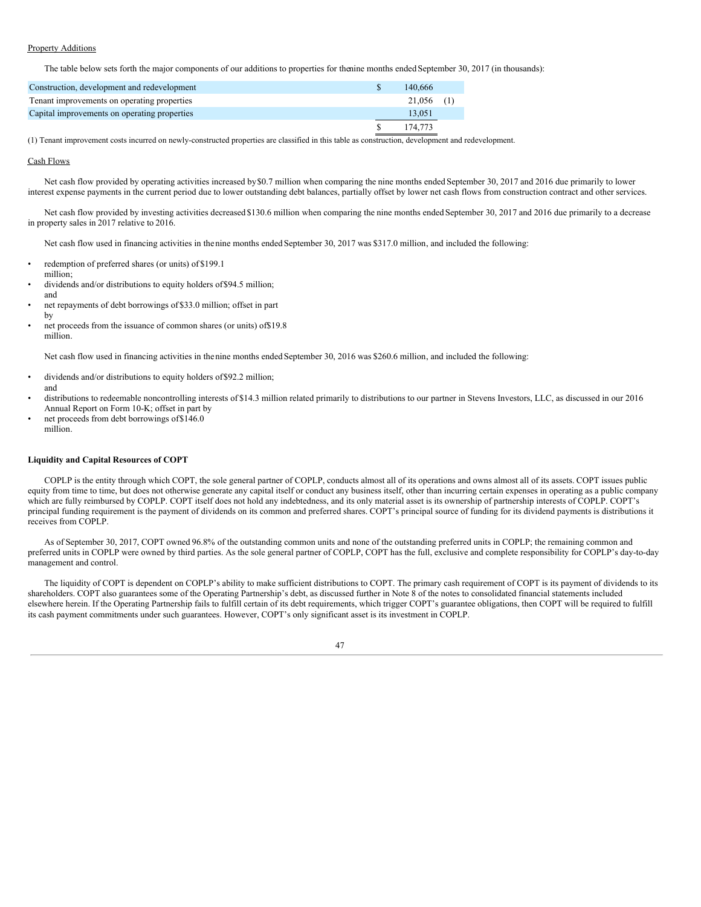## Property Additions

The table below sets forth the major components of our additions to properties for thenine months ended September 30, 2017 (in thousands):

| Construction, development and redevelopment  | 140,666      |  |
|----------------------------------------------|--------------|--|
| Tenant improvements on operating properties  | $21.056$ (1) |  |
| Capital improvements on operating properties | 13.051       |  |
|                                              | 174.773      |  |

(1) Tenant improvement costs incurred on newly-constructed properties are classified in this table as construction, development and redevelopment.

#### Cash Flows

by

Net cash flow provided by operating activities increased by \$0.7 million when comparing the nine months ended September 30, 2017 and 2016 due primarily to lower interest expense payments in the current period due to lower outstanding debt balances, partially offset by lower net cash flows from construction contract and other services.

Net cash flow provided by investing activities decreased \$130.6 million when comparing the nine months ended September 30, 2017 and 2016 due primarily to a decrease in property sales in 2017 relative to 2016.

Net cash flow used in financing activities in thenine months ended September 30, 2017 was \$317.0 million, and included the following:

- redemption of preferred shares (or units) of \$199.1 million;
- dividends and/or distributions to equity holders of\$94.5 million; and
- net repayments of debt borrowings of \$33.0 million; offset in part
- net proceeds from the issuance of common shares (or units) of\$19.8 million.

Net cash flow used in financing activities in thenine months ended September 30, 2016 was \$260.6 million, and included the following:

- dividends and/or distributions to equity holders of\$92.2 million; and
- distributions to redeemable noncontrolling interests of \$14.3 million related primarily to distributions to our partner in Stevens Investors, LLC, as discussed in our 2016 Annual Report on Form 10-K; offset in part by
- net proceeds from debt borrowings of \$146.0 million.

### **Liquidity and Capital Resources of COPT**

COPLP is the entity through which COPT, the sole general partner of COPLP, conducts almost all of its operations and owns almost all of its assets. COPT issues public equity from time to time, but does not otherwise generate any capital itself or conduct any business itself, other than incurring certain expenses in operating as a public company which are fully reimbursed by COPLP. COPT itself does not hold any indebtedness, and its only material asset is its ownership of partnership interests of COPLP. COPT's principal funding requirement is the payment of dividends on its common and preferred shares. COPT's principal source of funding for its dividend payments is distributions it receives from COPLP.

As of September 30, 2017, COPT owned 96.8% of the outstanding common units and none of the outstanding preferred units in COPLP; the remaining common and preferred units in COPLP were owned by third parties. As the sole general partner of COPLP, COPT has the full, exclusive and complete responsibility for COPLP's day-to-day management and control.

The liquidity of COPT is dependent on COPLP's ability to make sufficient distributions to COPT. The primary cash requirement of COPT is its payment of dividends to its shareholders. COPT also guarantees some of the Operating Partnership's debt, as discussed further in Note 8 of the notes to consolidated financial statements included elsewhere herein. If the Operating Partnership fails to fulfill certain of its debt requirements, which trigger COPT's guarantee obligations, then COPT will be required to fulfill its cash payment commitments under such guarantees. However, COPT's only significant asset is its investment in COPLP.

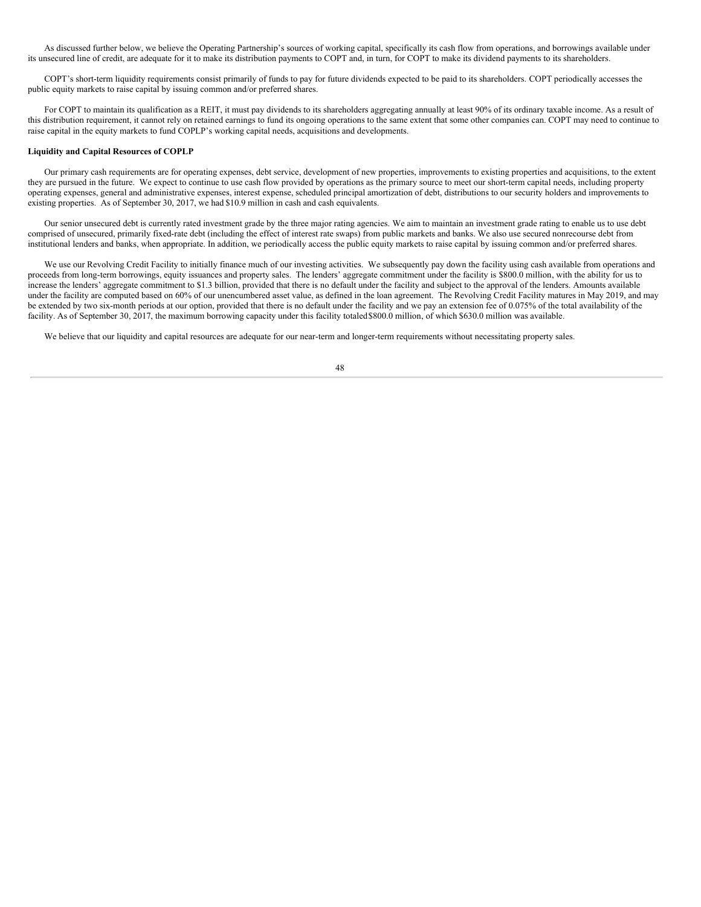As discussed further below, we believe the Operating Partnership's sources of working capital, specifically its cash flow from operations, and borrowings available under its unsecured line of credit, are adequate for it to make its distribution payments to COPT and, in turn, for COPT to make its dividend payments to its shareholders.

COPT's short-term liquidity requirements consist primarily of funds to pay for future dividends expected to be paid to its shareholders. COPT periodically accesses the public equity markets to raise capital by issuing common and/or preferred shares.

For COPT to maintain its qualification as a REIT, it must pay dividends to its shareholders aggregating annually at least 90% of its ordinary taxable income. As a result of this distribution requirement, it cannot rely on retained earnings to fund its ongoing operations to the same extent that some other companies can. COPT may need to continue to raise capital in the equity markets to fund COPLP's working capital needs, acquisitions and developments.

### **Liquidity and Capital Resources of COPLP**

Our primary cash requirements are for operating expenses, debt service, development of new properties, improvements to existing properties and acquisitions, to the extent they are pursued in the future. We expect to continue to use cash flow provided by operations as the primary source to meet our short-term capital needs, including property operating expenses, general and administrative expenses, interest expense, scheduled principal amortization of debt, distributions to our security holders and improvements to existing properties. As of September 30, 2017, we had \$10.9 million in cash and cash equivalents.

Our senior unsecured debt is currently rated investment grade by the three major rating agencies. We aim to maintain an investment grade rating to enable us to use debt comprised of unsecured, primarily fixed-rate debt (including the effect of interest rate swaps) from public markets and banks. We also use secured nonrecourse debt from institutional lenders and banks, when appropriate. In addition, we periodically access the public equity markets to raise capital by issuing common and/or preferred shares.

We use our Revolving Credit Facility to initially finance much of our investing activities. We subsequently pay down the facility using cash available from operations and proceeds from long-term borrowings, equity issuances and property sales. The lenders' aggregate commitment under the facility is \$800.0 million, with the ability for us to increase the lenders' aggregate commitment to \$1.3 billion, provided that there is no default under the facility and subject to the approval of the lenders. Amounts available under the facility are computed based on 60% of our unencumbered asset value, as defined in the loan agreement. The Revolving Credit Facility matures in May 2019, and may be extended by two six-month periods at our option, provided that there is no default under the facility and we pay an extension fee of 0.075% of the total availability of the facility. As of September 30, 2017, the maximum borrowing capacity under this facility totaled\$800.0 million, of which \$630.0 million was available.

48

We believe that our liquidity and capital resources are adequate for our near-term and longer-term requirements without necessitating property sales.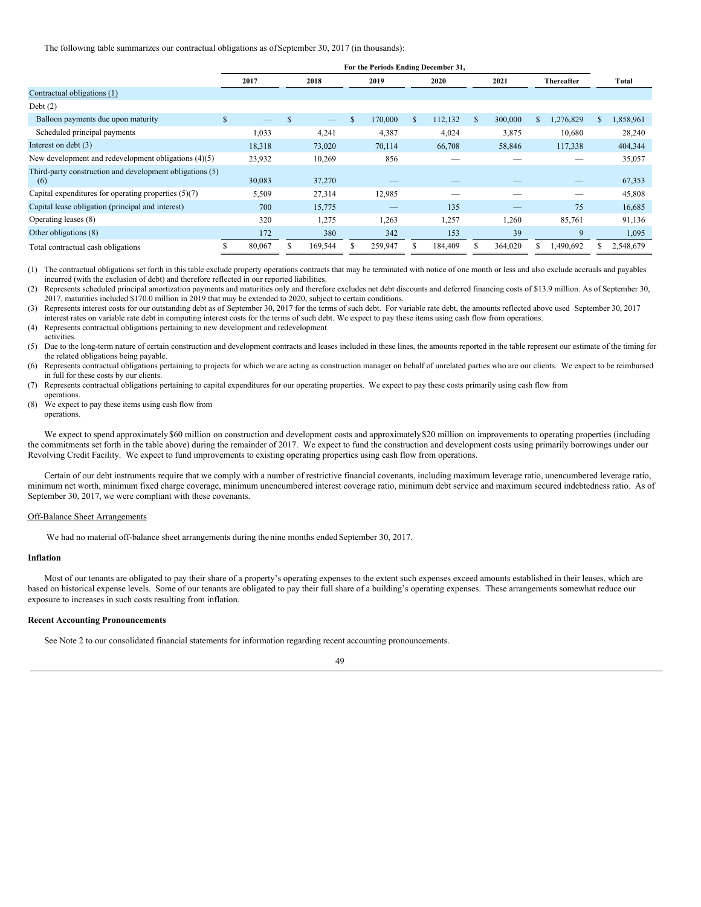The following table summarizes our contractual obligations as ofSeptember 30, 2017 (in thousands):

|                                                                 | For the Periods Ending December 31, |                          |     |                          |   |         |              |         |               |         |            |           |     |           |
|-----------------------------------------------------------------|-------------------------------------|--------------------------|-----|--------------------------|---|---------|--------------|---------|---------------|---------|------------|-----------|-----|-----------|
|                                                                 |                                     | 2017                     |     | 2018                     |   | 2019    |              | 2020    | 2021          |         | Thereafter |           |     | Total     |
| Contractual obligations (1)                                     |                                     |                          |     |                          |   |         |              |         |               |         |            |           |     |           |
| Debt $(2)$                                                      |                                     |                          |     |                          |   |         |              |         |               |         |            |           |     |           |
| Balloon payments due upon maturity                              | $\mathbb{S}$                        | $\overline{\phantom{0}}$ | \$. | $\overline{\phantom{0}}$ | S | 170,000 | $\mathbb{S}$ | 112,132 | <sup>\$</sup> | 300,000 | \$.        | 1,276,829 | \$. | 1,858,961 |
| Scheduled principal payments                                    |                                     | 1,033                    |     | 4,241                    |   | 4,387   |              | 4,024   |               | 3,875   |            | 10,680    |     | 28,240    |
| Interest on debt (3)                                            |                                     | 18,318                   |     | 73,020                   |   | 70,114  |              | 66,708  |               | 58,846  |            | 117,338   |     | 404,344   |
| New development and redevelopment obligations $(4)(5)$          |                                     | 23,932                   |     | 10,269                   |   | 856     |              |         |               |         |            |           |     | 35,057    |
| Third-party construction and development obligations (5)<br>(6) |                                     | 30,083                   |     | 37,270                   |   |         |              |         |               |         |            |           |     | 67,353    |
| Capital expenditures for operating properties $(5)(7)$          |                                     | 5,509                    |     | 27,314                   |   | 12,985  |              | --      |               |         |            |           |     | 45,808    |
| Capital lease obligation (principal and interest)               |                                     | 700                      |     | 15,775                   |   |         |              | 135     |               |         |            | 75        |     | 16,685    |
| Operating leases (8)                                            |                                     | 320                      |     | 1,275                    |   | 1,263   |              | 1,257   |               | 1,260   |            | 85,761    |     | 91,136    |
| Other obligations (8)                                           |                                     | 172                      |     | 380                      |   | 342     |              | 153     |               | 39      |            | 9         |     | 1,095     |
| Total contractual cash obligations                              |                                     | 80,067                   |     | 169,544                  |   | 259,947 |              | 184,409 |               | 364,020 |            | 1,490,692 |     | 2,548,679 |

(1) The contractual obligations set forth in this table exclude property operations contracts that may be terminated with notice of one month or less and also exclude accruals and payables incurred (with the exclusion of debt) and therefore reflected in our reported liabilities.

(2) Represents scheduled principal amortization payments and maturities only and therefore excludes net debt discounts and deferred financing costs of \$13.9 million. As of September 30, 2017, maturities included \$170.0 million in 2019 that may be extended to 2020, subject to certain conditions.

(3) Represents interest costs for our outstanding debt as of September 30, 2017 for the terms of such debt. For variable rate debt, the amounts reflected above used September 30, 2017 interest rates on variable rate debt in computing interest costs for the terms of such debt. We expect to pay these items using cash flow from operations.

(4) Represents contractual obligations pertaining to new development and redevelopment

(5) Due to the long-term nature of certain construction and development contracts and leases included in these lines, the amounts reported in the table represent our estimate of the timing for the related obligations being payable.

(6) Represents contractual obligations pertaining to projects for which we are acting as construction manager on behalf of unrelated parties who are our clients. We expect to be reimbursed in full for these costs by our clients.

(7) Represents contractual obligations pertaining to capital expenditures for our operating properties. We expect to pay these costs primarily using cash flow from

operations.

activities.

(8) We expect to pay these items using cash flow from operations.

We expect to spend approximately \$60 million on construction and development costs and approximately \$20 million on improvements to operating properties (including the commitments set forth in the table above) during the remainder of 2017. We expect to fund the construction and development costs using primarily borrowings under our Revolving Credit Facility. We expect to fund improvements to existing operating properties using cash flow from operations.

Certain of our debt instruments require that we comply with a number of restrictive financial covenants, including maximum leverage ratio, unencumbered leverage ratio, minimum net worth, minimum fixed charge coverage, minimum unencumbered interest coverage ratio, minimum debt service and maximum secured indebtedness ratio. As of September 30, 2017, we were compliant with these covenants.

## Off-Balance Sheet Arrangements

We had no material off-balance sheet arrangements during the nine months ended September 30, 2017.

#### **Inflation**

Most of our tenants are obligated to pay their share of a property's operating expenses to the extent such expenses exceed amounts established in their leases, which are based on historical expense levels. Some of our tenants are obligated to pay their full share of a building's operating expenses. These arrangements somewhat reduce our exposure to increases in such costs resulting from inflation.

#### **Recent Accounting Pronouncements**

See Note 2 to our consolidated financial statements for information regarding recent accounting pronouncements.

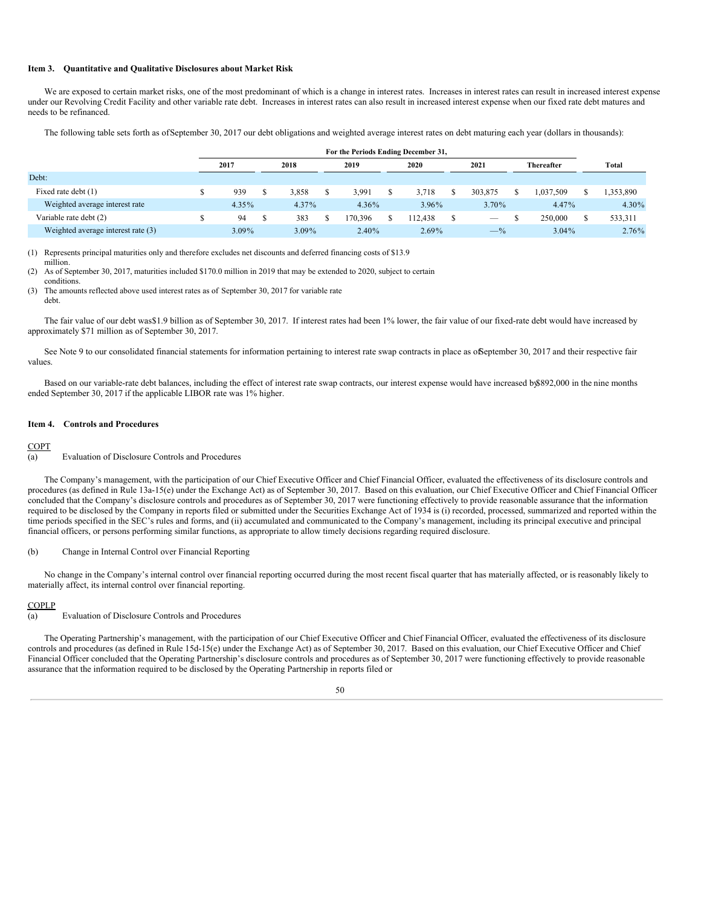## <span id="page-51-0"></span>**Item 3. Quantitative and Qualitative Disclosures about Market Risk**

We are exposed to certain market risks, one of the most predominant of which is a change in interest rates. Increases in interest rates can result in increased interest expense under our Revolving Credit Facility and other variable rate debt. Increases in interest rates can also result in increased interest expense when our fixed rate debt matures and needs to be refinanced.

The following table sets forth as ofSeptember 30, 2017 our debt obligations and weighted average interest rates on debt maturing each year (dollars in thousands):

|                                    | For the Periods Ending December 31, |      |       |  |          |  |          |  |         |  |            |          |
|------------------------------------|-------------------------------------|------|-------|--|----------|--|----------|--|---------|--|------------|----------|
|                                    | 2017                                | 2018 |       |  | 2019     |  | 2020     |  | 2021    |  | Thereafter | Total    |
| Debt:                              |                                     |      |       |  |          |  |          |  |         |  |            |          |
| Fixed rate debt (1)                | 939                                 |      | 3.858 |  | 3.991    |  | 3.718    |  | 303,875 |  | 1.037.509  | ,353,890 |
| Weighted average interest rate     | $4.35\%$                            |      | 4.37% |  | $4.36\%$ |  | 3.96%    |  | 3.70%   |  | 4.47%      | 4.30%    |
| Variable rate debt (2)             | 94                                  |      | 383   |  | 70.396   |  | 12.438   |  |         |  | 250,000    | 533,311  |
| Weighted average interest rate (3) | $3.09\%$                            |      | 3.09% |  | $2.40\%$ |  | $2.69\%$ |  | $-$ %   |  | $3.04\%$   | 2.76%    |

(1) Represents principal maturities only and therefore excludes net discounts and deferred financing costs of \$13.9 million.

(2) As of September 30, 2017, maturities included \$170.0 million in 2019 that may be extended to 2020, subject to certain conditions.

(3) The amounts reflected above used interest rates as of September 30, 2017 for variable rate

The fair value of our debt was\$1.9 billion as of September 30, 2017. If interest rates had been 1% lower, the fair value of our fixed-rate debt would have increased by approximately \$71 million as of September 30, 2017.

See Note 9 to our consolidated financial statements for information pertaining to interest rate swap contracts in place as ofSeptember 30, 2017 and their respective fair values.

Based on our variable-rate debt balances, including the effect of interest rate swap contracts, our interest expense would have increased by\$892,000 in the nine months ended September 30, 2017 if the applicable LIBOR rate was 1% higher.

#### <span id="page-51-1"></span>**Item 4. Controls and Procedures**

## **COPT**

debt.

#### (a) Evaluation of Disclosure Controls and Procedures

The Company's management, with the participation of our Chief Executive Officer and Chief Financial Officer, evaluated the effectiveness of its disclosure controls and procedures (as defined in Rule 13a-15(e) under the Exchange Act) as of September 30, 2017. Based on this evaluation, our Chief Executive Officer and Chief Financial Officer concluded that the Company's disclosure controls and procedures as of September 30, 2017 were functioning effectively to provide reasonable assurance that the information required to be disclosed by the Company in reports filed or submitted under the Securities Exchange Act of 1934 is (i) recorded, processed, summarized and reported within the time periods specified in the SEC's rules and forms, and (ii) accumulated and communicated to the Company's management, including its principal executive and principal financial officers, or persons performing similar functions, as appropriate to allow timely decisions regarding required disclosure.

### (b) Change in Internal Control over Financial Reporting

No change in the Company's internal control over financial reporting occurred during the most recent fiscal quarter that has materially affected, or is reasonably likely to materially affect, its internal control over financial reporting.

#### COPLP

(a) Evaluation of Disclosure Controls and Procedures

The Operating Partnership's management, with the participation of our Chief Executive Officer and Chief Financial Officer, evaluated the effectiveness of its disclosure controls and procedures (as defined in Rule 15d-15(e) under the Exchange Act) as of September 30, 2017. Based on this evaluation, our Chief Executive Officer and Chief Financial Officer concluded that the Operating Partnership's disclosure controls and procedures as of September 30, 2017 were functioning effectively to provide reasonable assurance that the information required to be disclosed by the Operating Partnership in reports filed or

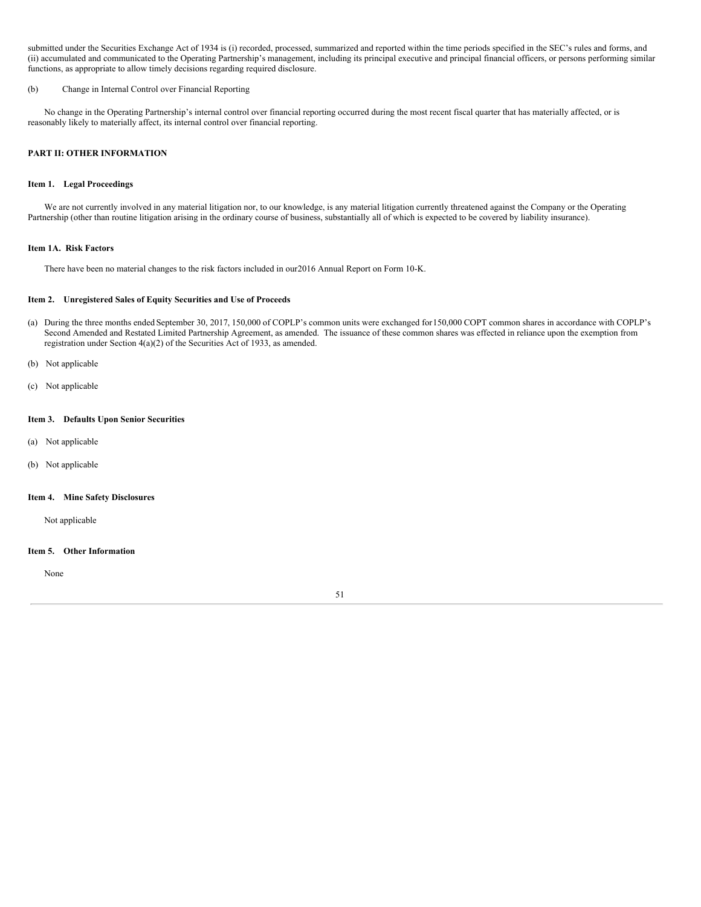submitted under the Securities Exchange Act of 1934 is (i) recorded, processed, summarized and reported within the time periods specified in the SEC's rules and forms, and (ii) accumulated and communicated to the Operating Partnership's management, including its principal executive and principal financial officers, or persons performing similar functions, as appropriate to allow timely decisions regarding required disclosure.

### (b) Change in Internal Control over Financial Reporting

No change in the Operating Partnership's internal control over financial reporting occurred during the most recent fiscal quarter that has materially affected, or is reasonably likely to materially affect, its internal control over financial reporting.

## <span id="page-52-0"></span>**PART II: OTHER INFORMATION**

## <span id="page-52-1"></span>**Item 1. Legal Proceedings**

We are not currently involved in any material litigation nor, to our knowledge, is any material litigation currently threatened against the Company or the Operating Partnership (other than routine litigation arising in the ordinary course of business, substantially all of which is expected to be covered by liability insurance).

## <span id="page-52-2"></span>**Item 1A. Risk Factors**

There have been no material changes to the risk factors included in our2016 Annual Report on Form 10-K.

## <span id="page-52-3"></span>**Item 2. Unregistered Sales of Equity Securities and Use of Proceeds**

- (a) During the three months ended September 30, 2017, 150,000 of COPLP's common units were exchanged for150,000 COPT common shares in accordance with COPLP's Second Amended and Restated Limited Partnership Agreement, as amended. The issuance of these common shares was effected in reliance upon the exemption from registration under Section 4(a)(2) of the Securities Act of 1933, as amended.
- (b) Not applicable
- (c) Not applicable

## <span id="page-52-4"></span>**Item 3. Defaults Upon Senior Securities**

- (a) Not applicable
- (b) Not applicable

### <span id="page-52-5"></span>**Item 4. Mine Safety Disclosures**

Not applicable

### <span id="page-52-6"></span>**Item 5. Other Information**

None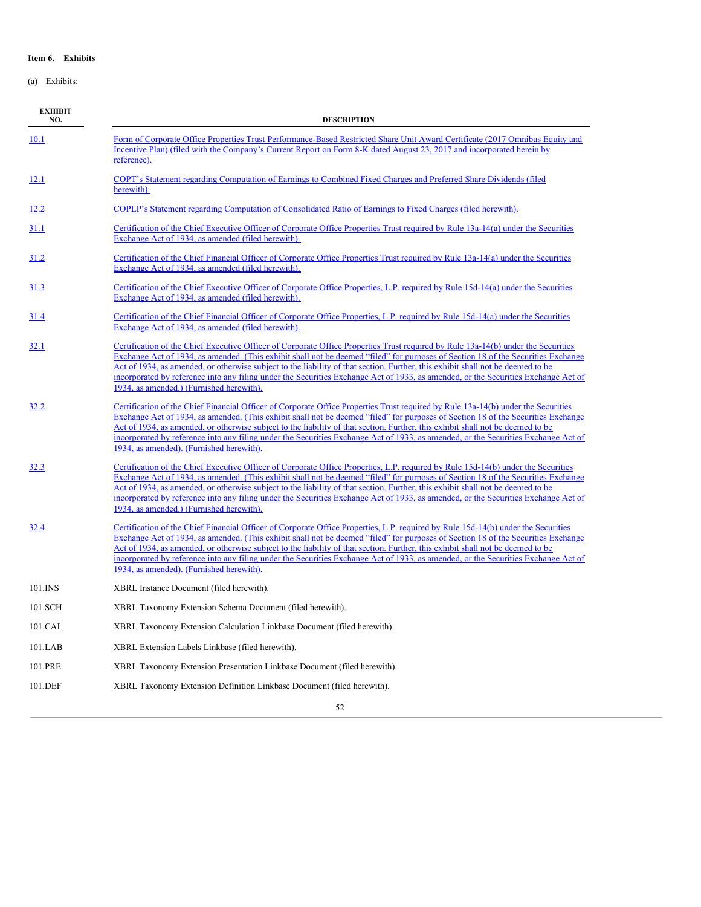## <span id="page-53-0"></span>**Item 6. Exhibits**

(a) Exhibits:

| <b>EXHIBIT</b><br>NO. | <b>DESCRIPTION</b>                                                                                                                                                                                                                                                                                                                                                                                                                                                                                                                                                                          |
|-----------------------|---------------------------------------------------------------------------------------------------------------------------------------------------------------------------------------------------------------------------------------------------------------------------------------------------------------------------------------------------------------------------------------------------------------------------------------------------------------------------------------------------------------------------------------------------------------------------------------------|
| 10.1                  | Form of Corporate Office Properties Trust Performance-Based Restricted Share Unit Award Certificate (2017 Omnibus Equity and<br>Incentive Plan) (filed with the Company's Current Report on Form 8-K dated August 23, 2017 and incorporated herein by<br>reference).                                                                                                                                                                                                                                                                                                                        |
| 12.1                  | COPT's Statement regarding Computation of Earnings to Combined Fixed Charges and Preferred Share Dividends (filed<br>herewith).                                                                                                                                                                                                                                                                                                                                                                                                                                                             |
| <u>12.2</u>           | COPLP's Statement regarding Computation of Consolidated Ratio of Earnings to Fixed Charges (filed herewith).                                                                                                                                                                                                                                                                                                                                                                                                                                                                                |
| <b>31.1</b>           | Certification of the Chief Executive Officer of Corporate Office Properties Trust required by Rule 13a-14(a) under the Securities<br>Exchange Act of 1934, as amended (filed herewith).                                                                                                                                                                                                                                                                                                                                                                                                     |
| 31.2                  | Certification of the Chief Financial Officer of Corporate Office Properties Trust required by Rule 13a-14(a) under the Securities<br>Exchange Act of 1934, as amended (filed herewith).                                                                                                                                                                                                                                                                                                                                                                                                     |
| <u>31.3</u>           | Certification of the Chief Executive Officer of Corporate Office Properties, L.P. required by Rule 15d-14(a) under the Securities<br>Exchange Act of 1934, as amended (filed herewith).                                                                                                                                                                                                                                                                                                                                                                                                     |
| <u>31.4</u>           | Certification of the Chief Financial Officer of Corporate Office Properties, L.P. required by Rule 15d-14(a) under the Securities<br>Exchange Act of 1934, as amended (filed herewith).                                                                                                                                                                                                                                                                                                                                                                                                     |
| 32.1                  | Certification of the Chief Executive Officer of Corporate Office Properties Trust required by Rule 13a-14(b) under the Securities<br>Exchange Act of 1934, as amended. (This exhibit shall not be deemed "filed" for purposes of Section 18 of the Securities Exchange<br>Act of 1934, as amended, or otherwise subject to the liability of that section. Further, this exhibit shall not be deemed to be<br>incorporated by reference into any filing under the Securities Exchange Act of 1933, as amended, or the Securities Exchange Act of<br>1934, as amended.) (Furnished herewith). |
| 32.2                  | Certification of the Chief Financial Officer of Corporate Office Properties Trust required by Rule 13a-14(b) under the Securities<br>Exchange Act of 1934, as amended. (This exhibit shall not be deemed "filed" for purposes of Section 18 of the Securities Exchange<br>Act of 1934, as amended, or otherwise subject to the liability of that section. Further, this exhibit shall not be deemed to be<br>incorporated by reference into any filing under the Securities Exchange Act of 1933, as amended, or the Securities Exchange Act of<br>1934, as amended). (Furnished herewith). |
| 32.3                  | Certification of the Chief Executive Officer of Corporate Office Properties, L.P. required by Rule 15d-14(b) under the Securities<br>Exchange Act of 1934, as amended. (This exhibit shall not be deemed "filed" for purposes of Section 18 of the Securities Exchange<br>Act of 1934, as amended, or otherwise subject to the liability of that section. Further, this exhibit shall not be deemed to be<br>incorporated by reference into any filing under the Securities Exchange Act of 1933, as amended, or the Securities Exchange Act of<br>1934, as amended.) (Furnished herewith). |
| <u>32.4</u>           | Certification of the Chief Financial Officer of Corporate Office Properties, L.P. required by Rule 15d-14(b) under the Securities<br>Exchange Act of 1934, as amended. (This exhibit shall not be deemed "filed" for purposes of Section 18 of the Securities Exchange<br>Act of 1934, as amended, or otherwise subject to the liability of that section. Further, this exhibit shall not be deemed to be<br>incorporated by reference into any filing under the Securities Exchange Act of 1933, as amended, or the Securities Exchange Act of<br>1934, as amended). (Furnished herewith). |
| 101.INS               | XBRL Instance Document (filed herewith).                                                                                                                                                                                                                                                                                                                                                                                                                                                                                                                                                    |
| 101.SCH               | XBRL Taxonomy Extension Schema Document (filed herewith).                                                                                                                                                                                                                                                                                                                                                                                                                                                                                                                                   |
| 101.CAL               | XBRL Taxonomy Extension Calculation Linkbase Document (filed herewith).                                                                                                                                                                                                                                                                                                                                                                                                                                                                                                                     |
| 101.LAB               | XBRL Extension Labels Linkbase (filed herewith).                                                                                                                                                                                                                                                                                                                                                                                                                                                                                                                                            |
| 101.PRE               | XBRL Taxonomy Extension Presentation Linkbase Document (filed herewith).                                                                                                                                                                                                                                                                                                                                                                                                                                                                                                                    |
| 101.DEF               | XBRL Taxonomy Extension Definition Linkbase Document (filed herewith).                                                                                                                                                                                                                                                                                                                                                                                                                                                                                                                      |
|                       | 52                                                                                                                                                                                                                                                                                                                                                                                                                                                                                                                                                                                          |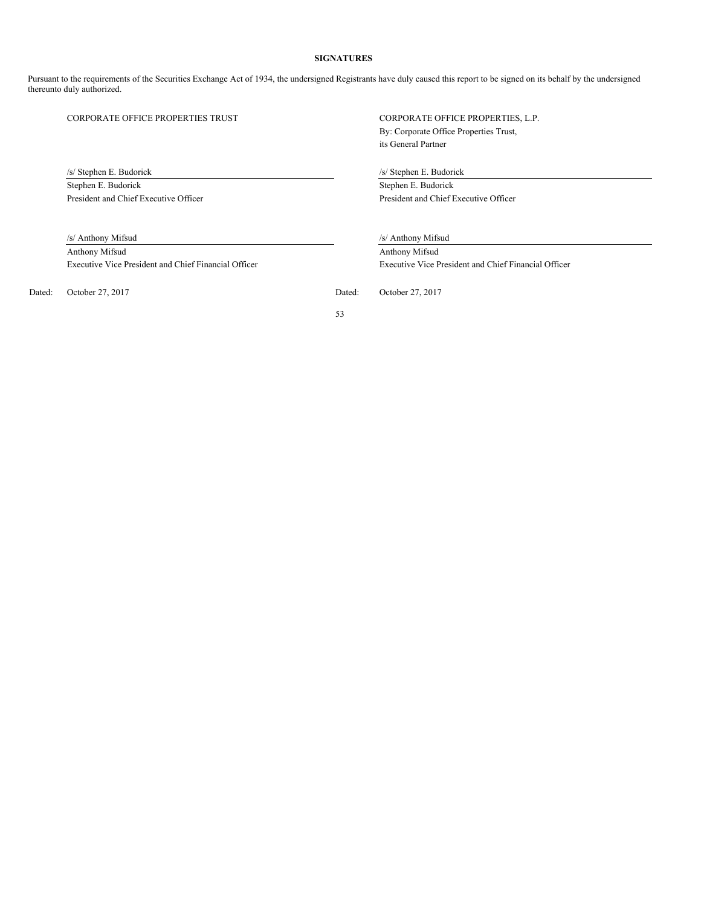## **SIGNATURES**

<span id="page-54-0"></span>Pursuant to the requirements of the Securities Exchange Act of 1934, the undersigned Registrants have duly caused this report to be signed on its behalf by the undersigned thereunto duly authorized.

/s/ Stephen E. Budorick /s/ Stephen E. Budorick Stephen E. Budorick Stephen E. Budorick

Anthony Mifsud Anthony Mifsud

Dated: October 27, 2017 Dated: October 27, 2017

CORPORATE OFFICE PROPERTIES TRUST CORPORATE OFFICE PROPERTIES, L.P. By: Corporate Office Properties Trust, its General Partner

President and Chief Executive Officer President and Chief Executive Officer

/s/ Anthony Mifsud /s/ Anthony Mifsud

Executive Vice President and Chief Financial Officer Executive Vice President and Chief Financial Officer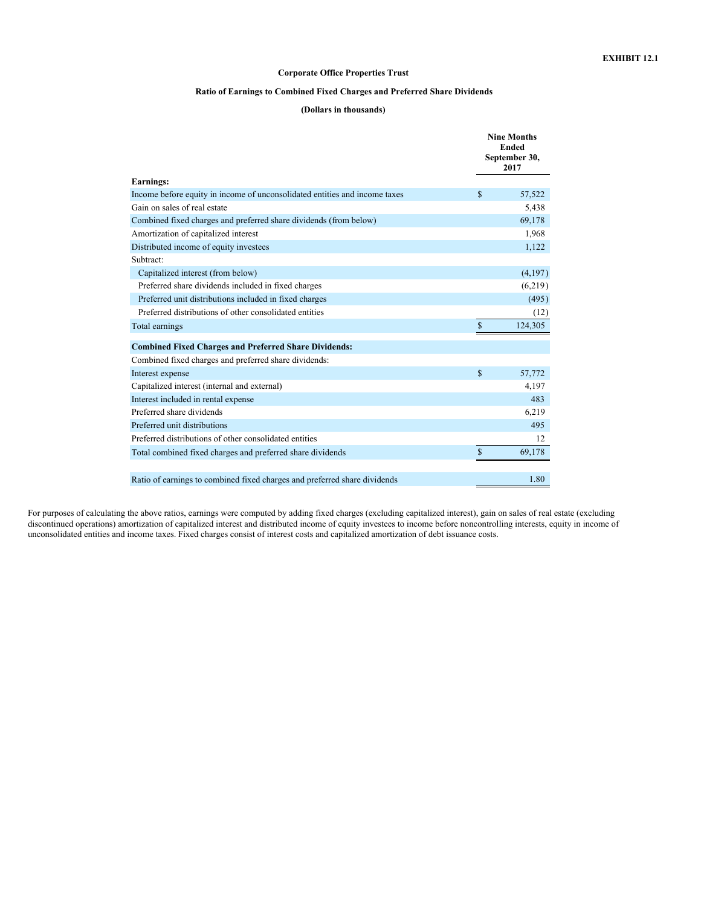## **Corporate Office Properties Trust**

## **Ratio of Earnings to Combined Fixed Charges and Preferred Share Dividends**

# **(Dollars in thousands)**

<span id="page-55-0"></span>

|                                                                            | <b>Nine Months</b><br><b>Ended</b><br>September 30,<br>2017 |         |  |  |  |  |
|----------------------------------------------------------------------------|-------------------------------------------------------------|---------|--|--|--|--|
| <b>Earnings:</b>                                                           |                                                             |         |  |  |  |  |
| Income before equity in income of unconsolidated entities and income taxes | \$                                                          | 57,522  |  |  |  |  |
| Gain on sales of real estate                                               |                                                             | 5,438   |  |  |  |  |
| Combined fixed charges and preferred share dividends (from below)          |                                                             | 69,178  |  |  |  |  |
| Amortization of capitalized interest                                       |                                                             | 1,968   |  |  |  |  |
| Distributed income of equity investees                                     |                                                             | 1,122   |  |  |  |  |
| Subtract:                                                                  |                                                             |         |  |  |  |  |
| Capitalized interest (from below)                                          |                                                             | (4,197) |  |  |  |  |
| Preferred share dividends included in fixed charges                        |                                                             | (6,219) |  |  |  |  |
| Preferred unit distributions included in fixed charges                     |                                                             | (495)   |  |  |  |  |
| Preferred distributions of other consolidated entities                     |                                                             | (12)    |  |  |  |  |
| Total earnings                                                             | $\mathbb{S}$                                                | 124,305 |  |  |  |  |
| <b>Combined Fixed Charges and Preferred Share Dividends:</b>               |                                                             |         |  |  |  |  |
| Combined fixed charges and preferred share dividends:                      |                                                             |         |  |  |  |  |
| Interest expense                                                           | \$                                                          | 57,772  |  |  |  |  |
| Capitalized interest (internal and external)                               |                                                             | 4,197   |  |  |  |  |
| Interest included in rental expense                                        |                                                             | 483     |  |  |  |  |
| Preferred share dividends                                                  |                                                             | 6,219   |  |  |  |  |
| Preferred unit distributions                                               |                                                             | 495     |  |  |  |  |
| Preferred distributions of other consolidated entities                     |                                                             | 12      |  |  |  |  |
| Total combined fixed charges and preferred share dividends                 | \$                                                          | 69,178  |  |  |  |  |
|                                                                            |                                                             | 1.80    |  |  |  |  |
| Ratio of earnings to combined fixed charges and preferred share dividends  |                                                             |         |  |  |  |  |

For purposes of calculating the above ratios, earnings were computed by adding fixed charges (excluding capitalized interest), gain on sales of real estate (excluding discontinued operations) amortization of capitalized interest and distributed income of equity investees to income before noncontrolling interests, equity in income of unconsolidated entities and income taxes. Fixed charges consist of interest costs and capitalized amortization of debt issuance costs.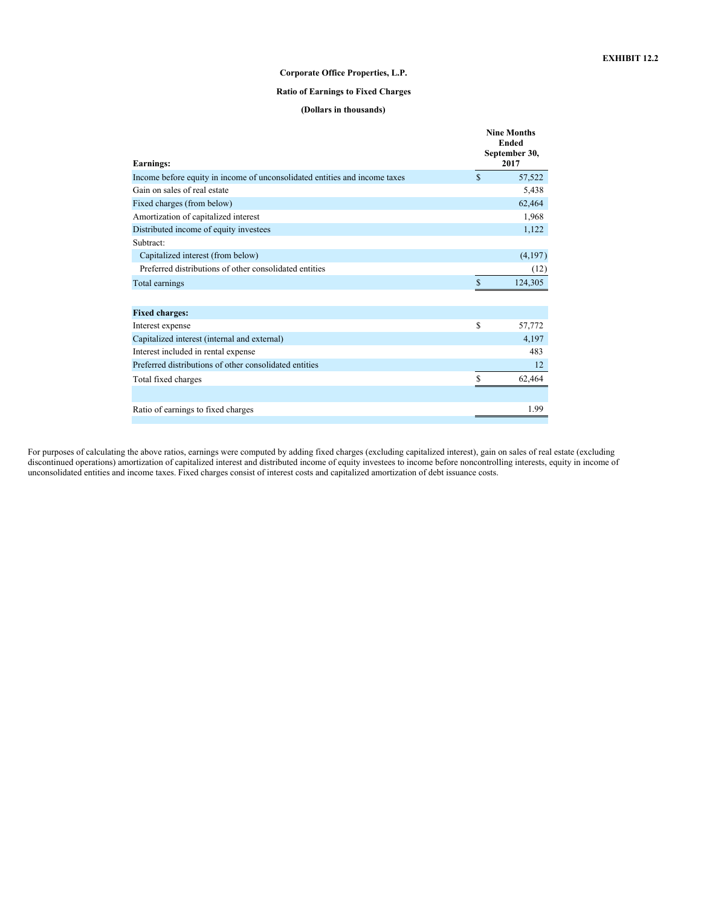## **Corporate Office Properties, L.P.**

## **Ratio of Earnings to Fixed Charges**

## **(Dollars in thousands)**

<span id="page-56-0"></span>

|                                                                            |               | <b>Nine Months</b><br><b>Ended</b><br>September 30, |
|----------------------------------------------------------------------------|---------------|-----------------------------------------------------|
| Earnings:                                                                  |               | 2017                                                |
| Income before equity in income of unconsolidated entities and income taxes | \$            | 57,522                                              |
| Gain on sales of real estate                                               |               | 5,438                                               |
| Fixed charges (from below)                                                 |               | 62,464                                              |
| Amortization of capitalized interest                                       |               | 1,968                                               |
| Distributed income of equity investees                                     |               | 1,122                                               |
| Subtract:                                                                  |               |                                                     |
| Capitalized interest (from below)                                          |               | (4,197)                                             |
| Preferred distributions of other consolidated entities                     |               | (12)                                                |
| Total earnings                                                             | S             | 124,305                                             |
|                                                                            |               |                                                     |
| <b>Fixed charges:</b>                                                      |               |                                                     |
| Interest expense                                                           | \$            | 57,772                                              |
| Capitalized interest (internal and external)                               |               | 4,197                                               |
| Interest included in rental expense                                        |               | 483                                                 |
| Preferred distributions of other consolidated entities                     |               | 12                                                  |
| Total fixed charges                                                        | <sup>\$</sup> | 62,464                                              |
|                                                                            |               |                                                     |
| Ratio of earnings to fixed charges                                         |               | 1.99                                                |

For purposes of calculating the above ratios, earnings were computed by adding fixed charges (excluding capitalized interest), gain on sales of real estate (excluding discontinued operations) amortization of capitalized interest and distributed income of equity investees to income before noncontrolling interests, equity in income of unconsolidated entities and income taxes. Fixed charges consist of interest costs and capitalized amortization of debt issuance costs.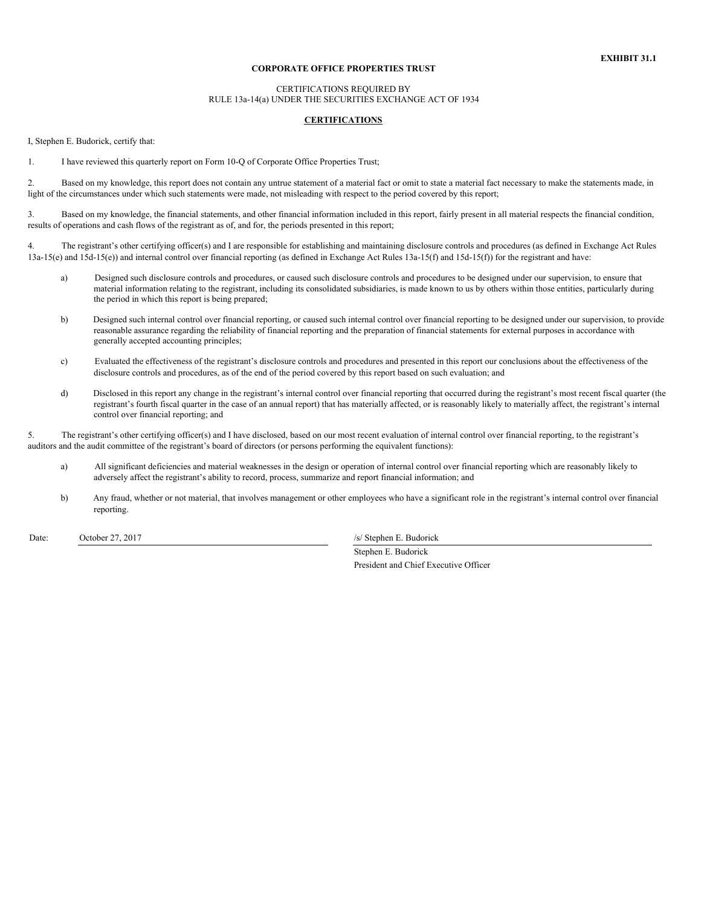#### **CORPORATE OFFICE PROPERTIES TRUST**

## CERTIFICATIONS REQUIRED BY RULE 13a-14(a) UNDER THE SECURITIES EXCHANGE ACT OF 1934

## **CERTIFICATIONS**

<span id="page-57-0"></span>I, Stephen E. Budorick, certify that:

1. I have reviewed this quarterly report on Form 10-Q of Corporate Office Properties Trust;

2. Based on my knowledge, this report does not contain any untrue statement of a material fact or omit to state a material fact necessary to make the statements made, in light of the circumstances under which such statements were made, not misleading with respect to the period covered by this report;

3. Based on my knowledge, the financial statements, and other financial information included in this report, fairly present in all material respects the financial condition, results of operations and cash flows of the registrant as of, and for, the periods presented in this report;

4. The registrant's other certifying officer(s) and I are responsible for establishing and maintaining disclosure controls and procedures (as defined in Exchange Act Rules  $13a-15(e)$  and  $15d-15(e)$ ) and internal control over financial reporting (as defined in Exchange Act Rules  $13a-15(f)$  and  $15d-15(f)$ ) for the registrant and have:

- a) Designed such disclosure controls and procedures, or caused such disclosure controls and procedures to be designed under our supervision, to ensure that material information relating to the registrant, including its consolidated subsidiaries, is made known to us by others within those entities, particularly during the period in which this report is being prepared;
- b) Designed such internal control over financial reporting, or caused such internal control over financial reporting to be designed under our supervision, to provide reasonable assurance regarding the reliability of financial reporting and the preparation of financial statements for external purposes in accordance with generally accepted accounting principles;
- c) Evaluated the effectiveness of the registrant's disclosure controls and procedures and presented in this report our conclusions about the effectiveness of the disclosure controls and procedures, as of the end of the period covered by this report based on such evaluation; and
- d) Disclosed in this report any change in the registrant's internal control over financial reporting that occurred during the registrant's most recent fiscal quarter (the registrant's fourth fiscal quarter in the case of an annual report) that has materially affected, or is reasonably likely to materially affect, the registrant's internal control over financial reporting; and

5. The registrant's other certifying officer(s) and I have disclosed, based on our most recent evaluation of internal control over financial reporting, to the registrant's auditors and the audit committee of the registrant's board of directors (or persons performing the equivalent functions):

- a) All significant deficiencies and material weaknesses in the design or operation of internal control over financial reporting which are reasonably likely to adversely affect the registrant's ability to record, process, summarize and report financial information; and
- b) Any fraud, whether or not material, that involves management or other employees who have a significant role in the registrant's internal control over financial reporting.

Date: October 27, 2017 /s/ Stephen E. Budorick

Stephen E. Budorick President and Chief Executive Officer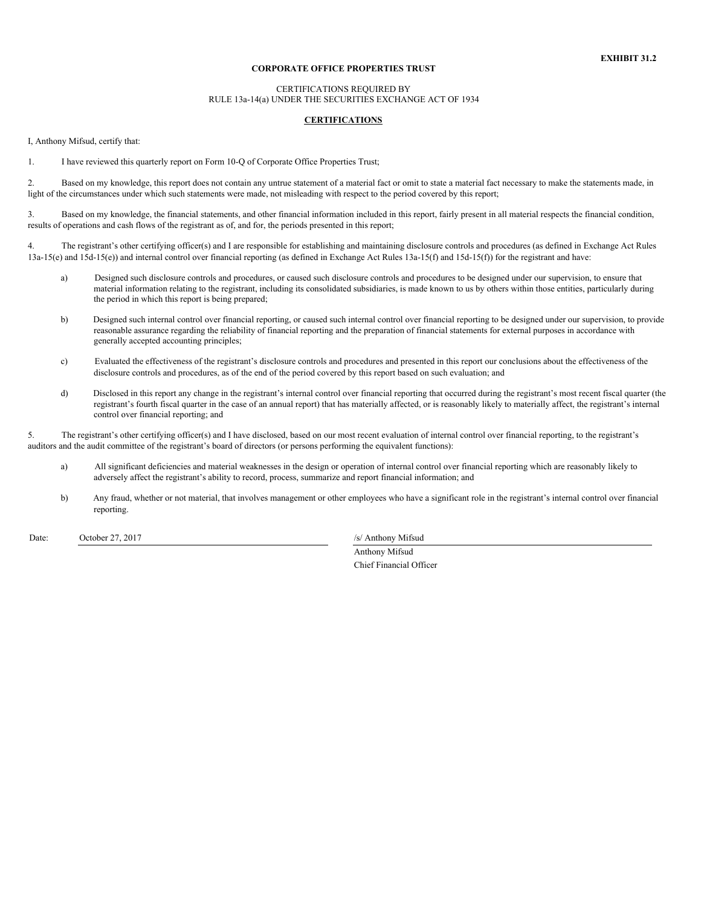#### **CORPORATE OFFICE PROPERTIES TRUST**

## CERTIFICATIONS REQUIRED BY RULE 13a-14(a) UNDER THE SECURITIES EXCHANGE ACT OF 1934

## **CERTIFICATIONS**

<span id="page-58-0"></span>I, Anthony Mifsud, certify that:

1. I have reviewed this quarterly report on Form 10-Q of Corporate Office Properties Trust;

2. Based on my knowledge, this report does not contain any untrue statement of a material fact or omit to state a material fact necessary to make the statements made, in light of the circumstances under which such statements were made, not misleading with respect to the period covered by this report;

3. Based on my knowledge, the financial statements, and other financial information included in this report, fairly present in all material respects the financial condition, results of operations and cash flows of the registrant as of, and for, the periods presented in this report;

4. The registrant's other certifying officer(s) and I are responsible for establishing and maintaining disclosure controls and procedures (as defined in Exchange Act Rules  $13a-15(e)$  and  $15d-15(e)$ ) and internal control over financial reporting (as defined in Exchange Act Rules  $13a-15(f)$  and  $15d-15(f)$ ) for the registrant and have:

- a) Designed such disclosure controls and procedures, or caused such disclosure controls and procedures to be designed under our supervision, to ensure that material information relating to the registrant, including its consolidated subsidiaries, is made known to us by others within those entities, particularly during the period in which this report is being prepared;
- b) Designed such internal control over financial reporting, or caused such internal control over financial reporting to be designed under our supervision, to provide reasonable assurance regarding the reliability of financial reporting and the preparation of financial statements for external purposes in accordance with generally accepted accounting principles;
- c) Evaluated the effectiveness of the registrant's disclosure controls and procedures and presented in this report our conclusions about the effectiveness of the disclosure controls and procedures, as of the end of the period covered by this report based on such evaluation; and
- d) Disclosed in this report any change in the registrant's internal control over financial reporting that occurred during the registrant's most recent fiscal quarter (the registrant's fourth fiscal quarter in the case of an annual report) that has materially affected, or is reasonably likely to materially affect, the registrant's internal control over financial reporting; and

5. The registrant's other certifying officer(s) and I have disclosed, based on our most recent evaluation of internal control over financial reporting, to the registrant's auditors and the audit committee of the registrant's board of directors (or persons performing the equivalent functions):

- a) All significant deficiencies and material weaknesses in the design or operation of internal control over financial reporting which are reasonably likely to adversely affect the registrant's ability to record, process, summarize and report financial information; and
- b) Any fraud, whether or not material, that involves management or other employees who have a significant role in the registrant's internal control over financial reporting.

Date: October 27, 2017 /s/ Anthony Mifsud

Anthony Mifsud Chief Financial Officer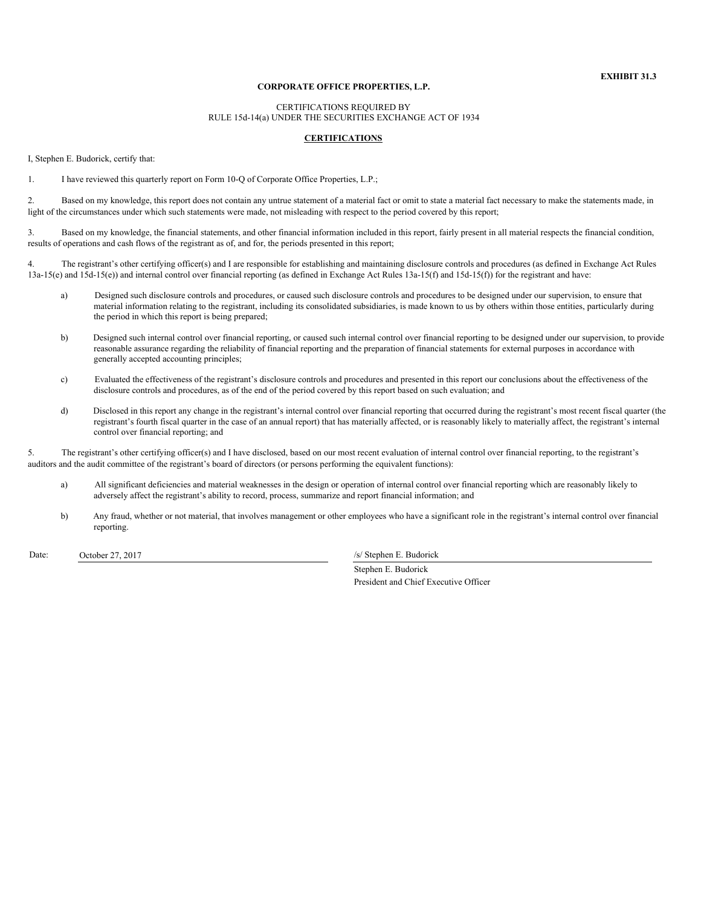## **CORPORATE OFFICE PROPERTIES, L.P.**

CERTIFICATIONS REQUIRED BY RULE 15d-14(a) UNDER THE SECURITIES EXCHANGE ACT OF 1934

#### **CERTIFICATIONS**

<span id="page-59-0"></span>I, Stephen E. Budorick, certify that:

1. I have reviewed this quarterly report on Form 10-Q of Corporate Office Properties, L.P.;

2. Based on my knowledge, this report does not contain any untrue statement of a material fact or omit to state a material fact necessary to make the statements made, in light of the circumstances under which such statements were made, not misleading with respect to the period covered by this report;

3. Based on my knowledge, the financial statements, and other financial information included in this report, fairly present in all material respects the financial condition, results of operations and cash flows of the registrant as of, and for, the periods presented in this report;

4. The registrant's other certifying officer(s) and I are responsible for establishing and maintaining disclosure controls and procedures (as defined in Exchange Act Rules 13a-15(e) and 15d-15(e)) and internal control over financial reporting (as defined in Exchange Act Rules 13a-15(f) and 15d-15(f)) for the registrant and have:

- a) Designed such disclosure controls and procedures, or caused such disclosure controls and procedures to be designed under our supervision, to ensure that material information relating to the registrant, including its consolidated subsidiaries, is made known to us by others within those entities, particularly during the period in which this report is being prepared;
- b) Designed such internal control over financial reporting, or caused such internal control over financial reporting to be designed under our supervision, to provide reasonable assurance regarding the reliability of financial reporting and the preparation of financial statements for external purposes in accordance with generally accepted accounting principles;
- c) Evaluated the effectiveness of the registrant's disclosure controls and procedures and presented in this report our conclusions about the effectiveness of the disclosure controls and procedures, as of the end of the period covered by this report based on such evaluation; and
- d) Disclosed in this report any change in the registrant's internal control over financial reporting that occurred during the registrant's most recent fiscal quarter (the registrant's fourth fiscal quarter in the case of an annual report) that has materially affected, or is reasonably likely to materially affect, the registrant's internal control over financial reporting; and

5. The registrant's other certifying officer(s) and I have disclosed, based on our most recent evaluation of internal control over financial reporting, to the registrant's auditors and the audit committee of the registrant's board of directors (or persons performing the equivalent functions):

- a) All significant deficiencies and material weaknesses in the design or operation of internal control over financial reporting which are reasonably likely to adversely affect the registrant's ability to record, process, summarize and report financial information; and
- b) Any fraud, whether or not material, that involves management or other employees who have a significant role in the registrant's internal control over financial reporting.

Date: October 27, 2017 /s/ Stephen E. Budorick

Stephen E. Budorick President and Chief Executive Officer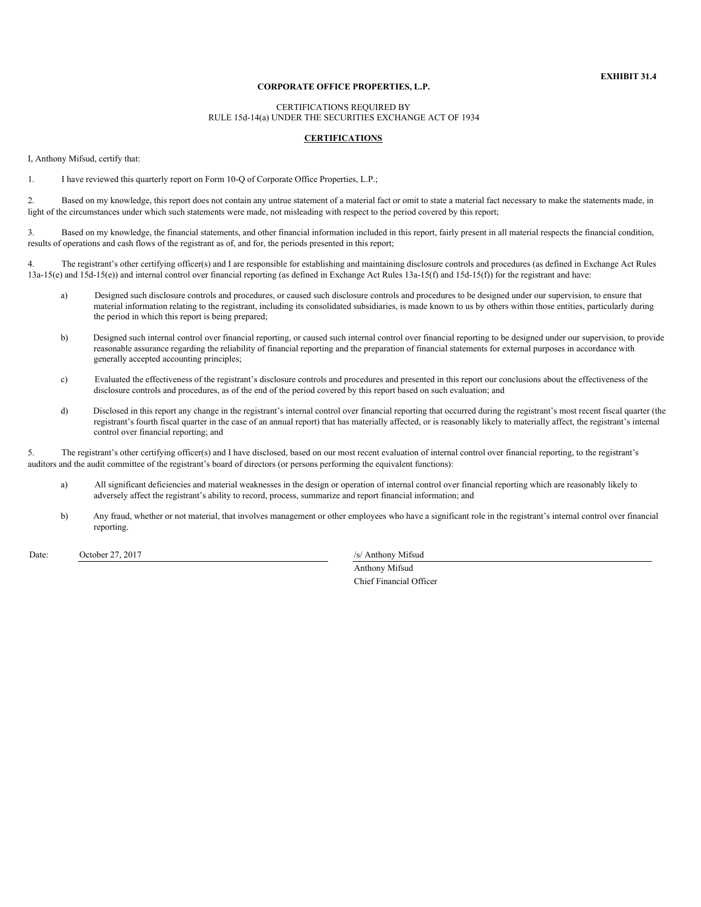## **CORPORATE OFFICE PROPERTIES, L.P.**

CERTIFICATIONS REQUIRED BY RULE 15d-14(a) UNDER THE SECURITIES EXCHANGE ACT OF 1934

#### **CERTIFICATIONS**

<span id="page-60-0"></span>I, Anthony Mifsud, certify that:

1. I have reviewed this quarterly report on Form 10-Q of Corporate Office Properties, L.P.;

2. Based on my knowledge, this report does not contain any untrue statement of a material fact or omit to state a material fact necessary to make the statements made, in light of the circumstances under which such statements were made, not misleading with respect to the period covered by this report;

3. Based on my knowledge, the financial statements, and other financial information included in this report, fairly present in all material respects the financial condition, results of operations and cash flows of the registrant as of, and for, the periods presented in this report;

4. The registrant's other certifying officer(s) and I are responsible for establishing and maintaining disclosure controls and procedures (as defined in Exchange Act Rules 13a-15(e) and 15d-15(e)) and internal control over financial reporting (as defined in Exchange Act Rules 13a-15(f) and 15d-15(f)) for the registrant and have:

- a) Designed such disclosure controls and procedures, or caused such disclosure controls and procedures to be designed under our supervision, to ensure that material information relating to the registrant, including its consolidated subsidiaries, is made known to us by others within those entities, particularly during the period in which this report is being prepared;
- b) Designed such internal control over financial reporting, or caused such internal control over financial reporting to be designed under our supervision, to provide reasonable assurance regarding the reliability of financial reporting and the preparation of financial statements for external purposes in accordance with generally accepted accounting principles;
- c) Evaluated the effectiveness of the registrant's disclosure controls and procedures and presented in this report our conclusions about the effectiveness of the disclosure controls and procedures, as of the end of the period covered by this report based on such evaluation; and
- d) Disclosed in this report any change in the registrant's internal control over financial reporting that occurred during the registrant's most recent fiscal quarter (the registrant's fourth fiscal quarter in the case of an annual report) that has materially affected, or is reasonably likely to materially affect, the registrant's internal control over financial reporting; and

5. The registrant's other certifying officer(s) and I have disclosed, based on our most recent evaluation of internal control over financial reporting, to the registrant's auditors and the audit committee of the registrant's board of directors (or persons performing the equivalent functions):

- a) All significant deficiencies and material weaknesses in the design or operation of internal control over financial reporting which are reasonably likely to adversely affect the registrant's ability to record, process, summarize and report financial information; and
- b) Any fraud, whether or not material, that involves management or other employees who have a significant role in the registrant's internal control over financial reporting.

Date: October 27, 2017 /s/ Anthony Mifsud

Anthony Mifsud Chief Financial Officer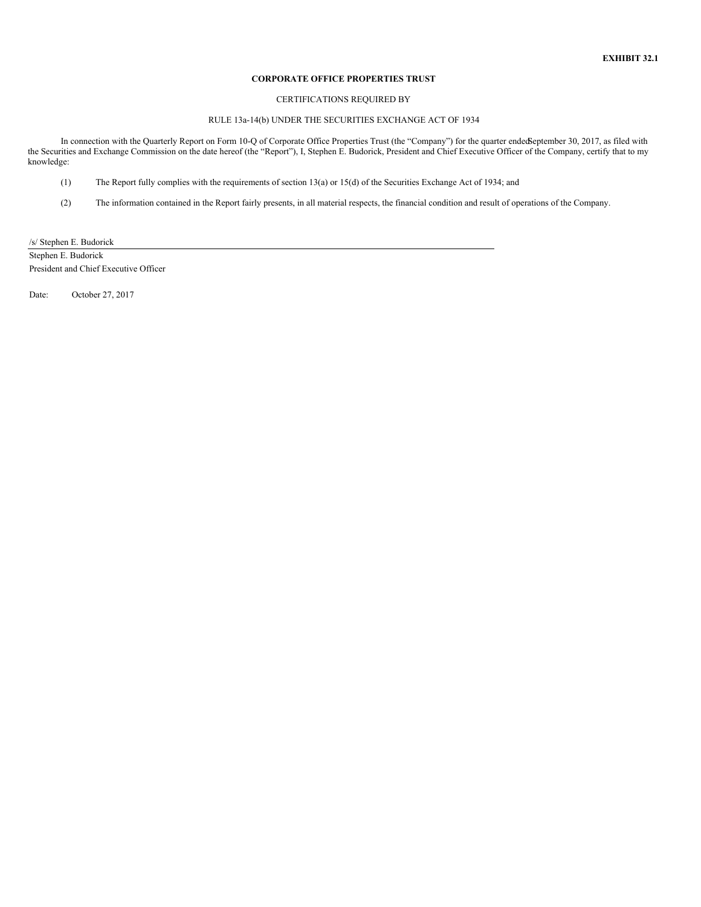## **CORPORATE OFFICE PROPERTIES TRUST**

## CERTIFICATIONS REQUIRED BY

## RULE 13a-14(b) UNDER THE SECURITIES EXCHANGE ACT OF 1934

<span id="page-61-0"></span>In connection with the Quarterly Report on Form 10-Q of Corporate Office Properties Trust (the "Company") for the quarter endedSeptember 30, 2017, as filed with the Securities and Exchange Commission on the date hereof (the "Report"), I, Stephen E. Budorick, President and Chief Executive Officer of the Company, certify that to my knowledge:

- (1) The Report fully complies with the requirements of section 13(a) or 15(d) of the Securities Exchange Act of 1934; and
- (2) The information contained in the Report fairly presents, in all material respects, the financial condition and result of operations of the Company.

/s/ Stephen E. Budorick

Stephen E. Budorick President and Chief Executive Officer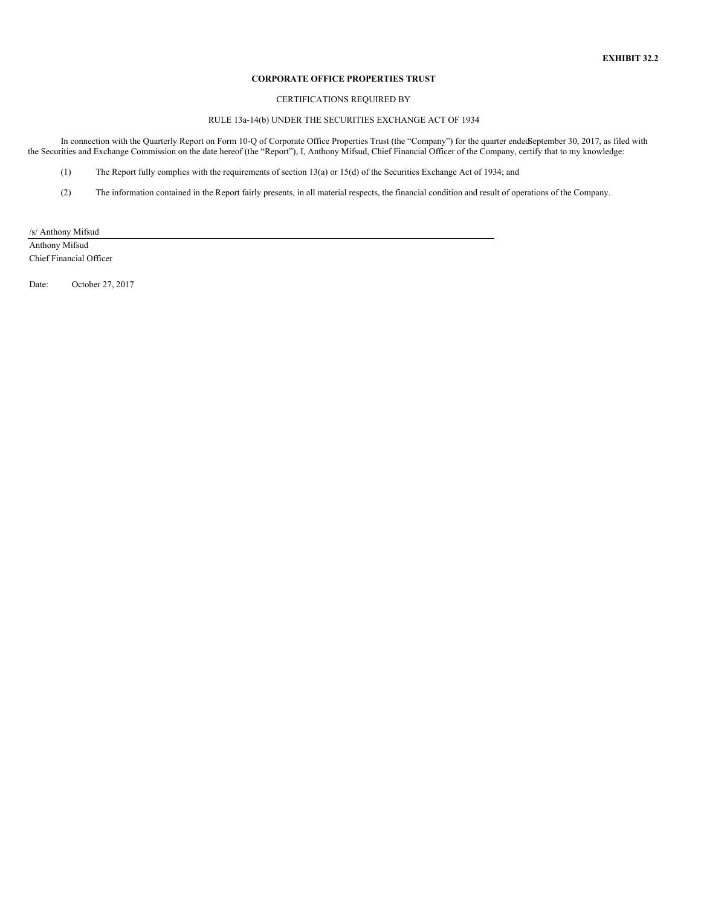## **CORPORATE OFFICE PROPERTIES TRUST**

## CERTIFICATIONS REQUIRED BY

## RULE 13a-14(b) UNDER THE SECURITIES EXCHANGE ACT OF 1934

<span id="page-62-0"></span>In connection with the Quarterly Report on Form 10-Q of Corporate Office Properties Trust (the "Company") for the quarter endedSeptember 30, 2017, as filed with the Securities and Exchange Commission on the date hereof (the "Report"), I, Anthony Mifsud, Chief Financial Officer of the Company, certify that to my knowledge:

- (1) The Report fully complies with the requirements of section 13(a) or 15(d) of the Securities Exchange Act of 1934; and
- (2) The information contained in the Report fairly presents, in all material respects, the financial condition and result of operations of the Company.

/s/ Anthony Mifsud

Anthony Mifsud Chief Financial Officer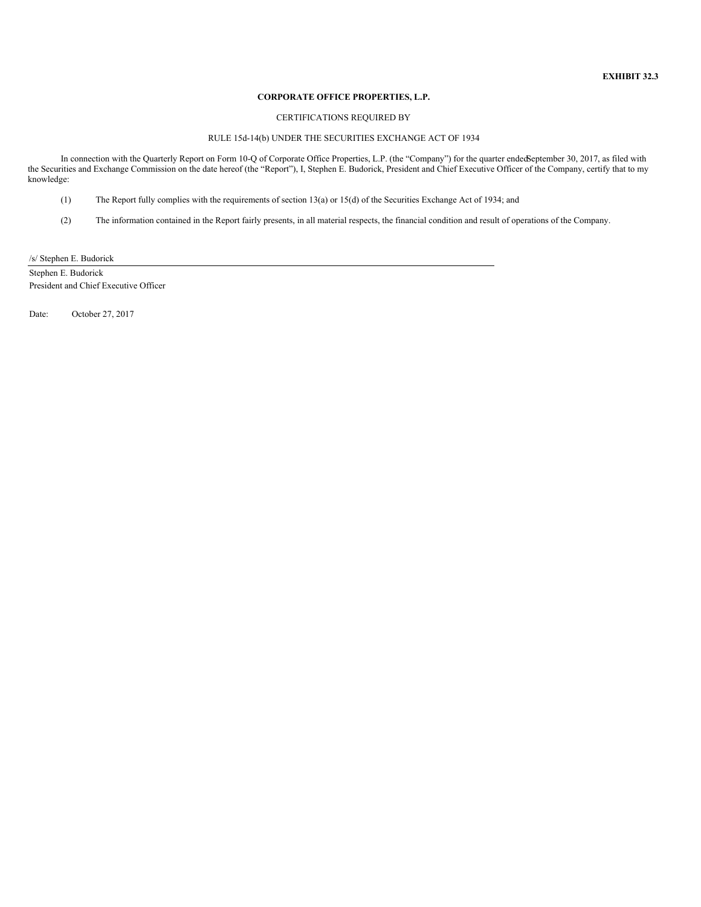## **CORPORATE OFFICE PROPERTIES, L.P.**

### CERTIFICATIONS REQUIRED BY

## RULE 15d-14(b) UNDER THE SECURITIES EXCHANGE ACT OF 1934

<span id="page-63-0"></span>In connection with the Quarterly Report on Form 10-Q of Corporate Office Properties, L.P. (the "Company") for the quarter endedSeptember 30, 2017, as filed with the Securities and Exchange Commission on the date hereof (the "Report"), I, Stephen E. Budorick, President and Chief Executive Officer of the Company, certify that to my knowledge:

- (1) The Report fully complies with the requirements of section 13(a) or 15(d) of the Securities Exchange Act of 1934; and
- (2) The information contained in the Report fairly presents, in all material respects, the financial condition and result of operations of the Company.

/s/ Stephen E. Budorick

Stephen E. Budorick President and Chief Executive Officer